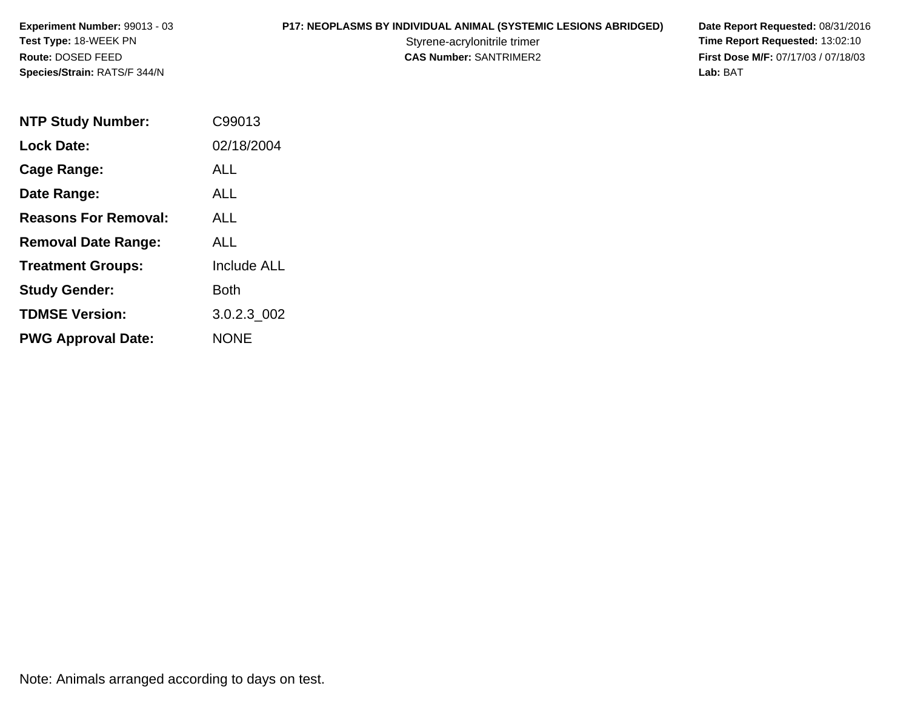**P17: NEOPLASMS BY INDIVIDUAL ANIMAL (SYSTEMIC LESIONS ABRIDGED) Date Report Requested: 08/31/2016<br>Styrene-acrylonitrile trimer <b>Time Report Requested: 13:02:10** Styrene-acrylonitrile trimer<br> **CAS Number:** SANTRIMER2 **Time Report Requested:** 13:02:10<br> **Time Report Requested:** 13:02:10 **First Dose M/F:** 07/17/03 / 07/18/03<br>Lab: BAT **Lab:** BAT

| <b>NTP Study Number:</b>    | C99013             |
|-----------------------------|--------------------|
| <b>Lock Date:</b>           | 02/18/2004         |
| Cage Range:                 | ALL                |
| Date Range:                 | ALL                |
| <b>Reasons For Removal:</b> | AI I               |
| <b>Removal Date Range:</b>  | ALL                |
| <b>Treatment Groups:</b>    | <b>Include ALL</b> |
| <b>Study Gender:</b>        | Both               |
| <b>TDMSE Version:</b>       | 3.0.2.3 002        |
| <b>PWG Approval Date:</b>   | <b>NONE</b>        |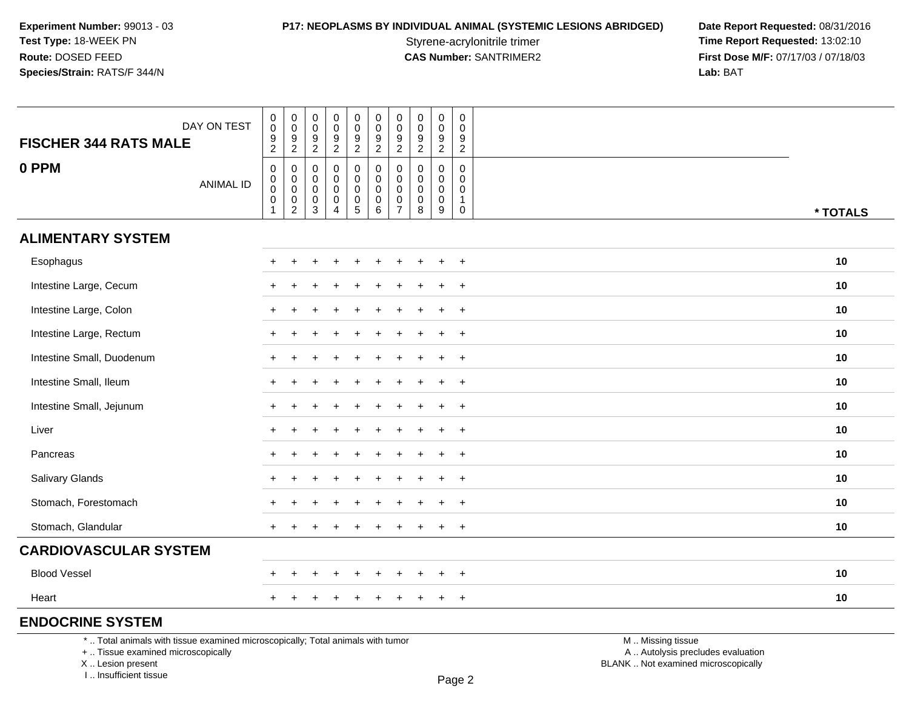**P17: NEOPLASMS BY INDIVIDUAL ANIMAL (SYSTEMIC LESIONS ABRIDGED) Date Report Requested: 08/31/2016<br>Styrene-acrylonitrile trimer <b>Time Report Requested: 13:02:10** Styrene-acrylonitrile trimer<br> **CAS Number:** SANTRIMER2 **Time Report Requested:** 13:02:10<br> **Time Report Requested:** 13:02:10 **First Dose M/F:** 07/17/03 / 07/18/03<br>Lab: BAT **Lab:** BAT

| <b>FISCHER 344 RATS MALE</b>                                                    | DAY ON TEST | $\,0\,$<br>$\,0\,$<br>$\frac{9}{2}$                                     | $\pmb{0}$<br>$\,0\,$<br>$\frac{9}{2}$                        | 0<br>$\mathsf{O}\xspace$<br>$\frac{9}{2}$ | $\pmb{0}$<br>$\pmb{0}$<br>$\frac{9}{2}$                             | $\mathbf 0$<br>$\pmb{0}$<br>$\frac{9}{2}$                                | $\pmb{0}$<br>$\mathsf 0$<br>$\frac{9}{2}$     | $\pmb{0}$<br>$\mathbf 0$<br>9<br>$\overline{2}$ | $\pmb{0}$<br>$\pmb{0}$<br>$\frac{9}{2}$               | $\pmb{0}$<br>$\mathbf 0$<br>$\frac{9}{2}$ | $\mathsf{O}\xspace$<br>$\mathbf 0$<br>$\frac{9}{2}$ |                   |          |
|---------------------------------------------------------------------------------|-------------|-------------------------------------------------------------------------|--------------------------------------------------------------|-------------------------------------------|---------------------------------------------------------------------|--------------------------------------------------------------------------|-----------------------------------------------|-------------------------------------------------|-------------------------------------------------------|-------------------------------------------|-----------------------------------------------------|-------------------|----------|
| 0 PPM                                                                           | ANIMAL ID   | $\boldsymbol{0}$<br>$\pmb{0}$<br>$\pmb{0}$<br>$\pmb{0}$<br>$\mathbf{1}$ | 0<br>$\mathbf 0$<br>$\pmb{0}$<br>$\pmb{0}$<br>$\overline{2}$ | 0<br>0<br>0<br>0<br>$\mathbf{3}$          | 0<br>$\mathbf 0$<br>0<br>$\begin{smallmatrix}0\\4\end{smallmatrix}$ | 0<br>$\mathbf 0$<br>$\mathbf 0$<br>$\begin{array}{c} 0 \\ 5 \end{array}$ | 0<br>$\mathbf 0$<br>0<br>0<br>$6\phantom{1}6$ | 0<br>0<br>0<br>$\pmb{0}$<br>$\overline{7}$      | $\mathbf 0$<br>0<br>$\mathbf 0$<br>$_{\rm 8}^{\rm 0}$ | $\mathbf 0$<br>$\mathbf 0$<br>0<br>0<br>9 | 0<br>0<br>0<br>$\mathbf{1}$<br>$\mathsf{O}\xspace$  |                   | * TOTALS |
| <b>ALIMENTARY SYSTEM</b>                                                        |             |                                                                         |                                                              |                                           |                                                                     |                                                                          |                                               |                                                 |                                                       |                                           |                                                     |                   |          |
| Esophagus                                                                       |             |                                                                         |                                                              |                                           |                                                                     |                                                                          |                                               |                                                 |                                                       | $\ddot{}$                                 | $+$                                                 |                   | 10       |
| Intestine Large, Cecum                                                          |             |                                                                         |                                                              |                                           |                                                                     |                                                                          |                                               |                                                 |                                                       | $\overline{ }$                            | $\overline{+}$                                      |                   | 10       |
| Intestine Large, Colon                                                          |             |                                                                         |                                                              |                                           |                                                                     |                                                                          |                                               |                                                 |                                                       | $\ddot{}$                                 | $\ddot{}$                                           |                   | 10       |
| Intestine Large, Rectum                                                         |             |                                                                         |                                                              |                                           |                                                                     |                                                                          |                                               |                                                 |                                                       |                                           | $+$                                                 |                   | 10       |
| Intestine Small, Duodenum                                                       |             |                                                                         |                                                              |                                           |                                                                     |                                                                          |                                               |                                                 |                                                       |                                           | $\overline{+}$                                      |                   | 10       |
| Intestine Small, Ileum                                                          |             |                                                                         |                                                              |                                           |                                                                     |                                                                          |                                               |                                                 |                                                       | $\ddot{}$                                 | $\overline{+}$                                      |                   | 10       |
| Intestine Small, Jejunum                                                        |             |                                                                         |                                                              |                                           |                                                                     |                                                                          |                                               |                                                 |                                                       |                                           | $+$                                                 |                   | 10       |
| Liver                                                                           |             |                                                                         |                                                              |                                           |                                                                     |                                                                          |                                               |                                                 |                                                       | $\div$                                    | $+$                                                 |                   | 10       |
| Pancreas                                                                        |             |                                                                         |                                                              |                                           |                                                                     |                                                                          |                                               |                                                 |                                                       | $\ddot{}$                                 | $+$                                                 |                   | 10       |
| Salivary Glands                                                                 |             |                                                                         |                                                              |                                           |                                                                     |                                                                          |                                               |                                                 |                                                       |                                           | $\overline{+}$                                      |                   | 10       |
| Stomach, Forestomach                                                            |             |                                                                         |                                                              |                                           |                                                                     |                                                                          |                                               |                                                 |                                                       |                                           | $\ddot{}$                                           |                   | 10       |
| Stomach, Glandular                                                              |             |                                                                         |                                                              |                                           |                                                                     |                                                                          |                                               |                                                 |                                                       | $\ddot{}$                                 | $+$                                                 |                   | 10       |
| <b>CARDIOVASCULAR SYSTEM</b>                                                    |             |                                                                         |                                                              |                                           |                                                                     |                                                                          |                                               |                                                 |                                                       |                                           |                                                     |                   |          |
| <b>Blood Vessel</b>                                                             |             |                                                                         |                                                              |                                           |                                                                     |                                                                          |                                               |                                                 |                                                       | $\overline{ }$                            | $\overline{+}$                                      |                   | 10       |
| Heart                                                                           |             |                                                                         |                                                              |                                           |                                                                     |                                                                          |                                               |                                                 |                                                       | $\ddot{}$                                 | $+$                                                 |                   | 10       |
| <b>ENDOCRINE SYSTEM</b>                                                         |             |                                                                         |                                                              |                                           |                                                                     |                                                                          |                                               |                                                 |                                                       |                                           |                                                     |                   |          |
| *  Total animals with tissue examined microscopically; Total animals with tumor |             |                                                                         |                                                              |                                           |                                                                     |                                                                          |                                               |                                                 |                                                       |                                           |                                                     | M  Missing tissue |          |

+ .. Tissue examined microscopically

X .. Lesion present

I .. Insufficient tissue

y the contract of the contract of the contract of the contract of the contract of  $\mathsf A$  . Autolysis precludes evaluation Lesion present BLANK .. Not examined microscopically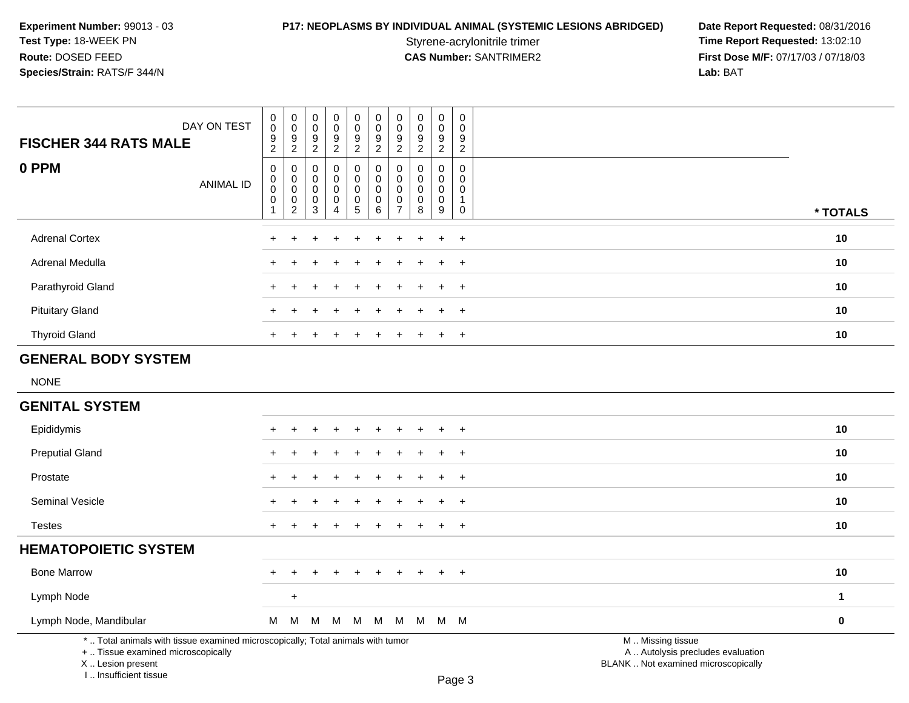I .. Insufficient tissue

# **P17: NEOPLASMS BY INDIVIDUAL ANIMAL (SYSTEMIC LESIONS ABRIDGED) Date Report Requested: 08/31/2016<br>Styrene-acrylonitrile trimer <b>Time Report Requested: 13:02:10**

Styrene-acrylonitrile trimer<br>
CAS Number: SANTRIMER2<br>
CAS Number: SANTRIMER2<br>
Tirst Dose M/F: 07/17/03 / 07/18/03 **First Dose M/F:** 07/17/03 / 07/18/03<br>Lab: BAT **Lab:** BAT

| <b>FISCHER 344 RATS MALE</b>                                                                                                               | DAY ON TEST      | $\mathsf{O}\xspace$<br>$\overline{0}$<br>$\frac{9}{2}$     | $\mathsf{O}\xspace$<br>$\overline{0}$<br>$\frac{9}{2}$                   | $\boldsymbol{0}$<br>$\mathbf 0$<br>$9\,$<br>$\sqrt{2}$                      | $\mathbf 0$<br>$\mathbf 0$<br>9<br>$\boldsymbol{2}$     | $\pmb{0}$<br>$\pmb{0}$<br>$\boldsymbol{9}$<br>$\overline{c}$ | $\mathsf{O}\xspace$<br>$\mathsf{O}\xspace$<br>$\boldsymbol{9}$<br>$\overline{2}$ | $\pmb{0}$<br>$\ddot{\mathbf{0}}$<br>$\boldsymbol{9}$<br>$\overline{2}$ | $\mathsf{O}\xspace$<br>0<br>$\frac{9}{2}$      | $_{\rm 0}^{\rm 0}$<br>$\boldsymbol{9}$<br>$\overline{2}$ | $\mathsf 0$<br>$\mathbf 0$<br>$\boldsymbol{9}$<br>$\sqrt{2}$ |                                                                                               |              |
|--------------------------------------------------------------------------------------------------------------------------------------------|------------------|------------------------------------------------------------|--------------------------------------------------------------------------|-----------------------------------------------------------------------------|---------------------------------------------------------|--------------------------------------------------------------|----------------------------------------------------------------------------------|------------------------------------------------------------------------|------------------------------------------------|----------------------------------------------------------|--------------------------------------------------------------|-----------------------------------------------------------------------------------------------|--------------|
| 0 PPM                                                                                                                                      | <b>ANIMAL ID</b> | $\mathbf 0$<br>$\pmb{0}$<br>$\pmb{0}$<br>$\mathbf 0$<br>-1 | $\mathbf 0$<br>$\pmb{0}$<br>$\mathbf 0$<br>$\mathbf 0$<br>$\overline{2}$ | $\mathbf 0$<br>$\mathbf 0$<br>$\boldsymbol{0}$<br>$\mathbf 0$<br>$\sqrt{3}$ | $\Omega$<br>$\Omega$<br>$\mathbf 0$<br>$\mathbf 0$<br>Δ | 0<br>0<br>$\mathsf 0$<br>$\pmb{0}$<br>5                      | $\mathbf 0$<br>$\mathbf 0$<br>$\mathbf 0$<br>$\mathbf 0$<br>$\,6\,$              | $\pmb{0}$<br>0<br>$\mathbf 0$<br>$\mathbf 0$<br>$\overline{7}$         | $\Omega$<br>0<br>$\mathsf{O}\xspace$<br>0<br>8 | $\mathbf 0$<br>0<br>$\mathbf 0$<br>$\pmb{0}$<br>9        | 0<br>$\Omega$<br>$\mathbf 0$<br>-1<br>$\pmb{0}$              |                                                                                               | * TOTALS     |
| <b>Adrenal Cortex</b>                                                                                                                      |                  |                                                            |                                                                          |                                                                             |                                                         |                                                              |                                                                                  |                                                                        |                                                |                                                          | $+$                                                          |                                                                                               | 10           |
| Adrenal Medulla                                                                                                                            |                  |                                                            |                                                                          |                                                                             |                                                         |                                                              |                                                                                  |                                                                        |                                                |                                                          | $+$                                                          |                                                                                               | 10           |
| Parathyroid Gland                                                                                                                          |                  |                                                            |                                                                          |                                                                             |                                                         |                                                              |                                                                                  |                                                                        |                                                |                                                          | $+$                                                          |                                                                                               | 10           |
| <b>Pituitary Gland</b>                                                                                                                     |                  |                                                            |                                                                          |                                                                             |                                                         |                                                              |                                                                                  |                                                                        |                                                |                                                          | $\ddot{}$                                                    |                                                                                               | 10           |
| <b>Thyroid Gland</b>                                                                                                                       |                  | +                                                          |                                                                          |                                                                             |                                                         |                                                              |                                                                                  |                                                                        |                                                | $\pm$                                                    | $+$                                                          |                                                                                               | 10           |
| <b>GENERAL BODY SYSTEM</b>                                                                                                                 |                  |                                                            |                                                                          |                                                                             |                                                         |                                                              |                                                                                  |                                                                        |                                                |                                                          |                                                              |                                                                                               |              |
| <b>NONE</b>                                                                                                                                |                  |                                                            |                                                                          |                                                                             |                                                         |                                                              |                                                                                  |                                                                        |                                                |                                                          |                                                              |                                                                                               |              |
| <b>GENITAL SYSTEM</b>                                                                                                                      |                  |                                                            |                                                                          |                                                                             |                                                         |                                                              |                                                                                  |                                                                        |                                                |                                                          |                                                              |                                                                                               |              |
| Epididymis                                                                                                                                 |                  |                                                            |                                                                          |                                                                             |                                                         |                                                              |                                                                                  |                                                                        |                                                |                                                          | $+$                                                          |                                                                                               | 10           |
| <b>Preputial Gland</b>                                                                                                                     |                  |                                                            |                                                                          |                                                                             |                                                         |                                                              |                                                                                  |                                                                        |                                                |                                                          | $\ddot{}$                                                    |                                                                                               | 10           |
| Prostate                                                                                                                                   |                  |                                                            |                                                                          |                                                                             |                                                         |                                                              |                                                                                  |                                                                        |                                                |                                                          | $\overline{+}$                                               |                                                                                               | 10           |
| Seminal Vesicle                                                                                                                            |                  |                                                            |                                                                          |                                                                             |                                                         |                                                              |                                                                                  |                                                                        |                                                |                                                          | $+$                                                          |                                                                                               | 10           |
| <b>Testes</b>                                                                                                                              |                  | $+$                                                        |                                                                          |                                                                             |                                                         |                                                              |                                                                                  | $\ddot{}$                                                              | +                                              | $\ddot{}$                                                | $\ddot{}$                                                    |                                                                                               | 10           |
| <b>HEMATOPOIETIC SYSTEM</b>                                                                                                                |                  |                                                            |                                                                          |                                                                             |                                                         |                                                              |                                                                                  |                                                                        |                                                |                                                          |                                                              |                                                                                               |              |
| <b>Bone Marrow</b>                                                                                                                         |                  |                                                            |                                                                          |                                                                             |                                                         |                                                              |                                                                                  |                                                                        |                                                |                                                          | $\ddot{}$                                                    |                                                                                               | 10           |
| Lymph Node                                                                                                                                 |                  |                                                            | $\ddot{}$                                                                |                                                                             |                                                         |                                                              |                                                                                  |                                                                        |                                                |                                                          |                                                              |                                                                                               | $\mathbf{1}$ |
| Lymph Node, Mandibular                                                                                                                     |                  | М                                                          | M                                                                        | M                                                                           |                                                         | $M$ M                                                        | M                                                                                |                                                                        | M M M M                                        |                                                          |                                                              |                                                                                               | 0            |
| *  Total animals with tissue examined microscopically; Total animals with tumor<br>+  Tissue examined microscopically<br>X  Lesion present |                  |                                                            |                                                                          |                                                                             |                                                         |                                                              |                                                                                  |                                                                        |                                                |                                                          |                                                              | M  Missing tissue<br>A  Autolysis precludes evaluation<br>BLANK  Not examined microscopically |              |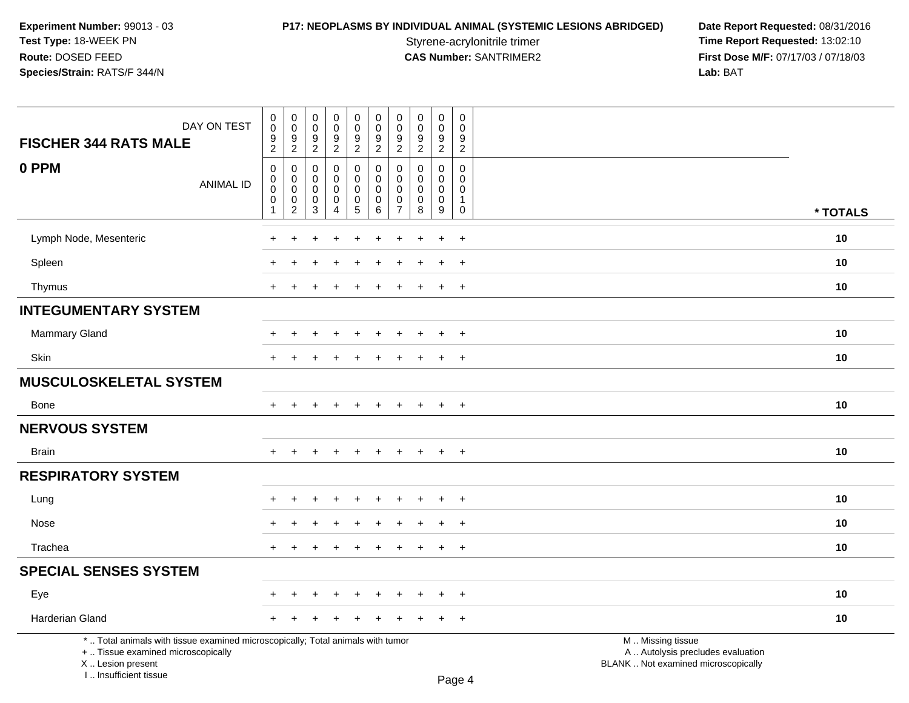I .. Insufficient tissue

# **P17: NEOPLASMS BY INDIVIDUAL ANIMAL (SYSTEMIC LESIONS ABRIDGED) Date Report Requested: 08/31/2016<br>Styrene-acrylonitrile trimer <b>Time Report Requested: 13:02:10**

Styrene-acrylonitrile trimer<br>
CAS Number: SANTRIMER2<br>
CAS Number: SANTRIMER2<br>
Tirst Dose M/F: 07/17/03 / 07/18/03 **First Dose M/F:** 07/17/03 / 07/18/03<br>Lab: BAT **Lab:** BAT

| DAY ON TEST<br><b>FISCHER 344 RATS MALE</b>                                                                                                | $\pmb{0}$<br>0<br>$\boldsymbol{9}$<br>$\overline{c}$     | $\,0\,$<br>$\mathbf 0$<br>$\boldsymbol{9}$<br>$\overline{2}$   | 0<br>$\mathbf 0$<br>9<br>$\overline{2}$ | $\mathbf 0$<br>$\mathbf 0$<br>$\frac{9}{2}$                      | $\pmb{0}$<br>$\mathsf{O}\xspace$<br>$\frac{9}{2}$                      | 0<br>$\mathbf 0$<br>$\boldsymbol{9}$<br>$\overline{2}$ | $\mathbf 0$<br>$\mathbf 0$<br>$\boldsymbol{9}$<br>$\overline{2}$        | $\pmb{0}$<br>0<br>$\boldsymbol{9}$<br>$\overline{2}$ | $\mathbf 0$<br>$\mathbf 0$<br>$\frac{9}{2}$                        | $\mathbf 0$<br>$\mathbf 0$<br>$\frac{9}{2}$            |                                                                                               |          |
|--------------------------------------------------------------------------------------------------------------------------------------------|----------------------------------------------------------|----------------------------------------------------------------|-----------------------------------------|------------------------------------------------------------------|------------------------------------------------------------------------|--------------------------------------------------------|-------------------------------------------------------------------------|------------------------------------------------------|--------------------------------------------------------------------|--------------------------------------------------------|-----------------------------------------------------------------------------------------------|----------|
| 0 PPM<br><b>ANIMAL ID</b>                                                                                                                  | $\boldsymbol{0}$<br>$\boldsymbol{0}$<br>$\mathbf 0$<br>0 | $\mathbf 0$<br>0<br>$\pmb{0}$<br>$\mathbf 0$<br>$\overline{c}$ | 0<br>0<br>$\mathbf 0$<br>0<br>3         | $\mathbf 0$<br>$\mathbf 0$<br>$\mathbf 0$<br>0<br>$\overline{A}$ | $\mathbf 0$<br>$\mathbf 0$<br>$\pmb{0}$<br>$\pmb{0}$<br>$\overline{5}$ | 0<br>0<br>$\pmb{0}$<br>$\mathbf 0$<br>$\,6\,$          | $\mathbf 0$<br>$\Omega$<br>$\mathbf 0$<br>$\mathbf 0$<br>$\overline{7}$ | 0<br>0<br>$\pmb{0}$<br>0<br>8                        | 0<br>$\mathbf 0$<br>$\mathbf 0$<br>$\mathbf 0$<br>$\boldsymbol{9}$ | 0<br>$\mathbf 0$<br>0<br>$\overline{1}$<br>$\mathbf 0$ |                                                                                               | * TOTALS |
| Lymph Node, Mesenteric                                                                                                                     | ÷                                                        |                                                                |                                         |                                                                  |                                                                        |                                                        |                                                                         |                                                      | $\ddot{}$                                                          | $\overline{ }$                                         |                                                                                               | 10       |
| Spleen                                                                                                                                     |                                                          |                                                                |                                         |                                                                  |                                                                        |                                                        |                                                                         |                                                      | $\ddot{}$                                                          | $\ddot{}$                                              |                                                                                               | 10       |
| Thymus                                                                                                                                     | $\ddot{}$                                                |                                                                |                                         |                                                                  |                                                                        |                                                        |                                                                         |                                                      | $\pm$                                                              | $^{+}$                                                 |                                                                                               | 10       |
| <b>INTEGUMENTARY SYSTEM</b>                                                                                                                |                                                          |                                                                |                                         |                                                                  |                                                                        |                                                        |                                                                         |                                                      |                                                                    |                                                        |                                                                                               |          |
| <b>Mammary Gland</b>                                                                                                                       |                                                          |                                                                |                                         |                                                                  |                                                                        |                                                        |                                                                         |                                                      |                                                                    | $\overline{ }$                                         |                                                                                               | 10       |
| Skin                                                                                                                                       | $\ddot{}$                                                |                                                                |                                         |                                                                  |                                                                        |                                                        |                                                                         |                                                      |                                                                    | $\overline{ }$                                         |                                                                                               | 10       |
| <b>MUSCULOSKELETAL SYSTEM</b>                                                                                                              |                                                          |                                                                |                                         |                                                                  |                                                                        |                                                        |                                                                         |                                                      |                                                                    |                                                        |                                                                                               |          |
| <b>Bone</b>                                                                                                                                | $+$                                                      | $\div$                                                         |                                         | $\pm$                                                            |                                                                        |                                                        |                                                                         | $+$                                                  | $+$                                                                | $+$                                                    |                                                                                               | 10       |
| <b>NERVOUS SYSTEM</b>                                                                                                                      |                                                          |                                                                |                                         |                                                                  |                                                                        |                                                        |                                                                         |                                                      |                                                                    |                                                        |                                                                                               |          |
| <b>Brain</b>                                                                                                                               | $\pm$                                                    | ÷                                                              |                                         |                                                                  |                                                                        |                                                        |                                                                         | $\div$                                               | $\ddot{}$                                                          | $^{+}$                                                 |                                                                                               | 10       |
| <b>RESPIRATORY SYSTEM</b>                                                                                                                  |                                                          |                                                                |                                         |                                                                  |                                                                        |                                                        |                                                                         |                                                      |                                                                    |                                                        |                                                                                               |          |
| Lung                                                                                                                                       |                                                          |                                                                |                                         |                                                                  |                                                                        |                                                        |                                                                         |                                                      |                                                                    | $\ddot{}$                                              |                                                                                               | 10       |
| Nose                                                                                                                                       |                                                          |                                                                |                                         |                                                                  |                                                                        |                                                        |                                                                         |                                                      |                                                                    | $\pm$                                                  |                                                                                               | 10       |
| Trachea                                                                                                                                    | $\ddot{}$                                                |                                                                |                                         |                                                                  |                                                                        |                                                        |                                                                         |                                                      | $+$                                                                | $+$                                                    |                                                                                               | 10       |
| <b>SPECIAL SENSES SYSTEM</b>                                                                                                               |                                                          |                                                                |                                         |                                                                  |                                                                        |                                                        |                                                                         |                                                      |                                                                    |                                                        |                                                                                               |          |
| Eye                                                                                                                                        |                                                          |                                                                |                                         |                                                                  |                                                                        |                                                        |                                                                         |                                                      | ÷                                                                  | $\overline{+}$                                         |                                                                                               | 10       |
| Harderian Gland                                                                                                                            |                                                          |                                                                |                                         |                                                                  |                                                                        |                                                        |                                                                         |                                                      |                                                                    | $\overline{ }$                                         |                                                                                               | 10       |
| *  Total animals with tissue examined microscopically; Total animals with tumor<br>+  Tissue examined microscopically<br>X  Lesion present |                                                          |                                                                |                                         |                                                                  |                                                                        |                                                        |                                                                         |                                                      |                                                                    |                                                        | M  Missing tissue<br>A  Autolysis precludes evaluation<br>BLANK  Not examined microscopically |          |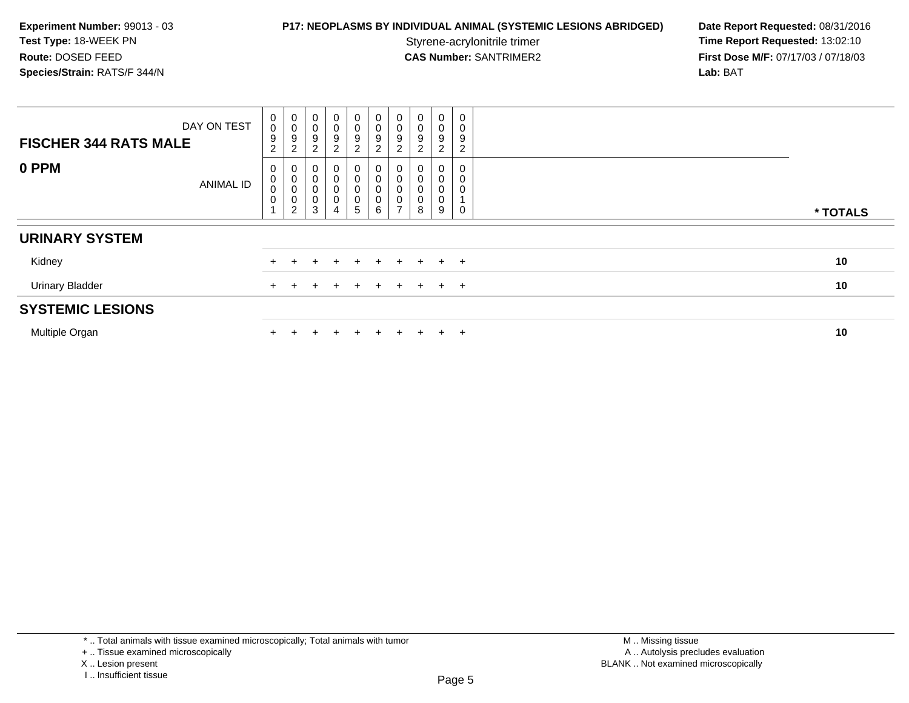**P17: NEOPLASMS BY INDIVIDUAL ANIMAL (SYSTEMIC LESIONS ABRIDGED) Date Report Requested: 08/31/2016<br>Styrene-acrylonitrile trimer <b>Time Report Requested: 13:02:10** Styrene-acrylonitrile trimer<br>
CAS Number: SANTRIMER2<br> **CAS Number:** SANTRIMER2<br> **Time Report Requested:** 13:02:10 **First Dose M/F:** 07/17/03 / 07/18/03<br>Lab: BAT **Lab:** BAT

| <b>FISCHER 344 RATS MALE</b> | DAY ON TEST      | $\begin{smallmatrix}0\0\0\end{smallmatrix}$<br>9<br>$\overline{c}$ | $\begin{smallmatrix}0\\0\\9\end{smallmatrix}$<br>$\overline{c}$              | $\mathbf 0$<br>$\mathbf 0$<br>$\boldsymbol{9}$<br>$\overline{c}$ | 0<br>$\pmb{0}$<br>$\mathsf g$<br>$\overline{c}$ | 0<br>$\pmb{0}$<br>$\boldsymbol{9}$<br>$\overline{2}$ | 0<br>0<br>9<br>$\overline{2}$ | $\begin{smallmatrix} 0\\0 \end{smallmatrix}$<br>$\boldsymbol{9}$<br>$\overline{2}$       | $_{\rm 0}^{\rm 0}$<br>$\boldsymbol{9}$<br>$\overline{2}$ | 0<br>$\boldsymbol{0}$<br>9<br>2 | 0<br>0<br>9<br>2 |          |
|------------------------------|------------------|--------------------------------------------------------------------|------------------------------------------------------------------------------|------------------------------------------------------------------|-------------------------------------------------|------------------------------------------------------|-------------------------------|------------------------------------------------------------------------------------------|----------------------------------------------------------|---------------------------------|------------------|----------|
| 0 PPM                        | <b>ANIMAL ID</b> | 0<br>$\pmb{0}$<br>$\pmb{0}$<br>$\mathbf 0$                         | $\begin{smallmatrix} 0\\0 \end{smallmatrix}$<br>$\mathbf 0$<br>$\frac{0}{2}$ | 0<br>0<br>$\pmb{0}$<br>$\pmb{0}$<br>3                            | 0<br>$\boldsymbol{0}$                           | 0<br>$\pmb{0}$<br>$\boldsymbol{0}$<br>$\pmb{0}$<br>5 | 0<br>0<br>0<br>0<br>6         | $\begin{smallmatrix}0\\0\end{smallmatrix}$<br>$\pmb{0}$<br>$\mathbf 0$<br>$\overline{ }$ | 0<br>$\pmb{0}$<br>$\mathsf 0$<br>$\pmb{0}$<br>$\,8\,$    | $\mathbf 0$<br>0<br>9           | 0<br>0           | * TOTALS |
| <b>URINARY SYSTEM</b>        |                  |                                                                    |                                                                              |                                                                  |                                                 |                                                      |                               |                                                                                          |                                                          |                                 |                  |          |
| Kidney                       |                  |                                                                    |                                                                              |                                                                  |                                                 |                                                      | ÷                             |                                                                                          | $\div$                                                   | $+$ $+$                         |                  | 10       |
| <b>Urinary Bladder</b>       |                  |                                                                    |                                                                              |                                                                  |                                                 |                                                      |                               |                                                                                          |                                                          | $+$ $-$                         | $\overline{+}$   | 10       |
| <b>SYSTEMIC LESIONS</b>      |                  |                                                                    |                                                                              |                                                                  |                                                 |                                                      |                               |                                                                                          |                                                          |                                 |                  |          |
| Multiple Organ               |                  |                                                                    |                                                                              |                                                                  |                                                 | $\div$                                               | $\pm$                         | $+$                                                                                      | $\div$                                                   | $+$                             | $\pm$            | 10       |

\* .. Total animals with tissue examined microscopically; Total animals with tumor

X .. Lesion present

<sup>+ ..</sup> Tissue examined microscopically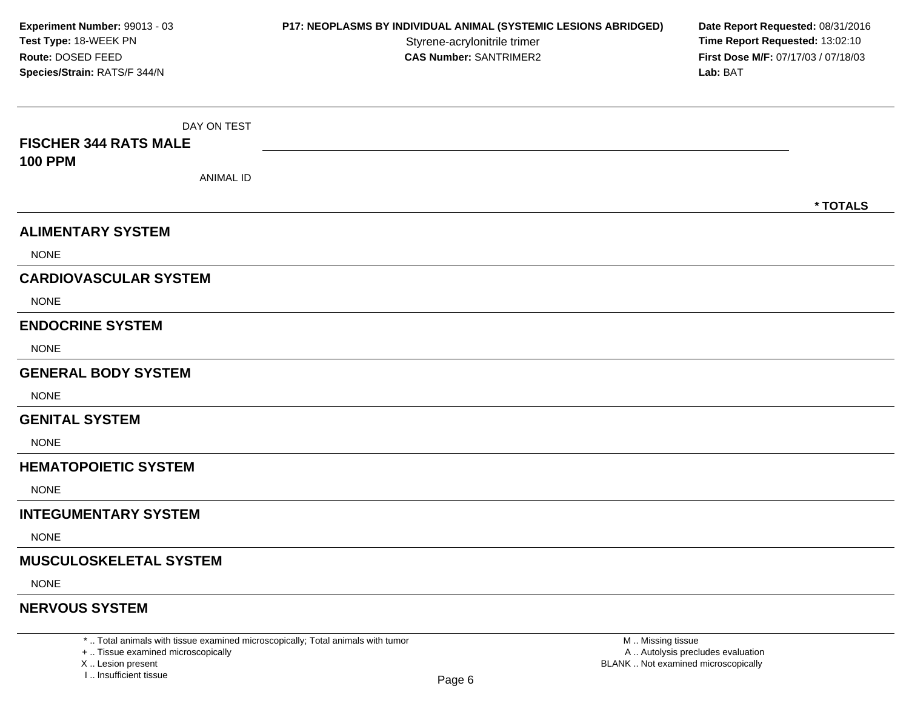| Experiment Number: 99013 - 03<br>Test Type: 18-WEEK PN<br>Route: DOSED FEED<br>Species/Strain: RATS/F 344/N | P17: NEOPLASMS BY INDIVIDUAL ANIMAL (SYSTEMIC LESIONS ABRIDGED)<br>Styrene-acrylonitrile trimer<br><b>CAS Number: SANTRIMER2</b> | Date Report Requested: 08/31/2016<br>Time Report Requested: 13:02:10<br>First Dose M/F: 07/17/03 / 07/18/03<br>Lab: BAT |
|-------------------------------------------------------------------------------------------------------------|----------------------------------------------------------------------------------------------------------------------------------|-------------------------------------------------------------------------------------------------------------------------|
| DAY ON TEST                                                                                                 |                                                                                                                                  |                                                                                                                         |
| <b>FISCHER 344 RATS MALE</b>                                                                                |                                                                                                                                  |                                                                                                                         |
| <b>100 PPM</b>                                                                                              |                                                                                                                                  |                                                                                                                         |
| <b>ANIMAL ID</b>                                                                                            |                                                                                                                                  |                                                                                                                         |
|                                                                                                             |                                                                                                                                  | * TOTALS                                                                                                                |
| <b>ALIMENTARY SYSTEM</b>                                                                                    |                                                                                                                                  |                                                                                                                         |
| <b>NONE</b>                                                                                                 |                                                                                                                                  |                                                                                                                         |
| <b>CARDIOVASCULAR SYSTEM</b>                                                                                |                                                                                                                                  |                                                                                                                         |
| <b>NONE</b>                                                                                                 |                                                                                                                                  |                                                                                                                         |
| <b>ENDOCRINE SYSTEM</b>                                                                                     |                                                                                                                                  |                                                                                                                         |
| <b>NONE</b>                                                                                                 |                                                                                                                                  |                                                                                                                         |
| <b>GENERAL BODY SYSTEM</b>                                                                                  |                                                                                                                                  |                                                                                                                         |
| <b>NONE</b>                                                                                                 |                                                                                                                                  |                                                                                                                         |
| <b>GENITAL SYSTEM</b>                                                                                       |                                                                                                                                  |                                                                                                                         |
| <b>NONE</b>                                                                                                 |                                                                                                                                  |                                                                                                                         |
| <b>HEMATOPOIETIC SYSTEM</b>                                                                                 |                                                                                                                                  |                                                                                                                         |
| <b>NONE</b>                                                                                                 |                                                                                                                                  |                                                                                                                         |
| <b>INTEGUMENTARY SYSTEM</b>                                                                                 |                                                                                                                                  |                                                                                                                         |
| <b>NONE</b>                                                                                                 |                                                                                                                                  |                                                                                                                         |
| <b>MUSCULOSKELETAL SYSTEM</b>                                                                               |                                                                                                                                  |                                                                                                                         |
| <b>NONE</b>                                                                                                 |                                                                                                                                  |                                                                                                                         |
| <b>NERVOUS SYSTEM</b>                                                                                       |                                                                                                                                  |                                                                                                                         |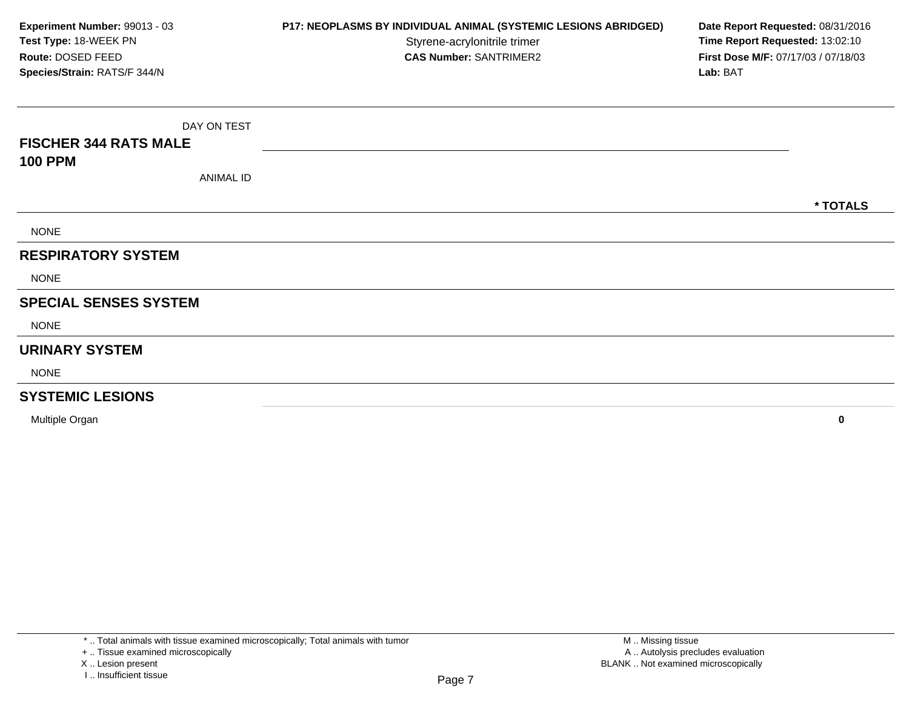| Experiment Number: 99013 - 03<br>Test Type: 18-WEEK PN<br>Route: DOSED FEED<br>Species/Strain: RATS/F 344/N | P17: NEOPLASMS BY INDIVIDUAL ANIMAL (SYSTEMIC LESIONS ABRIDGED)<br>Styrene-acrylonitrile trimer<br><b>CAS Number: SANTRIMER2</b> | Date Report Requested: 08/31/2016<br>Time Report Requested: 13:02:10<br>First Dose M/F: 07/17/03 / 07/18/03<br>Lab: BAT |
|-------------------------------------------------------------------------------------------------------------|----------------------------------------------------------------------------------------------------------------------------------|-------------------------------------------------------------------------------------------------------------------------|
| DAY ON TEST                                                                                                 |                                                                                                                                  |                                                                                                                         |
| <b>FISCHER 344 RATS MALE</b>                                                                                |                                                                                                                                  |                                                                                                                         |
| <b>100 PPM</b>                                                                                              |                                                                                                                                  |                                                                                                                         |
| <b>ANIMAL ID</b>                                                                                            |                                                                                                                                  |                                                                                                                         |
|                                                                                                             |                                                                                                                                  | * TOTALS                                                                                                                |
| <b>NONE</b>                                                                                                 |                                                                                                                                  |                                                                                                                         |
| <b>RESPIRATORY SYSTEM</b>                                                                                   |                                                                                                                                  |                                                                                                                         |
| <b>NONE</b>                                                                                                 |                                                                                                                                  |                                                                                                                         |
| <b>SPECIAL SENSES SYSTEM</b>                                                                                |                                                                                                                                  |                                                                                                                         |
| <b>NONE</b>                                                                                                 |                                                                                                                                  |                                                                                                                         |
| <b>URINARY SYSTEM</b>                                                                                       |                                                                                                                                  |                                                                                                                         |
| <b>NONE</b>                                                                                                 |                                                                                                                                  |                                                                                                                         |
| <b>SYSTEMIC LESIONS</b>                                                                                     |                                                                                                                                  |                                                                                                                         |
| Multiple Organ                                                                                              |                                                                                                                                  | 0                                                                                                                       |

X .. Lesion present

I .. Insufficient tissue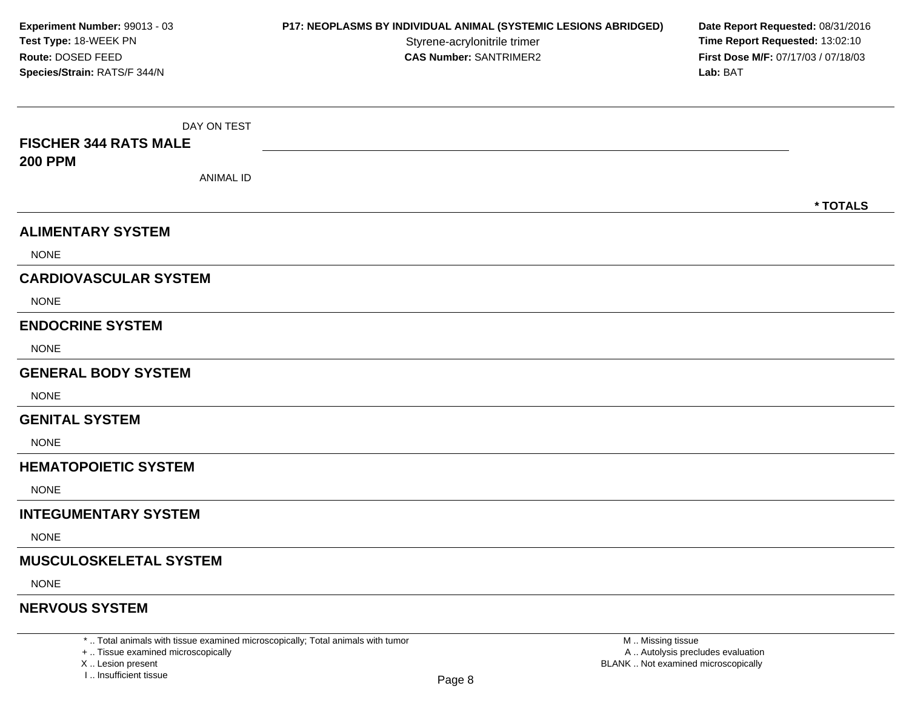| Experiment Number: 99013 - 03<br>Test Type: 18-WEEK PN<br>Route: DOSED FEED<br>Species/Strain: RATS/F 344/N | P17: NEOPLASMS BY INDIVIDUAL ANIMAL (SYSTEMIC LESIONS ABRIDGED)<br>Styrene-acrylonitrile trimer<br><b>CAS Number: SANTRIMER2</b> | Date Report Requested: 08/31/2016<br>Time Report Requested: 13:02:10<br>First Dose M/F: 07/17/03 / 07/18/03<br>Lab: BAT |
|-------------------------------------------------------------------------------------------------------------|----------------------------------------------------------------------------------------------------------------------------------|-------------------------------------------------------------------------------------------------------------------------|
|                                                                                                             |                                                                                                                                  |                                                                                                                         |
| DAY ON TEST                                                                                                 |                                                                                                                                  |                                                                                                                         |
| <b>FISCHER 344 RATS MALE</b>                                                                                |                                                                                                                                  |                                                                                                                         |
| <b>200 PPM</b><br><b>ANIMAL ID</b>                                                                          |                                                                                                                                  |                                                                                                                         |
|                                                                                                             |                                                                                                                                  | * TOTALS                                                                                                                |
| <b>ALIMENTARY SYSTEM</b>                                                                                    |                                                                                                                                  |                                                                                                                         |
| <b>NONE</b>                                                                                                 |                                                                                                                                  |                                                                                                                         |
| <b>CARDIOVASCULAR SYSTEM</b>                                                                                |                                                                                                                                  |                                                                                                                         |
| <b>NONE</b>                                                                                                 |                                                                                                                                  |                                                                                                                         |
| <b>ENDOCRINE SYSTEM</b>                                                                                     |                                                                                                                                  |                                                                                                                         |
| <b>NONE</b>                                                                                                 |                                                                                                                                  |                                                                                                                         |
| <b>GENERAL BODY SYSTEM</b>                                                                                  |                                                                                                                                  |                                                                                                                         |
| <b>NONE</b>                                                                                                 |                                                                                                                                  |                                                                                                                         |
| <b>GENITAL SYSTEM</b>                                                                                       |                                                                                                                                  |                                                                                                                         |
| <b>NONE</b>                                                                                                 |                                                                                                                                  |                                                                                                                         |
| <b>HEMATOPOIETIC SYSTEM</b>                                                                                 |                                                                                                                                  |                                                                                                                         |
| <b>NONE</b>                                                                                                 |                                                                                                                                  |                                                                                                                         |
| <b>INTEGUMENTARY SYSTEM</b>                                                                                 |                                                                                                                                  |                                                                                                                         |
| <b>NONE</b>                                                                                                 |                                                                                                                                  |                                                                                                                         |
| <b>MUSCULOSKELETAL SYSTEM</b>                                                                               |                                                                                                                                  |                                                                                                                         |
| <b>NONE</b>                                                                                                 |                                                                                                                                  |                                                                                                                         |
| <b>NERVOUS SYSTEM</b>                                                                                       |                                                                                                                                  |                                                                                                                         |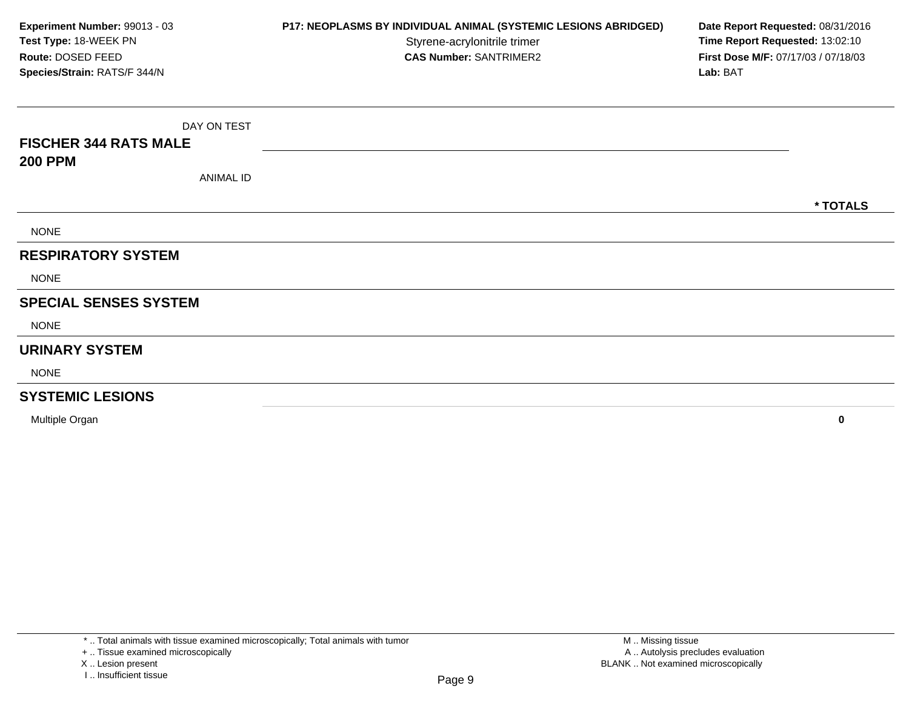| Experiment Number: 99013 - 03<br>Test Type: 18-WEEK PN<br>Route: DOSED FEED<br>Species/Strain: RATS/F 344/N | P17: NEOPLASMS BY INDIVIDUAL ANIMAL (SYSTEMIC LESIONS ABRIDGED)<br>Styrene-acrylonitrile trimer<br><b>CAS Number: SANTRIMER2</b> | Date Report Requested: 08/31/2016<br>Time Report Requested: 13:02:10<br>First Dose M/F: 07/17/03 / 07/18/03<br>Lab: BAT |
|-------------------------------------------------------------------------------------------------------------|----------------------------------------------------------------------------------------------------------------------------------|-------------------------------------------------------------------------------------------------------------------------|
| DAY ON TEST                                                                                                 |                                                                                                                                  |                                                                                                                         |
| <b>FISCHER 344 RATS MALE</b>                                                                                |                                                                                                                                  |                                                                                                                         |
| <b>200 PPM</b>                                                                                              |                                                                                                                                  |                                                                                                                         |
| <b>ANIMAL ID</b>                                                                                            |                                                                                                                                  |                                                                                                                         |
|                                                                                                             |                                                                                                                                  | * TOTALS                                                                                                                |
| <b>NONE</b>                                                                                                 |                                                                                                                                  |                                                                                                                         |
| <b>RESPIRATORY SYSTEM</b>                                                                                   |                                                                                                                                  |                                                                                                                         |
| <b>NONE</b>                                                                                                 |                                                                                                                                  |                                                                                                                         |
| <b>SPECIAL SENSES SYSTEM</b>                                                                                |                                                                                                                                  |                                                                                                                         |
| <b>NONE</b>                                                                                                 |                                                                                                                                  |                                                                                                                         |
| <b>URINARY SYSTEM</b>                                                                                       |                                                                                                                                  |                                                                                                                         |
| <b>NONE</b>                                                                                                 |                                                                                                                                  |                                                                                                                         |
| <b>SYSTEMIC LESIONS</b>                                                                                     |                                                                                                                                  |                                                                                                                         |
| Multiple Organ                                                                                              |                                                                                                                                  | 0                                                                                                                       |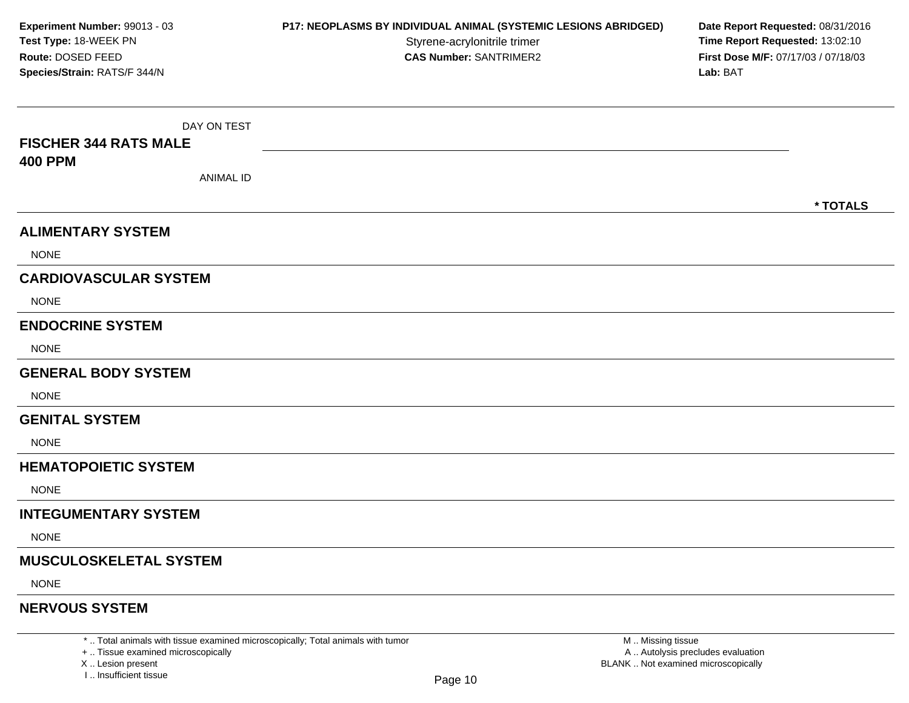| Experiment Number: 99013 - 03<br>Test Type: 18-WEEK PN<br>Route: DOSED FEED<br>Species/Strain: RATS/F 344/N | P17: NEOPLASMS BY INDIVIDUAL ANIMAL (SYSTEMIC LESIONS ABRIDGED)<br>Styrene-acrylonitrile trimer<br><b>CAS Number: SANTRIMER2</b> | Date Report Requested: 08/31/2016<br>Time Report Requested: 13:02:10<br>First Dose M/F: 07/17/03 / 07/18/03<br>Lab: BAT |  |
|-------------------------------------------------------------------------------------------------------------|----------------------------------------------------------------------------------------------------------------------------------|-------------------------------------------------------------------------------------------------------------------------|--|
| DAY ON TEST                                                                                                 |                                                                                                                                  |                                                                                                                         |  |
| <b>FISCHER 344 RATS MALE</b>                                                                                |                                                                                                                                  |                                                                                                                         |  |
| <b>400 PPM</b>                                                                                              |                                                                                                                                  |                                                                                                                         |  |
| <b>ANIMAL ID</b>                                                                                            |                                                                                                                                  |                                                                                                                         |  |
|                                                                                                             |                                                                                                                                  | * TOTALS                                                                                                                |  |
| <b>ALIMENTARY SYSTEM</b>                                                                                    |                                                                                                                                  |                                                                                                                         |  |
| <b>NONE</b>                                                                                                 |                                                                                                                                  |                                                                                                                         |  |
| <b>CARDIOVASCULAR SYSTEM</b>                                                                                |                                                                                                                                  |                                                                                                                         |  |
| <b>NONE</b>                                                                                                 |                                                                                                                                  |                                                                                                                         |  |
| <b>ENDOCRINE SYSTEM</b>                                                                                     |                                                                                                                                  |                                                                                                                         |  |
| <b>NONE</b>                                                                                                 |                                                                                                                                  |                                                                                                                         |  |
| <b>GENERAL BODY SYSTEM</b>                                                                                  |                                                                                                                                  |                                                                                                                         |  |
| <b>NONE</b>                                                                                                 |                                                                                                                                  |                                                                                                                         |  |
| <b>GENITAL SYSTEM</b>                                                                                       |                                                                                                                                  |                                                                                                                         |  |
| <b>NONE</b>                                                                                                 |                                                                                                                                  |                                                                                                                         |  |
| <b>HEMATOPOIETIC SYSTEM</b>                                                                                 |                                                                                                                                  |                                                                                                                         |  |
| <b>NONE</b>                                                                                                 |                                                                                                                                  |                                                                                                                         |  |
| <b>INTEGUMENTARY SYSTEM</b>                                                                                 |                                                                                                                                  |                                                                                                                         |  |
| <b>NONE</b>                                                                                                 |                                                                                                                                  |                                                                                                                         |  |
| <b>MUSCULOSKELETAL SYSTEM</b>                                                                               |                                                                                                                                  |                                                                                                                         |  |
| <b>NONE</b>                                                                                                 |                                                                                                                                  |                                                                                                                         |  |
| <b>NERVOUS SYSTEM</b>                                                                                       |                                                                                                                                  |                                                                                                                         |  |

\* .. Total animals with tissue examined microscopically; Total animals with tumor<br>+ .. Tissue examined microscopically a .. Autolysis precludes evaluation examined microscopically A .. Autolysis precludes evaluation

X .. Lesion present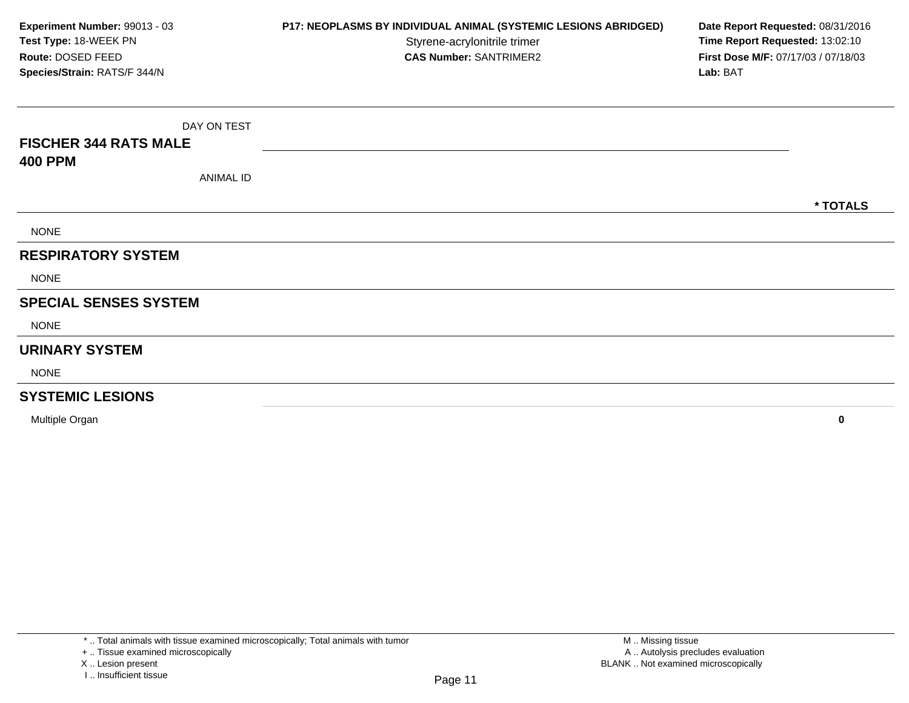| Experiment Number: 99013 - 03<br>Test Type: 18-WEEK PN<br>Route: DOSED FEED<br>Species/Strain: RATS/F 344/N | P17: NEOPLASMS BY INDIVIDUAL ANIMAL (SYSTEMIC LESIONS ABRIDGED)<br>Styrene-acrylonitrile trimer<br><b>CAS Number: SANTRIMER2</b> | Date Report Requested: 08/31/2016<br>Time Report Requested: 13:02:10<br>First Dose M/F: 07/17/03 / 07/18/03<br>Lab: BAT |
|-------------------------------------------------------------------------------------------------------------|----------------------------------------------------------------------------------------------------------------------------------|-------------------------------------------------------------------------------------------------------------------------|
| DAY ON TEST                                                                                                 |                                                                                                                                  |                                                                                                                         |
| <b>FISCHER 344 RATS MALE</b>                                                                                |                                                                                                                                  |                                                                                                                         |
| <b>400 PPM</b>                                                                                              |                                                                                                                                  |                                                                                                                         |
| <b>ANIMAL ID</b>                                                                                            |                                                                                                                                  |                                                                                                                         |
|                                                                                                             |                                                                                                                                  | * TOTALS                                                                                                                |
| <b>NONE</b>                                                                                                 |                                                                                                                                  |                                                                                                                         |
| <b>RESPIRATORY SYSTEM</b>                                                                                   |                                                                                                                                  |                                                                                                                         |
| <b>NONE</b>                                                                                                 |                                                                                                                                  |                                                                                                                         |
| <b>SPECIAL SENSES SYSTEM</b>                                                                                |                                                                                                                                  |                                                                                                                         |
| <b>NONE</b>                                                                                                 |                                                                                                                                  |                                                                                                                         |
| <b>URINARY SYSTEM</b>                                                                                       |                                                                                                                                  |                                                                                                                         |
| <b>NONE</b>                                                                                                 |                                                                                                                                  |                                                                                                                         |
| <b>SYSTEMIC LESIONS</b>                                                                                     |                                                                                                                                  |                                                                                                                         |
| Multiple Organ                                                                                              |                                                                                                                                  | 0                                                                                                                       |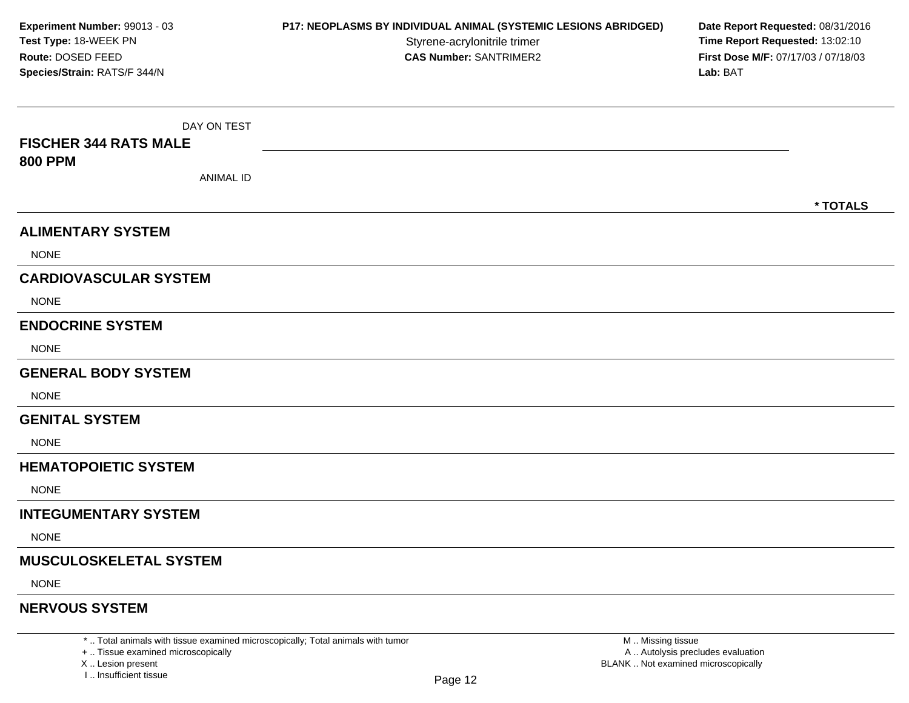| Experiment Number: 99013 - 03              | P17: NEOPLASMS BY INDIVIDUAL ANIMAL (SYSTEMIC LESIONS ABRIDGED) | Date Report Requested: 08/31/2016<br>Time Report Requested: 13:02:10<br>First Dose M/F: 07/17/03 / 07/18/03 |  |  |
|--------------------------------------------|-----------------------------------------------------------------|-------------------------------------------------------------------------------------------------------------|--|--|
| Test Type: 18-WEEK PN<br>Route: DOSED FEED | Styrene-acrylonitrile trimer<br><b>CAS Number: SANTRIMER2</b>   |                                                                                                             |  |  |
| Species/Strain: RATS/F 344/N               |                                                                 | Lab: BAT                                                                                                    |  |  |
| DAY ON TEST                                |                                                                 |                                                                                                             |  |  |
| <b>FISCHER 344 RATS MALE</b>               |                                                                 |                                                                                                             |  |  |
| <b>800 PPM</b>                             |                                                                 |                                                                                                             |  |  |
| <b>ANIMAL ID</b>                           |                                                                 |                                                                                                             |  |  |
|                                            |                                                                 | * TOTALS                                                                                                    |  |  |
| <b>ALIMENTARY SYSTEM</b>                   |                                                                 |                                                                                                             |  |  |
| <b>NONE</b>                                |                                                                 |                                                                                                             |  |  |
| <b>CARDIOVASCULAR SYSTEM</b>               |                                                                 |                                                                                                             |  |  |
| <b>NONE</b>                                |                                                                 |                                                                                                             |  |  |
| <b>ENDOCRINE SYSTEM</b>                    |                                                                 |                                                                                                             |  |  |
| <b>NONE</b>                                |                                                                 |                                                                                                             |  |  |
| <b>GENERAL BODY SYSTEM</b>                 |                                                                 |                                                                                                             |  |  |
| <b>NONE</b>                                |                                                                 |                                                                                                             |  |  |
| <b>GENITAL SYSTEM</b>                      |                                                                 |                                                                                                             |  |  |
| <b>NONE</b>                                |                                                                 |                                                                                                             |  |  |
| <b>HEMATOPOIETIC SYSTEM</b>                |                                                                 |                                                                                                             |  |  |
| <b>NONE</b>                                |                                                                 |                                                                                                             |  |  |
| <b>INTEGUMENTARY SYSTEM</b>                |                                                                 |                                                                                                             |  |  |
| <b>NONE</b>                                |                                                                 |                                                                                                             |  |  |
| <b>MUSCULOSKELETAL SYSTEM</b>              |                                                                 |                                                                                                             |  |  |
| <b>NONE</b>                                |                                                                 |                                                                                                             |  |  |
| <b>NERVOUS SYSTEM</b>                      |                                                                 |                                                                                                             |  |  |

X ..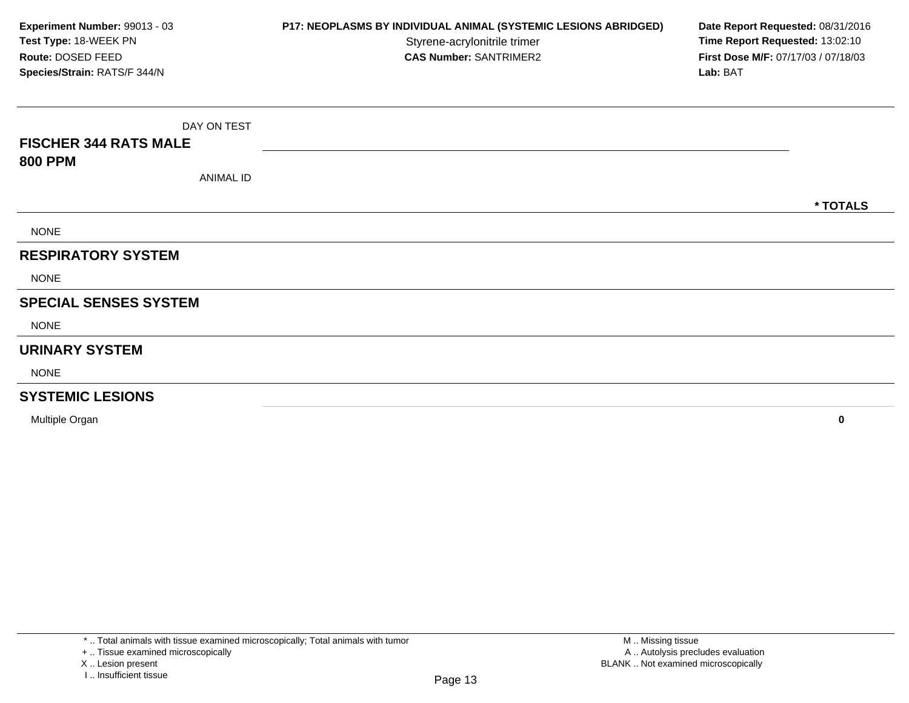| Experiment Number: 99013 - 03<br>Test Type: 18-WEEK PN<br>Route: DOSED FEED<br>Species/Strain: RATS/F 344/N | P17: NEOPLASMS BY INDIVIDUAL ANIMAL (SYSTEMIC LESIONS ABRIDGED)<br>Styrene-acrylonitrile trimer<br><b>CAS Number: SANTRIMER2</b> | Date Report Requested: 08/31/2016<br>Time Report Requested: 13:02:10<br>First Dose M/F: 07/17/03 / 07/18/03<br>Lab: BAT |
|-------------------------------------------------------------------------------------------------------------|----------------------------------------------------------------------------------------------------------------------------------|-------------------------------------------------------------------------------------------------------------------------|
| DAY ON TEST                                                                                                 |                                                                                                                                  |                                                                                                                         |
| <b>FISCHER 344 RATS MALE</b>                                                                                |                                                                                                                                  |                                                                                                                         |
| <b>800 PPM</b>                                                                                              |                                                                                                                                  |                                                                                                                         |
| <b>ANIMAL ID</b>                                                                                            |                                                                                                                                  |                                                                                                                         |
|                                                                                                             |                                                                                                                                  | * TOTALS                                                                                                                |
| <b>NONE</b>                                                                                                 |                                                                                                                                  |                                                                                                                         |
| <b>RESPIRATORY SYSTEM</b>                                                                                   |                                                                                                                                  |                                                                                                                         |
| <b>NONE</b>                                                                                                 |                                                                                                                                  |                                                                                                                         |
| <b>SPECIAL SENSES SYSTEM</b>                                                                                |                                                                                                                                  |                                                                                                                         |
| <b>NONE</b>                                                                                                 |                                                                                                                                  |                                                                                                                         |
| <b>URINARY SYSTEM</b>                                                                                       |                                                                                                                                  |                                                                                                                         |
| <b>NONE</b>                                                                                                 |                                                                                                                                  |                                                                                                                         |
| <b>SYSTEMIC LESIONS</b>                                                                                     |                                                                                                                                  |                                                                                                                         |
| Multiple Organ                                                                                              |                                                                                                                                  | 0                                                                                                                       |

**<sup>0</sup>**

X .. Lesion present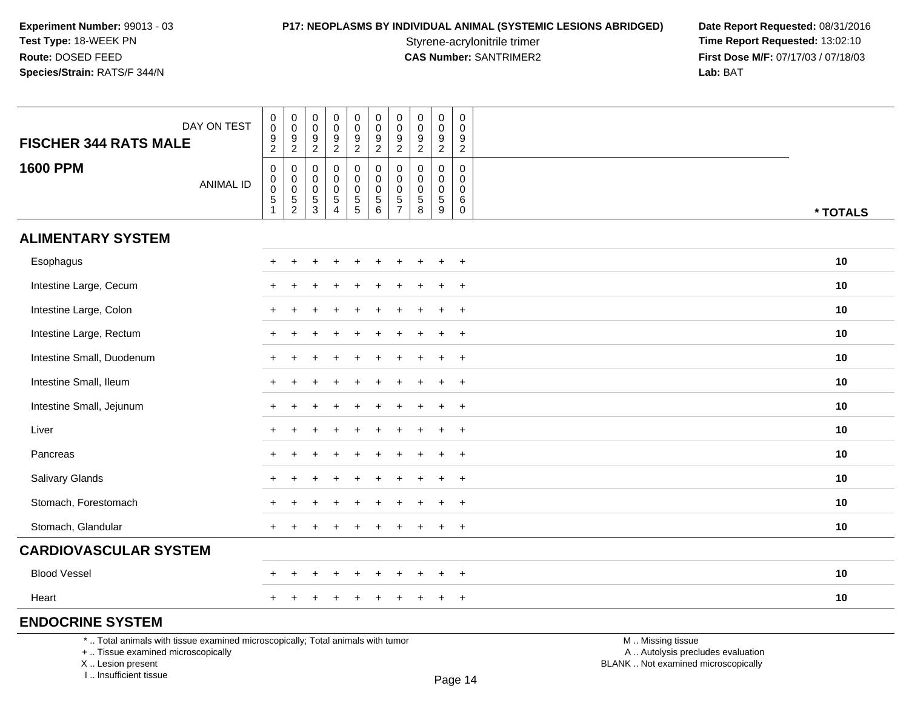**P17: NEOPLASMS BY INDIVIDUAL ANIMAL (SYSTEMIC LESIONS ABRIDGED) Date Report Requested: 08/31/2016<br>Styrene-acrylonitrile trimer <b>Time Report Requested: 13:02:10** Styrene-acrylonitrile trimer<br> **CAS Number:** SANTRIMER2 **Time Report Requested:** 13:02:10<br> **Time Report Requested:** 13:02:10 **First Dose M/F:** 07/17/03 / 07/18/03<br>Lab: BAT **Lab:** BAT

| DAY ON TEST<br><b>FISCHER 344 RATS MALE</b>                                     |  | $\,0\,$<br>$\,0\,$<br>$\boldsymbol{9}$<br>$\overline{2}$                  | $\pmb{0}$<br>$\mathbf 0$<br>$\frac{9}{2}$ | $\pmb{0}$<br>$\pmb{0}$<br>$\frac{9}{2}$ | $\pmb{0}$<br>$\pmb{0}$<br>$\frac{9}{2}$          | $\mathbf 0$<br>$\pmb{0}$<br>$\frac{9}{2}$         | $\pmb{0}$<br>$\mathsf 0$<br>$\frac{9}{2}$          | $\pmb{0}$<br>$\mathbf 0$<br>9<br>$\overline{2}$ | $\pmb{0}$<br>$\pmb{0}$<br>$\frac{9}{2}$                        | $\pmb{0}$<br>$\mathbf 0$<br>$\frac{9}{2}$                  | $\mathsf 0$<br>$\mathbf 0$<br>$\frac{9}{2}$                 |                   |          |
|---------------------------------------------------------------------------------|--|---------------------------------------------------------------------------|-------------------------------------------|-----------------------------------------|--------------------------------------------------|---------------------------------------------------|----------------------------------------------------|-------------------------------------------------|----------------------------------------------------------------|------------------------------------------------------------|-------------------------------------------------------------|-------------------|----------|
| <b>1600 PPM</b><br><b>ANIMAL ID</b>                                             |  | $\boldsymbol{0}$<br>$\pmb{0}$<br>$\pmb{0}$<br>$\,$ 5 $\,$<br>$\mathbf{1}$ | 0<br>$\mathbf 0$<br>0<br>$\frac{5}{2}$    | 0<br>0<br>0<br>$\frac{5}{3}$            | $\mathbf 0$<br>$\mathbf 0$<br>0<br>$\frac{5}{4}$ | 0<br>$\mathbf 0$<br>$\mathbf 0$<br>$\overline{5}$ | 0<br>$\mathbf 0$<br>$\mathbf 0$<br>$\sqrt{5}$<br>6 | 0<br>$\Omega$<br>0<br>5<br>$\overline{7}$       | $\mathbf 0$<br>0<br>0<br>$\begin{array}{c} 5 \\ 8 \end{array}$ | $\mathbf 0$<br>$\mathbf 0$<br>$\mathbf 0$<br>$\frac{5}{9}$ | $\mathbf 0$<br>$\mathbf 0$<br>0<br>6<br>$\mathsf{O}\xspace$ |                   | * TOTALS |
| <b>ALIMENTARY SYSTEM</b>                                                        |  |                                                                           |                                           |                                         |                                                  |                                                   |                                                    |                                                 |                                                                |                                                            |                                                             |                   |          |
| Esophagus                                                                       |  |                                                                           |                                           |                                         |                                                  |                                                   |                                                    |                                                 |                                                                | $\ddot{}$                                                  | $+$                                                         |                   | 10       |
| Intestine Large, Cecum                                                          |  |                                                                           |                                           |                                         |                                                  |                                                   |                                                    |                                                 |                                                                | $\overline{ }$                                             | $\overline{+}$                                              |                   | 10       |
| Intestine Large, Colon                                                          |  |                                                                           |                                           |                                         |                                                  |                                                   |                                                    |                                                 |                                                                | $\ddot{}$                                                  | $+$                                                         |                   | 10       |
| Intestine Large, Rectum                                                         |  |                                                                           |                                           |                                         |                                                  |                                                   |                                                    |                                                 |                                                                |                                                            | $+$                                                         |                   | 10       |
| Intestine Small, Duodenum                                                       |  |                                                                           |                                           |                                         |                                                  |                                                   |                                                    |                                                 |                                                                | $\div$                                                     | $\overline{+}$                                              |                   | 10       |
| Intestine Small, Ileum                                                          |  |                                                                           |                                           |                                         |                                                  |                                                   |                                                    |                                                 |                                                                | $\ddot{}$                                                  | $+$                                                         |                   | 10       |
| Intestine Small, Jejunum                                                        |  |                                                                           |                                           |                                         |                                                  |                                                   |                                                    |                                                 |                                                                |                                                            | $\overline{+}$                                              |                   | 10       |
| Liver                                                                           |  |                                                                           |                                           |                                         |                                                  |                                                   |                                                    |                                                 |                                                                | $\ddot{}$                                                  | $+$                                                         |                   | 10       |
| Pancreas                                                                        |  |                                                                           |                                           |                                         |                                                  |                                                   |                                                    |                                                 |                                                                | $\div$                                                     | $\overline{+}$                                              |                   | 10       |
| Salivary Glands                                                                 |  |                                                                           |                                           |                                         |                                                  |                                                   |                                                    |                                                 |                                                                | $\div$                                                     | $+$                                                         |                   | 10       |
| Stomach, Forestomach                                                            |  |                                                                           |                                           |                                         |                                                  |                                                   |                                                    |                                                 |                                                                |                                                            | $\ddot{}$                                                   |                   | 10       |
| Stomach, Glandular                                                              |  | $+$                                                                       | $\ddot{}$                                 |                                         | $\overline{+}$                                   | $\ddot{}$                                         | $\pm$                                              | $\div$                                          |                                                                | $+$                                                        | $+$                                                         |                   | 10       |
| <b>CARDIOVASCULAR SYSTEM</b>                                                    |  |                                                                           |                                           |                                         |                                                  |                                                   |                                                    |                                                 |                                                                |                                                            |                                                             |                   |          |
| <b>Blood Vessel</b>                                                             |  |                                                                           |                                           |                                         |                                                  |                                                   |                                                    |                                                 |                                                                |                                                            | $\overline{+}$                                              |                   | 10       |
| Heart                                                                           |  | $\pm$                                                                     |                                           |                                         | $\pm$                                            | $\ddot{}$                                         | ÷                                                  | ÷                                               |                                                                | $+$                                                        | $+$                                                         |                   | 10       |
| <b>ENDOCRINE SYSTEM</b>                                                         |  |                                                                           |                                           |                                         |                                                  |                                                   |                                                    |                                                 |                                                                |                                                            |                                                             |                   |          |
| *  Total animals with tissue examined microscopically; Total animals with tumor |  |                                                                           |                                           |                                         |                                                  |                                                   |                                                    |                                                 |                                                                |                                                            |                                                             | M  Missing tissue |          |

+ .. Tissue examined microscopically

X .. Lesion present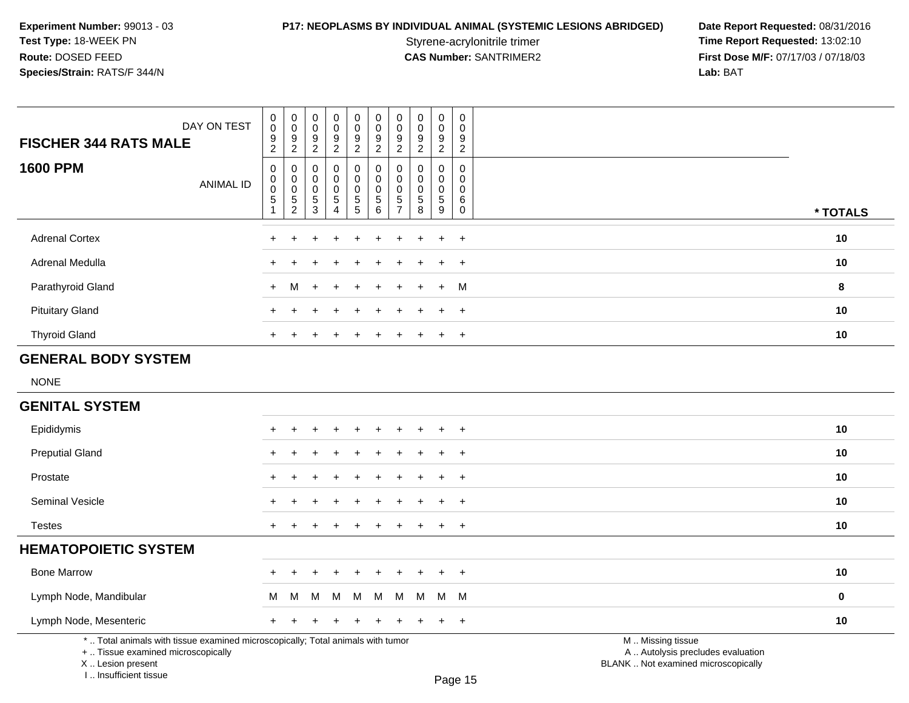**P17: NEOPLASMS BY INDIVIDUAL ANIMAL (SYSTEMIC LESIONS ABRIDGED) Date Report Requested: 08/31/2016<br>Styrene-acrylonitrile trimer <b>Time Report Requested: 13:02:10** Styrene-acrylonitrile trimer<br> **CAS Number:** SANTRIMER2 **Time Report Requested:** 13:02:10<br> **Time Report Requested:** 13:02:10 **First Dose M/F:** 07/17/03 / 07/18/03<br>Lab: BAT **Lab:** BAT

| DAY ON TEST<br><b>FISCHER 344 RATS MALE</b>                                                                                                | $\pmb{0}$<br>$\pmb{0}$<br>9<br>$\overline{2}$ | $\begin{smallmatrix} 0\\0 \end{smallmatrix}$<br>$\frac{9}{2}$               | 0<br>$\mathbf 0$<br>9<br>$\overline{2}$  | $\pmb{0}$<br>$\mathbf 0$<br>9<br>$\overline{2}$                           | $\pmb{0}$<br>$\pmb{0}$<br>9<br>$\overline{2}$  | $\pmb{0}$<br>$\pmb{0}$<br>$\boldsymbol{9}$<br>$\overline{2}$                     | $\pmb{0}$<br>$\pmb{0}$<br>9<br>$\overline{2}$                       | $\pmb{0}$<br>$\pmb{0}$<br>9<br>$\overline{2}$ | $\pmb{0}$<br>$\pmb{0}$<br>9<br>$\overline{2}$                | $\boldsymbol{0}$<br>$\mathbf 0$<br>9<br>$\overline{2}$ |                                                                                               |          |
|--------------------------------------------------------------------------------------------------------------------------------------------|-----------------------------------------------|-----------------------------------------------------------------------------|------------------------------------------|---------------------------------------------------------------------------|------------------------------------------------|----------------------------------------------------------------------------------|---------------------------------------------------------------------|-----------------------------------------------|--------------------------------------------------------------|--------------------------------------------------------|-----------------------------------------------------------------------------------------------|----------|
| <b>1600 PPM</b><br><b>ANIMAL ID</b>                                                                                                        | 0<br>$\mathbf 0$<br>$\pmb{0}$<br>$\sqrt{5}$   | $\mathbf 0$<br>$\pmb{0}$<br>$\overline{0}$<br>$\,$ 5 $\,$<br>$\overline{2}$ | 0<br>0<br>$\mathbf 0$<br>$\sqrt{5}$<br>3 | $\mathbf 0$<br>$\mathbf 0$<br>$\mathbf 0$<br>$\sqrt{5}$<br>$\overline{4}$ | 0<br>$\mathbf 0$<br>$\pmb{0}$<br>$\frac{5}{5}$ | $\mathbf 0$<br>$\pmb{0}$<br>$\mathbf 0$<br>$\begin{array}{c} 5 \\ 6 \end{array}$ | $\mathbf 0$<br>0<br>$\mathbf 0$<br>$\overline{5}$<br>$\overline{7}$ | $\mathbf 0$<br>0<br>0<br>$\,$ 5 $\,$<br>8     | $\mathbf 0$<br>$\mathbf 0$<br>$\mathbf 0$<br>$\sqrt{5}$<br>9 | $\mathbf 0$<br>0<br>$\mathbf 0$<br>6<br>$\mathbf 0$    |                                                                                               | * TOTALS |
| <b>Adrenal Cortex</b>                                                                                                                      |                                               |                                                                             |                                          |                                                                           |                                                |                                                                                  |                                                                     |                                               |                                                              | $\overline{+}$                                         |                                                                                               | 10       |
| Adrenal Medulla                                                                                                                            | $\pm$                                         |                                                                             |                                          |                                                                           |                                                |                                                                                  |                                                                     |                                               |                                                              | $\overline{+}$                                         |                                                                                               | 10       |
| Parathyroid Gland                                                                                                                          | $+$                                           | м                                                                           | $\div$                                   |                                                                           |                                                |                                                                                  |                                                                     |                                               |                                                              | M                                                      |                                                                                               | 8        |
| <b>Pituitary Gland</b>                                                                                                                     | +                                             |                                                                             |                                          |                                                                           |                                                |                                                                                  |                                                                     |                                               |                                                              | $+$                                                    |                                                                                               | 10       |
| <b>Thyroid Gland</b>                                                                                                                       |                                               |                                                                             |                                          |                                                                           |                                                |                                                                                  |                                                                     |                                               |                                                              | $\ddot{}$                                              |                                                                                               | 10       |
| <b>GENERAL BODY SYSTEM</b>                                                                                                                 |                                               |                                                                             |                                          |                                                                           |                                                |                                                                                  |                                                                     |                                               |                                                              |                                                        |                                                                                               |          |
| <b>NONE</b>                                                                                                                                |                                               |                                                                             |                                          |                                                                           |                                                |                                                                                  |                                                                     |                                               |                                                              |                                                        |                                                                                               |          |
| <b>GENITAL SYSTEM</b>                                                                                                                      |                                               |                                                                             |                                          |                                                                           |                                                |                                                                                  |                                                                     |                                               |                                                              |                                                        |                                                                                               |          |
| Epididymis                                                                                                                                 | +                                             |                                                                             |                                          |                                                                           |                                                |                                                                                  |                                                                     |                                               |                                                              | $\overline{+}$                                         |                                                                                               | 10       |
| <b>Preputial Gland</b>                                                                                                                     |                                               |                                                                             |                                          |                                                                           |                                                |                                                                                  |                                                                     |                                               |                                                              |                                                        |                                                                                               | 10       |
| Prostate                                                                                                                                   |                                               |                                                                             |                                          |                                                                           |                                                |                                                                                  |                                                                     |                                               |                                                              | $\ddot{}$                                              |                                                                                               | 10       |
| <b>Seminal Vesicle</b>                                                                                                                     | $+$                                           |                                                                             |                                          |                                                                           |                                                |                                                                                  |                                                                     |                                               | $\overline{ }$                                               | $+$                                                    |                                                                                               | 10       |
| <b>Testes</b>                                                                                                                              | $+$                                           | ÷                                                                           |                                          |                                                                           | $\div$                                         |                                                                                  | $\ddot{}$                                                           |                                               | $\ddot{}$                                                    | $+$                                                    |                                                                                               | 10       |
| <b>HEMATOPOIETIC SYSTEM</b>                                                                                                                |                                               |                                                                             |                                          |                                                                           |                                                |                                                                                  |                                                                     |                                               |                                                              |                                                        |                                                                                               |          |
| <b>Bone Marrow</b>                                                                                                                         |                                               |                                                                             |                                          |                                                                           |                                                |                                                                                  |                                                                     |                                               |                                                              | $\ddot{}$                                              |                                                                                               | 10       |
| Lymph Node, Mandibular                                                                                                                     | м                                             | м                                                                           | м                                        | M                                                                         | M                                              | M                                                                                | M                                                                   | M                                             |                                                              | M M                                                    |                                                                                               | 0        |
| Lymph Node, Mesenteric                                                                                                                     | $+$                                           |                                                                             |                                          |                                                                           |                                                |                                                                                  |                                                                     |                                               |                                                              | $+$                                                    |                                                                                               | 10       |
| *  Total animals with tissue examined microscopically; Total animals with tumor<br>+  Tissue examined microscopically<br>X  Lesion present |                                               |                                                                             |                                          |                                                                           |                                                |                                                                                  |                                                                     |                                               |                                                              |                                                        | M  Missing tissue<br>A  Autolysis precludes evaluation<br>BLANK  Not examined microscopically |          |

X .. Lesion present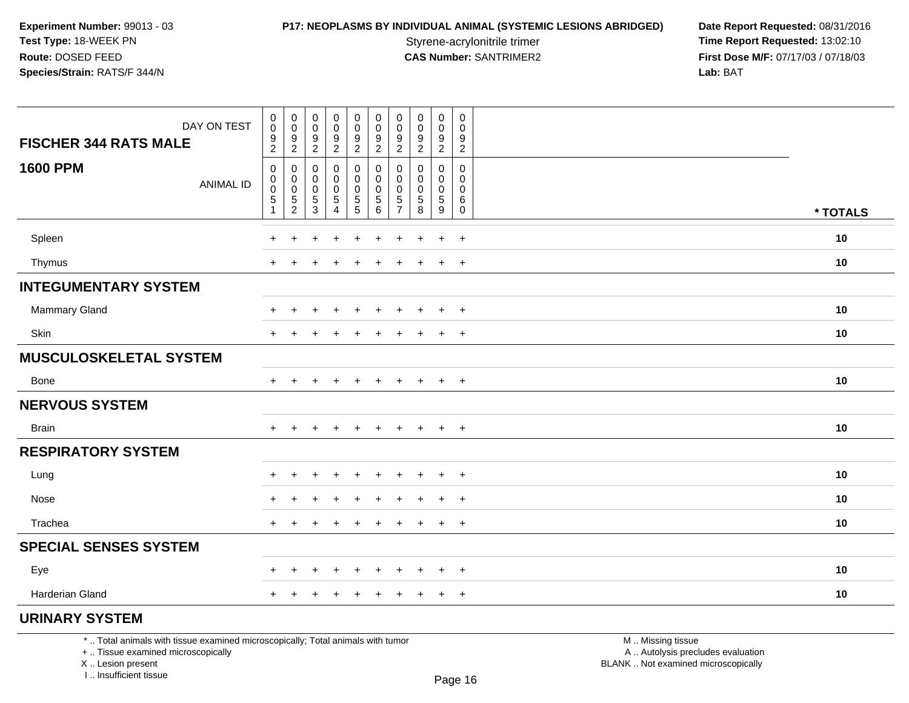**P17: NEOPLASMS BY INDIVIDUAL ANIMAL (SYSTEMIC LESIONS ABRIDGED) Date Report Requested: 08/31/2016<br>Styrene-acrylonitrile trimer <b>Time Report Requested: 13:02:10** Styrene-acrylonitrile trimer<br>
CAS Number: SANTRIMER2<br> **CAS Number:** SANTRIMER2<br> **Time Report Requested:** 13:02:10 **First Dose M/F:** 07/17/03 / 07/18/03<br>Lab: BAT **Lab:** BAT

| DAY ON TEST<br><b>FISCHER 344 RATS MALE</b> | 0<br>$\ddot{\mathbf{0}}$<br>$\frac{9}{2}$           | $\begin{smallmatrix} 0\\0 \end{smallmatrix}$<br>$\frac{9}{2}$ | $\begin{smallmatrix} 0\\0 \end{smallmatrix}$<br>$\frac{9}{2}$ | 0<br>$\overline{0}$<br>$\frac{9}{2}$ | $\pmb{0}$<br>$\overline{0}$<br>$\boldsymbol{9}$<br>$\overline{2}$ | 0<br>$\mathbf 0$<br>9<br>$\overline{a}$           | $\mathbf 0$<br>$\pmb{0}$<br>$\frac{9}{2}$ | $\begin{smallmatrix} 0\\0 \end{smallmatrix}$<br>$\frac{9}{2}$ | $\mathbf 0$<br>$\mathbf 0$<br>$\frac{9}{2}$ | $\pmb{0}$<br>$\pmb{0}$<br>9<br>$\overline{2}$                 |          |  |
|---------------------------------------------|-----------------------------------------------------|---------------------------------------------------------------|---------------------------------------------------------------|--------------------------------------|-------------------------------------------------------------------|---------------------------------------------------|-------------------------------------------|---------------------------------------------------------------|---------------------------------------------|---------------------------------------------------------------|----------|--|
| <b>1600 PPM</b><br><b>ANIMAL ID</b>         | 0<br>$\mathbf 0$<br>0<br>$\sqrt{5}$<br>$\mathbf{1}$ | 0<br>$\pmb{0}$<br>$\pmb{0}$<br>$\frac{5}{2}$                  | 0<br>$\pmb{0}$<br>$\pmb{0}$<br>$\sqrt{5}$<br>$\mathbf{3}$     | 0<br>0<br>0<br>$\sqrt{5}$<br>4       | 0<br>$\mathbf 0$<br>$\mathbf 0$<br>$\mathbf 5$<br>5               | 0<br>$\mathbf 0$<br>$\pmb{0}$<br>$\,$ 5 $\,$<br>6 | 0<br>0<br>0<br>$\frac{5}{7}$              | 0<br>$\mathbf 0$<br>$\mathbf 0$<br>$\mathbf 5$<br>8           | 0<br>0<br>0<br>$\sqrt{5}$<br>$9\,$          | $\mathbf 0$<br>$\mathbf 0$<br>$\mathbf 0$<br>6<br>$\mathbf 0$ | * TOTALS |  |
| Spleen                                      | $\div$                                              | ÷                                                             | ÷.                                                            | $\ddot{}$                            | $\ddot{}$                                                         | $\ddot{}$                                         | $\pm$                                     | $\div$                                                        | $+$                                         | $+$                                                           | 10       |  |
| Thymus                                      | $\ddot{}$                                           | +                                                             | $\pm$                                                         | $\ddot{}$                            | $\pm$                                                             | $\ddot{}$                                         | ÷                                         | $\pm$                                                         | $+$                                         | $^{+}$                                                        | 10       |  |
| <b>INTEGUMENTARY SYSTEM</b>                 |                                                     |                                                               |                                                               |                                      |                                                                   |                                                   |                                           |                                                               |                                             |                                                               |          |  |
| Mammary Gland                               |                                                     |                                                               |                                                               |                                      |                                                                   |                                                   |                                           |                                                               | $\ddot{}$                                   | $+$                                                           | 10       |  |
| Skin                                        | $+$                                                 | $\ddot{}$                                                     | $\pm$                                                         | $\overline{+}$                       | $\ddot{}$                                                         | $\ddot{}$                                         | $\ddot{}$                                 | $\overline{+}$                                                | $+$                                         | $+$                                                           | 10       |  |
| <b>MUSCULOSKELETAL SYSTEM</b>               |                                                     |                                                               |                                                               |                                      |                                                                   |                                                   |                                           |                                                               |                                             |                                                               |          |  |
| Bone                                        | $+$                                                 | +                                                             | $\ddot{}$                                                     | $\ddot{}$                            | +                                                                 | +                                                 | $\ddot{}$                                 | $\ddot{}$                                                     | $+$                                         | $+$                                                           | 10       |  |
| <b>NERVOUS SYSTEM</b>                       |                                                     |                                                               |                                                               |                                      |                                                                   |                                                   |                                           |                                                               |                                             |                                                               |          |  |
| <b>Brain</b>                                | $\ddot{}$                                           | $\ddot{}$                                                     | $\div$                                                        | $\ddot{}$                            | $\ddot{}$                                                         | $\ddot{}$                                         | $\ddot{}$                                 | $\overline{+}$                                                | $+$                                         | $+$                                                           | 10       |  |
| <b>RESPIRATORY SYSTEM</b>                   |                                                     |                                                               |                                                               |                                      |                                                                   |                                                   |                                           |                                                               |                                             |                                                               |          |  |
| Lung                                        | $+$                                                 | $\pm$                                                         | $\ddot{}$                                                     | $+$                                  | $\ddot{}$                                                         | $\ddot{}$                                         | $\ddot{}$                                 | $\ddot{}$                                                     | $+$                                         | $+$                                                           | 10       |  |
| Nose                                        | $\ddot{}$                                           | +                                                             |                                                               |                                      |                                                                   |                                                   |                                           |                                                               | $\ddot{}$                                   | $+$                                                           | 10       |  |
| Trachea                                     | $+$                                                 | $\pm$                                                         | $\div$                                                        | $\ddot{}$                            | $\ddot{}$                                                         | $\ddot{}$                                         | $\ddot{}$                                 | $\ddot{}$                                                     | $+$                                         | $+$                                                           | 10       |  |
| <b>SPECIAL SENSES SYSTEM</b>                |                                                     |                                                               |                                                               |                                      |                                                                   |                                                   |                                           |                                                               |                                             |                                                               |          |  |
| Eye                                         | $+$                                                 | $+$                                                           | $\overline{+}$                                                | $+$                                  | $\ddot{}$                                                         | $\ddot{}$                                         | $\ddot{}$                                 | $+$                                                           | $+$                                         | $+$                                                           | 10       |  |
| <b>Harderian Gland</b>                      | $+$                                                 | $\ddot{}$                                                     | $\pm$                                                         | $\ddot{}$                            | $\ddot{}$                                                         | $\ddot{}$                                         | $\ddot{}$                                 | $\ddot{}$                                                     | $+$                                         | $+$                                                           | 10       |  |
| <b>URINARY SYSTEM</b>                       |                                                     |                                                               |                                                               |                                      |                                                                   |                                                   |                                           |                                                               |                                             |                                                               |          |  |

\* .. Total animals with tissue examined microscopically; Total animals with tumor

+ .. Tissue examined microscopically

X .. Lesion present

I .. Insufficient tissue

 M .. Missing tissuey the contract of the contract of the contract of the contract of the contract of  $\mathsf A$  . Autolysis precludes evaluation Lesion present BLANK .. Not examined microscopically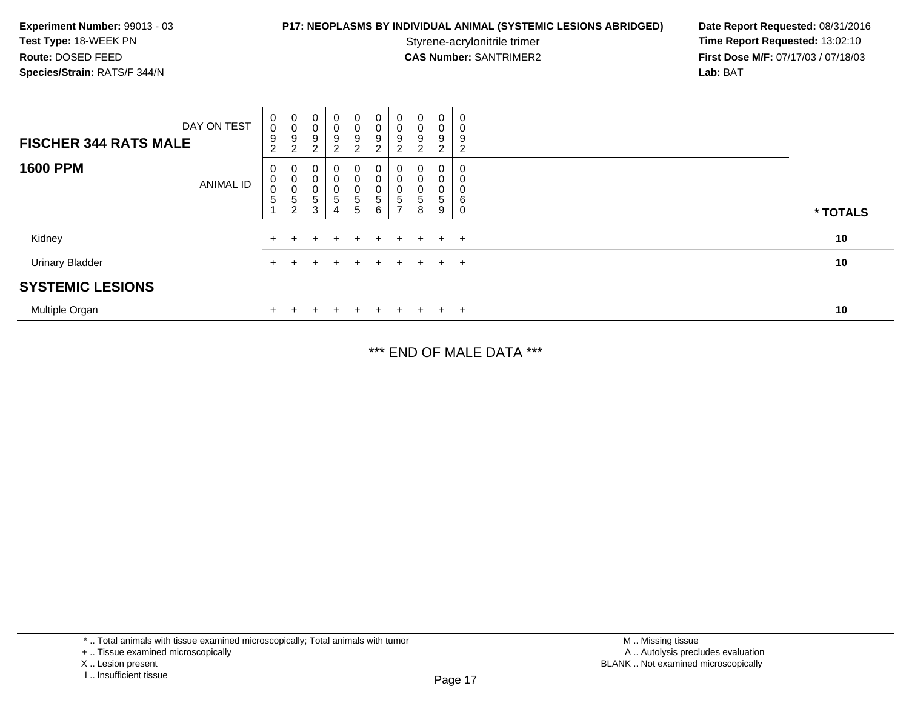## **P17: NEOPLASMS BY INDIVIDUAL ANIMAL (SYSTEMIC LESIONS ABRIDGED) Date Report Requested: 08/31/2016<br>Styrene-acrylonitrile trimer <b>Time Report Requested: 13:02:10**

Styrene-acrylonitrile trimer<br>
CAS Number: SANTRIMER2<br> **CAS Number:** SANTRIMER2<br> **Time Report Requested:** 13:02:10 **First Dose M/F:** 07/17/03 / 07/18/03<br>Lab: BAT **Lab:** BAT

| DAY ON TEST<br><b>FISCHER 344 RATS MALE</b> | $_0^0$<br>$\boldsymbol{9}$<br>$\overline{2}$ | $\begin{smallmatrix}0\\0\end{smallmatrix}$<br>$\boldsymbol{9}$<br>2                      | 0<br>$\pmb{0}$<br>9<br>$\overline{2}$  | $\begin{smallmatrix}0\0\0\9\end{smallmatrix}$<br>$\overline{2}$           | 0<br>$\bar{0}$<br>9<br>$\overline{2}$ | $\boldsymbol{0}$<br>$\boldsymbol{9}$<br>$\overline{2}$ | 0<br>$\mathbf 0$<br>9<br>$\overline{c}$  | $\pmb{0}$<br>9<br>$\overline{2}$       | 0<br>$\pmb{0}$<br>$\boldsymbol{9}$<br>$\overline{2}$ | 0<br>0<br>9<br>$\overline{2}$ |          |
|---------------------------------------------|----------------------------------------------|------------------------------------------------------------------------------------------|----------------------------------------|---------------------------------------------------------------------------|---------------------------------------|--------------------------------------------------------|------------------------------------------|----------------------------------------|------------------------------------------------------|-------------------------------|----------|
| <b>1600 PPM</b><br><b>ANIMAL ID</b>         | $\pmb{0}$<br>$\pmb{0}$<br>$\sqrt{5}$         | $\boldsymbol{0}$<br>$\pmb{0}$<br>$\begin{array}{c} 0 \\ 5 \end{array}$<br>$\overline{2}$ | 0<br>$\pmb{0}$<br>0<br>$\sqrt{5}$<br>3 | 0<br>$\pmb{0}$<br>$\begin{array}{c} 0 \\ 5 \end{array}$<br>$\overline{4}$ | 0<br>0<br>0<br>$5\,$<br>5             | 0<br>$\mathbf 0$<br>$\overline{5}$<br>6                | 0<br>0<br>$\mathbf 0$<br>$\sqrt{5}$<br>- | 0<br>0<br>$\pmb{0}$<br>$\sqrt{5}$<br>8 | 0<br>0<br>0<br>5<br>9                                | 0<br>0<br>0<br>6<br>0         | * TOTALS |
| Kidney                                      |                                              |                                                                                          |                                        | $+$                                                                       | $+$                                   | $+$                                                    | $+$                                      | $+$                                    |                                                      | $+$ $+$                       | 10       |
| <b>Urinary Bladder</b>                      | $+$                                          |                                                                                          |                                        | $\div$                                                                    | $\div$                                | $+$                                                    | $+$                                      | $+$                                    |                                                      | $+$ $+$                       | 10       |
| <b>SYSTEMIC LESIONS</b>                     |                                              |                                                                                          |                                        |                                                                           |                                       |                                                        |                                          |                                        |                                                      |                               |          |
| Multiple Organ                              |                                              |                                                                                          |                                        |                                                                           | $\div$                                | $+$                                                    | $+$                                      | ÷.                                     | $+$                                                  | $^{+}$                        | 10       |

\*\*\* END OF MALE DATA \*\*\*

\* .. Total animals with tissue examined microscopically; Total animals with tumor

X .. Lesion present

<sup>+ ..</sup> Tissue examined microscopically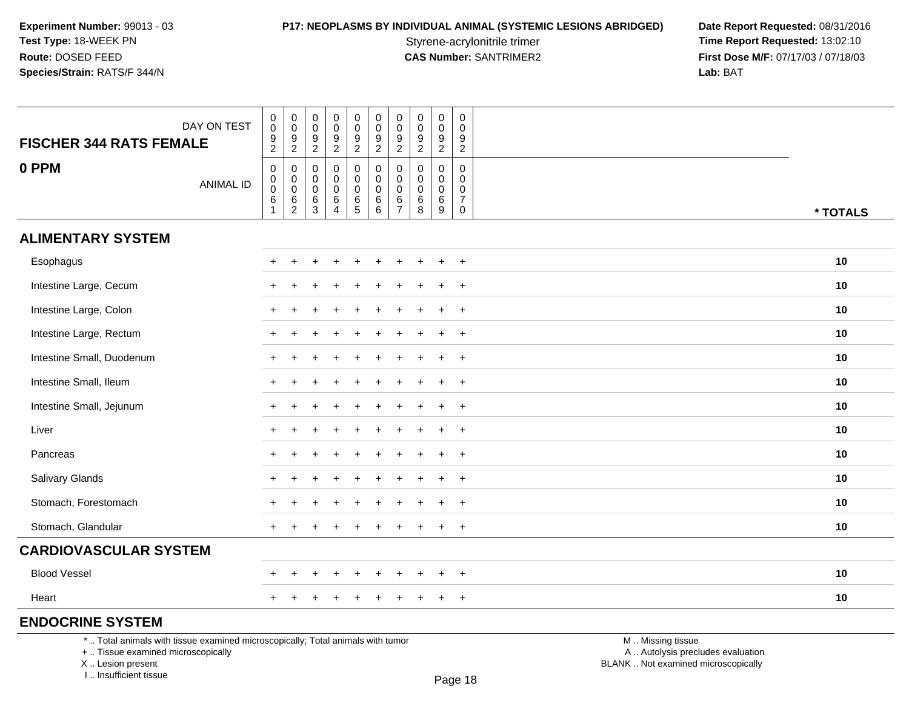Styrene-acrylonitrile trimer<br> **CAS Number:** SANTRIMER2 **Time Report Requested:** 13:02:10<br> **Time Report Requested:** 13:02:10 **First Dose M/F:** 07/17/03 / 07/18/03<br>Lab: BAT **Lab:** BAT

| <b>FISCHER 344 RATS FEMALE</b>                                                  | DAY ON TEST      | $\,0\,$<br>$\boldsymbol{0}$<br>$\boldsymbol{9}$<br>$\overline{2}$     | $\pmb{0}$<br>$\boldsymbol{0}$<br>$\boldsymbol{9}$<br>$\overline{2}$ | $\pmb{0}$<br>$\mathsf 0$<br>9<br>$\overline{2}$ | $\pmb{0}$<br>$\pmb{0}$<br>$\frac{9}{2}$             | $\mathsf 0$<br>$\pmb{0}$<br>$\frac{9}{2}$                | $\pmb{0}$<br>$\mathbf 0$<br>$\frac{9}{2}$                            | 0<br>0<br>9<br>$\overline{2}$                       | $\pmb{0}$<br>$\pmb{0}$<br>$\boldsymbol{9}$<br>$\overline{2}$     | $\pmb{0}$<br>$\mathbf 0$<br>$\frac{9}{2}$              | $\mathsf{O}\xspace$<br>0<br>9<br>$\overline{2}$                  |                   |          |
|---------------------------------------------------------------------------------|------------------|-----------------------------------------------------------------------|---------------------------------------------------------------------|-------------------------------------------------|-----------------------------------------------------|----------------------------------------------------------|----------------------------------------------------------------------|-----------------------------------------------------|------------------------------------------------------------------|--------------------------------------------------------|------------------------------------------------------------------|-------------------|----------|
| 0 PPM                                                                           | <b>ANIMAL ID</b> | $\boldsymbol{0}$<br>$\pmb{0}$<br>$\pmb{0}$<br>$\,6\,$<br>$\mathbf{1}$ | 0<br>$\mathbf 0$<br>$\mathbf 0$<br>6<br>$\overline{2}$              | 0<br>0<br>0<br>6<br>$\mathbf{3}$                | $\mathbf 0$<br>$\mathbf 0$<br>$\mathbf 0$<br>$^6_4$ | $\pmb{0}$<br>$\mathbf 0$<br>$\mathbf 0$<br>$\frac{6}{5}$ | $\mathbf 0$<br>$\mathbf 0$<br>$\mathbf 0$<br>$\,6$<br>$6\phantom{a}$ | 0<br>$\mathbf 0$<br>$\Omega$<br>6<br>$\overline{7}$ | $\mathbf 0$<br>$\mathbf 0$<br>$\mathbf 0$<br>6<br>$\overline{8}$ | $\mathbf 0$<br>$\mathbf 0$<br>0<br>6<br>$\overline{9}$ | $\mathbf 0$<br>$\mathbf 0$<br>0<br>$\overline{7}$<br>$\mathbf 0$ |                   | * TOTALS |
| <b>ALIMENTARY SYSTEM</b>                                                        |                  |                                                                       |                                                                     |                                                 |                                                     |                                                          |                                                                      |                                                     |                                                                  |                                                        |                                                                  |                   |          |
| Esophagus                                                                       |                  |                                                                       |                                                                     |                                                 |                                                     |                                                          |                                                                      |                                                     |                                                                  | $\ddot{}$                                              | $+$                                                              |                   | 10       |
| Intestine Large, Cecum                                                          |                  |                                                                       |                                                                     |                                                 |                                                     |                                                          |                                                                      |                                                     |                                                                  | $\ddot{}$                                              | $+$                                                              |                   | 10       |
| Intestine Large, Colon                                                          |                  |                                                                       |                                                                     |                                                 |                                                     |                                                          |                                                                      |                                                     |                                                                  | $\ddot{}$                                              | $+$                                                              |                   | 10       |
| Intestine Large, Rectum                                                         |                  |                                                                       |                                                                     |                                                 |                                                     |                                                          |                                                                      |                                                     |                                                                  |                                                        | $+$                                                              |                   | 10       |
| Intestine Small, Duodenum                                                       |                  |                                                                       |                                                                     |                                                 |                                                     |                                                          |                                                                      |                                                     |                                                                  |                                                        | $+$                                                              |                   | 10       |
| Intestine Small, Ileum                                                          |                  |                                                                       |                                                                     |                                                 |                                                     |                                                          |                                                                      |                                                     |                                                                  | $\ddot{}$                                              | $\overline{+}$                                                   |                   | 10       |
| Intestine Small, Jejunum                                                        |                  |                                                                       |                                                                     |                                                 |                                                     |                                                          |                                                                      |                                                     |                                                                  |                                                        | $+$                                                              |                   | 10       |
| Liver                                                                           |                  |                                                                       |                                                                     |                                                 |                                                     |                                                          |                                                                      |                                                     |                                                                  | $\div$                                                 | $\overline{+}$                                                   |                   | 10       |
| Pancreas                                                                        |                  |                                                                       |                                                                     |                                                 |                                                     |                                                          |                                                                      |                                                     |                                                                  | $\ddot{}$                                              | $\ddot{}$                                                        |                   | 10       |
| Salivary Glands                                                                 |                  |                                                                       |                                                                     |                                                 |                                                     |                                                          |                                                                      |                                                     |                                                                  |                                                        | $+$                                                              |                   | 10       |
| Stomach, Forestomach                                                            |                  |                                                                       |                                                                     |                                                 |                                                     |                                                          |                                                                      |                                                     |                                                                  |                                                        | $\ddot{}$                                                        |                   | 10       |
| Stomach, Glandular                                                              |                  | $+$                                                                   |                                                                     |                                                 | $\overline{+}$                                      | $\ddot{}$                                                |                                                                      |                                                     |                                                                  | $+$                                                    | $+$                                                              |                   | 10       |
| <b>CARDIOVASCULAR SYSTEM</b>                                                    |                  |                                                                       |                                                                     |                                                 |                                                     |                                                          |                                                                      |                                                     |                                                                  |                                                        |                                                                  |                   |          |
| <b>Blood Vessel</b>                                                             |                  |                                                                       |                                                                     |                                                 |                                                     |                                                          |                                                                      |                                                     |                                                                  |                                                        | $\overline{+}$                                                   |                   | 10       |
| Heart                                                                           |                  | $\pm$                                                                 |                                                                     |                                                 |                                                     | +                                                        | ÷                                                                    | ÷                                                   |                                                                  | $+$                                                    | $+$                                                              |                   | 10       |
| <b>ENDOCRINE SYSTEM</b>                                                         |                  |                                                                       |                                                                     |                                                 |                                                     |                                                          |                                                                      |                                                     |                                                                  |                                                        |                                                                  |                   |          |
| *  Total animals with tissue examined microscopically; Total animals with tumor |                  |                                                                       |                                                                     |                                                 |                                                     |                                                          |                                                                      |                                                     |                                                                  |                                                        |                                                                  | M  Missing tissue |          |

+ .. Tissue examined microscopically

X .. Lesion present

I .. Insufficient tissue

M .. Missing tissue

y the contract of the contract of the contract of the contract of the contract of  $\mathsf A$  . Autolysis precludes evaluation Lesion present BLANK .. Not examined microscopically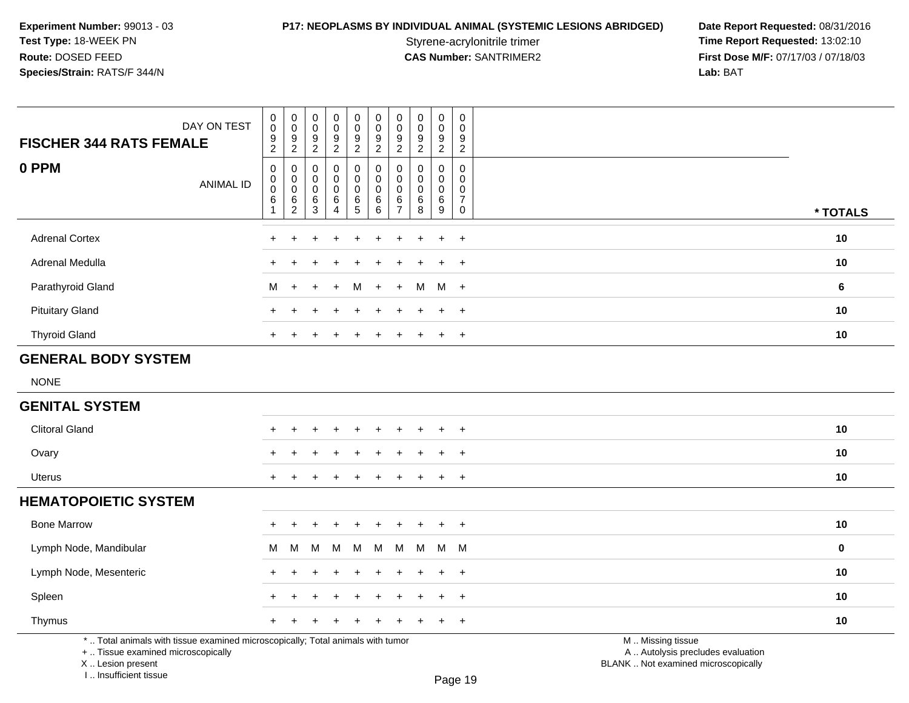**P17: NEOPLASMS BY INDIVIDUAL ANIMAL (SYSTEMIC LESIONS ABRIDGED) Date Report Requested: 08/31/2016<br>Styrene-acrylonitrile trimer <b>Time Report Requested: 13:02:10** Styrene-acrylonitrile trimer<br> **CAS Number:** SANTRIMER2 **Time Report Requested:** 13:02:10<br> **Time Report Requested:** 13:02:10 **First Dose M/F:** 07/17/03 / 07/18/03<br>Lab: BAT **Lab:** BAT

| DAY ON TEST<br><b>FISCHER 344 RATS FEMALE</b>                                   | $\pmb{0}$<br>$\pmb{0}$<br>$\boldsymbol{9}$<br>$\overline{2}$      | $\pmb{0}$<br>$\pmb{0}$<br>$\frac{9}{2}$          | 0<br>$\pmb{0}$<br>$\boldsymbol{9}$<br>$\overline{2}$ | $\pmb{0}$<br>$\frac{0}{9}$                                     | $\begin{array}{c} 0 \\ 0 \\ 9 \\ 2 \end{array}$          | $\pmb{0}$<br>$\mathbf 0$<br>$\boldsymbol{9}$<br>$\overline{2}$ | 0<br>$\boldsymbol{0}$<br>9<br>$\overline{c}$ | $\begin{smallmatrix} 0\\0 \end{smallmatrix}$<br>$\overline{9}$<br>$\overline{2}$ | $\pmb{0}$<br>$\mathbf 0$<br>9<br>$\overline{2}$ | $\pmb{0}$<br>$\mathbf 0$<br>9<br>$\overline{2}$        |                   |             |
|---------------------------------------------------------------------------------|-------------------------------------------------------------------|--------------------------------------------------|------------------------------------------------------|----------------------------------------------------------------|----------------------------------------------------------|----------------------------------------------------------------|----------------------------------------------|----------------------------------------------------------------------------------|-------------------------------------------------|--------------------------------------------------------|-------------------|-------------|
| 0 PPM<br><b>ANIMAL ID</b>                                                       | $\pmb{0}$<br>$\pmb{0}$<br>$\overline{0}$<br>$\,6$<br>$\mathbf{1}$ | 0<br>$\,0\,$<br>$\pmb{0}$<br>6<br>$\overline{2}$ | 0<br>0<br>0<br>6<br>$\mathbf{3}$                     | $\pmb{0}$<br>$\pmb{0}$<br>$\pmb{0}$<br>$\,6$<br>$\overline{4}$ | $\pmb{0}$<br>$\mathbf 0$<br>$\mathbf 0$<br>$\frac{6}{5}$ | $\pmb{0}$<br>$\mathbf 0$<br>$\mathbf 0$<br>$\,6\,$<br>$\,6\,$  | 0<br>0<br>$\mathbf 0$<br>6<br>$\overline{7}$ | 0<br>0<br>$\mathbf 0$<br>$\,6$<br>8                                              | 0<br>0<br>$\mathbf 0$<br>$\frac{6}{9}$          | 0<br>$\mathbf 0$<br>0<br>$\overline{7}$<br>$\mathbf 0$ |                   | * TOTALS    |
| <b>Adrenal Cortex</b>                                                           | $\ddot{}$                                                         | $\ddot{}$                                        |                                                      | $\ddot{}$                                                      | +                                                        | $\ddot{}$                                                      | $\ddot{}$                                    |                                                                                  | $\ddot{}$                                       | $\ddot{}$                                              |                   | 10          |
| Adrenal Medulla                                                                 | $\pm$                                                             |                                                  |                                                      |                                                                |                                                          |                                                                |                                              |                                                                                  | $\ddot{}$                                       | $+$                                                    |                   | 10          |
| Parathyroid Gland                                                               | M                                                                 | $\ddot{}$                                        | ÷                                                    | $\div$                                                         | м                                                        | $\ddot{}$                                                      | $+$                                          | м                                                                                | M                                               | $+$                                                    |                   | 6           |
| <b>Pituitary Gland</b>                                                          | $\pm$                                                             |                                                  |                                                      |                                                                |                                                          |                                                                |                                              |                                                                                  | $\ddot{}$                                       | $+$                                                    |                   | 10          |
| <b>Thyroid Gland</b>                                                            | $+$                                                               | $\ddot{}$                                        |                                                      | $\div$                                                         | $\ddot{}$                                                | $\ddot{}$                                                      | $+$                                          | $\ddot{}$                                                                        | $\ddot{}$                                       | $+$                                                    |                   | 10          |
| <b>GENERAL BODY SYSTEM</b>                                                      |                                                                   |                                                  |                                                      |                                                                |                                                          |                                                                |                                              |                                                                                  |                                                 |                                                        |                   |             |
| <b>NONE</b>                                                                     |                                                                   |                                                  |                                                      |                                                                |                                                          |                                                                |                                              |                                                                                  |                                                 |                                                        |                   |             |
| <b>GENITAL SYSTEM</b>                                                           |                                                                   |                                                  |                                                      |                                                                |                                                          |                                                                |                                              |                                                                                  |                                                 |                                                        |                   |             |
| <b>Clitoral Gland</b>                                                           | $+$                                                               | $\div$                                           |                                                      | $\div$                                                         | ÷                                                        | ÷                                                              |                                              |                                                                                  | $\ddot{}$                                       | $+$                                                    |                   | 10          |
| Ovary                                                                           |                                                                   |                                                  |                                                      |                                                                |                                                          |                                                                |                                              |                                                                                  | $\ddot{}$                                       | $\ddot{}$                                              |                   | 10          |
| <b>Uterus</b>                                                                   | $\pm$                                                             | $\ddot{}$                                        |                                                      | $\pm$                                                          | +                                                        | ÷                                                              |                                              |                                                                                  | $\ddot{}$                                       | $\ddot{}$                                              |                   | 10          |
| <b>HEMATOPOIETIC SYSTEM</b>                                                     |                                                                   |                                                  |                                                      |                                                                |                                                          |                                                                |                                              |                                                                                  |                                                 |                                                        |                   |             |
| <b>Bone Marrow</b>                                                              | $\pm$                                                             |                                                  |                                                      |                                                                | ÷                                                        |                                                                | $\div$                                       |                                                                                  | $\ddot{}$                                       | $+$                                                    |                   | 10          |
| Lymph Node, Mandibular                                                          | M                                                                 | M                                                | м                                                    | M                                                              | м                                                        | М                                                              | M                                            | M                                                                                | M                                               | M                                                      |                   | $\mathbf 0$ |
| Lymph Node, Mesenteric                                                          | $\pm$                                                             |                                                  |                                                      |                                                                |                                                          |                                                                |                                              |                                                                                  | $\ddot{}$                                       | $+$                                                    |                   | 10          |
| Spleen                                                                          |                                                                   |                                                  |                                                      |                                                                |                                                          |                                                                |                                              |                                                                                  | $\div$                                          | $\overline{+}$                                         |                   | 10          |
| Thymus                                                                          |                                                                   |                                                  |                                                      |                                                                |                                                          |                                                                |                                              |                                                                                  | $\ddot{}$                                       | $+$                                                    |                   | 10          |
| *  Total animals with tissue examined microscopically; Total animals with tumor |                                                                   |                                                  |                                                      |                                                                |                                                          |                                                                |                                              |                                                                                  |                                                 |                                                        | M  Missing tissue |             |

+ .. Tissue examined microscopically

 Lesion present BLANK .. Not examined microscopicallyX .. Lesion present

I .. Insufficient tissue

y the contract of the contract of the contract of the contract of the contract of  $\mathsf A$  . Autolysis precludes evaluation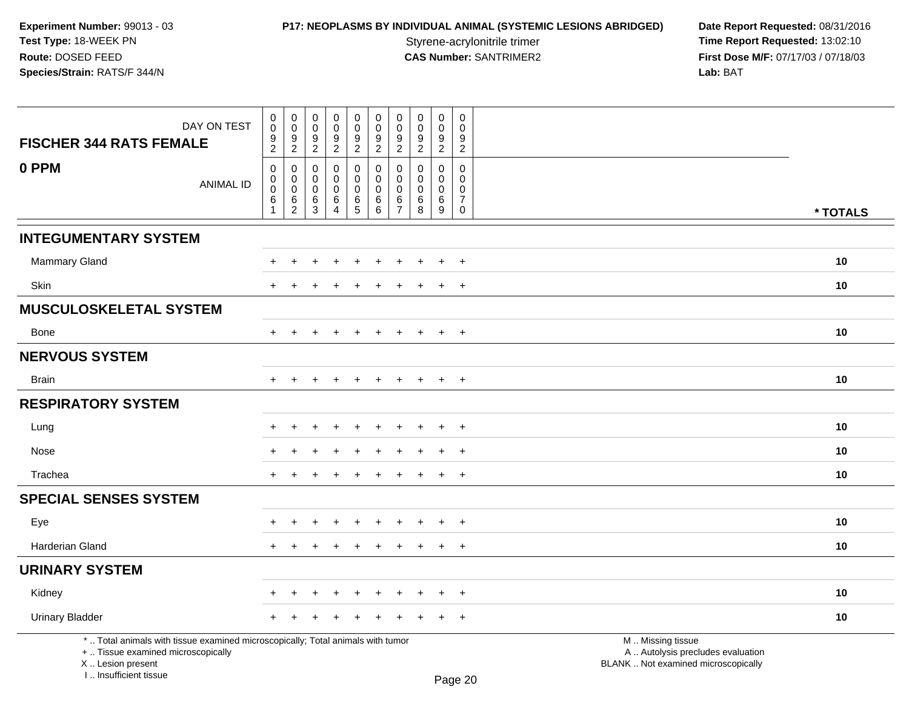# **P17: NEOPLASMS BY INDIVIDUAL ANIMAL (SYSTEMIC LESIONS ABRIDGED) Date Report Requested: 08/31/2016<br>Styrene-acrylonitrile trimer <b>Time Report Requested: 13:02:10**

Styrene-acrylonitrile trimer<br>
CAS Number: SANTRIMER2<br>
CAS Number: SANTRIMER2<br>
Tirst Dose M/F: 07/17/03 / 07/18/03 **First Dose M/F:** 07/17/03 / 07/18/03<br>Lab: BAT **Lab:** BAT

| DAY ON TEST<br><b>FISCHER 344 RATS FEMALE</b>                                                                                                                       | $\mathbf 0$<br>$\mathsf{O}\xspace$<br>$\frac{9}{2}$              | 0<br>$\mathbf 0$<br>9                     | $\mathsf{O}$<br>$\mathbf 0$<br>$\frac{9}{2}$     | $\boldsymbol{0}$<br>$\mathsf 0$<br>$\boldsymbol{9}$ | $\mathbf 0$<br>$\mathbf 0$<br>$\frac{9}{2}$         | $\pmb{0}$<br>$\mathsf{O}\xspace$<br>$\boldsymbol{9}$ | 0<br>$\mathbf 0$<br>9                                             | 0<br>$\mathbf 0$<br>9                         | 0<br>$\mathbf 0$<br>9                              | 0<br>$\Omega$<br>9                                                      |                                                                                               |          |
|---------------------------------------------------------------------------------------------------------------------------------------------------------------------|------------------------------------------------------------------|-------------------------------------------|--------------------------------------------------|-----------------------------------------------------|-----------------------------------------------------|------------------------------------------------------|-------------------------------------------------------------------|-----------------------------------------------|----------------------------------------------------|-------------------------------------------------------------------------|-----------------------------------------------------------------------------------------------|----------|
|                                                                                                                                                                     |                                                                  | $\overline{c}$                            |                                                  | $\overline{c}$                                      |                                                     | $\overline{2}$                                       | $\sqrt{2}$                                                        | $\overline{c}$                                | $\overline{2}$                                     | $\overline{2}$                                                          |                                                                                               |          |
| 0 PPM<br><b>ANIMAL ID</b>                                                                                                                                           | $\mathbf 0$<br>$\mathbf 0$<br>$\pmb{0}$<br>$\,6$<br>$\mathbf{1}$ | 0<br>$\mathbf 0$<br>$\mathbf 0$<br>6<br>2 | $\Omega$<br>$\mathbf 0$<br>$\mathbf 0$<br>6<br>3 | $\mathbf 0$<br>$\mathbf 0$<br>0<br>6<br>4           | 0<br>0<br>$\mathbf 0$<br>$\,6\,$<br>$5\phantom{.0}$ | 0<br>$\mathbf 0$<br>$\mathbf 0$<br>$\,6$<br>6        | $\mathbf{0}$<br>$\mathbf 0$<br>$\mathbf 0$<br>6<br>$\overline{7}$ | $\Omega$<br>$\Omega$<br>$\mathbf 0$<br>6<br>8 | 0<br>$\mathbf 0$<br>0<br>$\,6\,$<br>$\overline{9}$ | $\Omega$<br>$\mathbf 0$<br>$\mathbf 0$<br>$\overline{7}$<br>$\mathbf 0$ |                                                                                               | * TOTALS |
| <b>INTEGUMENTARY SYSTEM</b>                                                                                                                                         |                                                                  |                                           |                                                  |                                                     |                                                     |                                                      |                                                                   |                                               |                                                    |                                                                         |                                                                                               |          |
| <b>Mammary Gland</b>                                                                                                                                                |                                                                  |                                           |                                                  |                                                     |                                                     |                                                      |                                                                   |                                               |                                                    | $\ddot{}$                                                               |                                                                                               | 10       |
| Skin                                                                                                                                                                |                                                                  |                                           |                                                  |                                                     |                                                     |                                                      |                                                                   |                                               |                                                    | $\overline{+}$                                                          |                                                                                               | 10       |
| <b>MUSCULOSKELETAL SYSTEM</b>                                                                                                                                       |                                                                  |                                           |                                                  |                                                     |                                                     |                                                      |                                                                   |                                               |                                                    |                                                                         |                                                                                               |          |
| Bone                                                                                                                                                                | $\pm$                                                            | $\ddot{}$                                 |                                                  | $\overline{ }$                                      | $\pm$                                               | $\pm$                                                | $\ddot{}$                                                         | $\pm$                                         | $+$                                                | $+$                                                                     |                                                                                               | 10       |
| <b>NERVOUS SYSTEM</b>                                                                                                                                               |                                                                  |                                           |                                                  |                                                     |                                                     |                                                      |                                                                   |                                               |                                                    |                                                                         |                                                                                               |          |
| <b>Brain</b>                                                                                                                                                        | $+$                                                              | $\overline{+}$                            | $\pm$                                            | $\overline{+}$                                      | $+$                                                 | $+$                                                  | $+$                                                               | $+$                                           | $+$                                                | $+$                                                                     |                                                                                               | 10       |
| <b>RESPIRATORY SYSTEM</b>                                                                                                                                           |                                                                  |                                           |                                                  |                                                     |                                                     |                                                      |                                                                   |                                               |                                                    |                                                                         |                                                                                               |          |
| Lung                                                                                                                                                                |                                                                  | ÷                                         |                                                  |                                                     |                                                     |                                                      |                                                                   |                                               | $\ddot{}$                                          | $+$                                                                     |                                                                                               | 10       |
| Nose                                                                                                                                                                |                                                                  |                                           |                                                  |                                                     |                                                     |                                                      |                                                                   |                                               |                                                    | $\overline{+}$                                                          |                                                                                               | 10       |
| Trachea                                                                                                                                                             |                                                                  |                                           |                                                  |                                                     |                                                     |                                                      |                                                                   |                                               | $\ddot{}$                                          | $+$                                                                     |                                                                                               | 10       |
| <b>SPECIAL SENSES SYSTEM</b>                                                                                                                                        |                                                                  |                                           |                                                  |                                                     |                                                     |                                                      |                                                                   |                                               |                                                    |                                                                         |                                                                                               |          |
| Eye                                                                                                                                                                 |                                                                  |                                           |                                                  | $\overline{ }$                                      |                                                     |                                                      |                                                                   |                                               | $\ddot{}$                                          | $+$                                                                     |                                                                                               | 10       |
| <b>Harderian Gland</b>                                                                                                                                              |                                                                  |                                           |                                                  |                                                     |                                                     |                                                      |                                                                   |                                               | $\ddot{}$                                          | $+$                                                                     |                                                                                               | 10       |
| <b>URINARY SYSTEM</b>                                                                                                                                               |                                                                  |                                           |                                                  |                                                     |                                                     |                                                      |                                                                   |                                               |                                                    |                                                                         |                                                                                               |          |
| Kidney                                                                                                                                                              |                                                                  |                                           |                                                  |                                                     |                                                     |                                                      |                                                                   |                                               | $\div$                                             | $+$                                                                     |                                                                                               | 10       |
| <b>Urinary Bladder</b>                                                                                                                                              | +                                                                | $\div$                                    |                                                  | +                                                   | $\div$                                              |                                                      |                                                                   |                                               | $\ddot{}$                                          | $+$                                                                     |                                                                                               | 10       |
| *  Total animals with tissue examined microscopically; Total animals with tumor<br>+  Tissue examined microscopically<br>X  Lesion present<br>I Insufficient tissue |                                                                  |                                           |                                                  |                                                     |                                                     |                                                      |                                                                   |                                               |                                                    | $D_{200}$ $20$                                                          | M  Missing tissue<br>A  Autolysis precludes evaluation<br>BLANK  Not examined microscopically |          |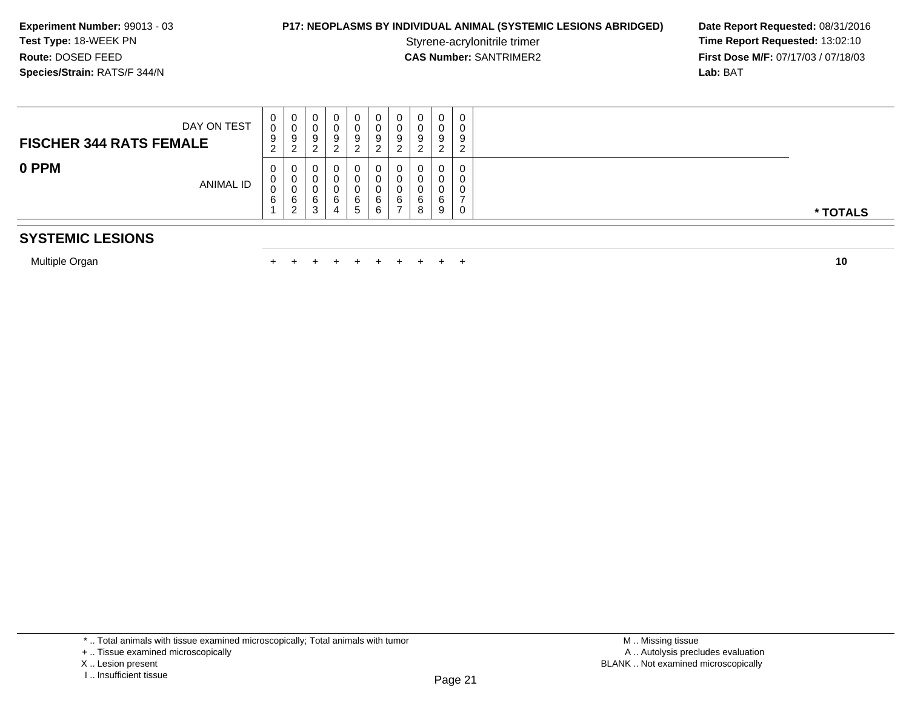## **P17: NEOPLASMS BY INDIVIDUAL ANIMAL (SYSTEMIC LESIONS ABRIDGED) Date Report Requested: 08/31/2016<br>Styrene-acrylonitrile trimer <b>Time Report Requested: 13:02:10**

Styrene-acrylonitrile trimer<br>
CAS Number: SANTRIMER2<br> **CAS Number:** SANTRIMER2<br> **Time Report Requested:** 13:02:10<br> **First Dose M/F:** 07/17/03 / 07/18/03 **First Dose M/F:** 07/17/03 / 07/18/03<br>**Lab:** BAT **Lab:** BAT

| DAY ON TEST<br><b>FISCHER 344 RATS FEMALE</b> | U<br>0<br>9<br>$\sim$<br>$\epsilon$ | 0<br>v<br>9<br>ົາ<br><u>_</u> |  | υ      | 0<br>9<br>▃      | U<br>9      | 0<br>0<br>-9<br>$\overline{\phantom{a}}$<br><u>_</u> | 0<br>0<br>9<br>ົ      | O | ັ<br>◡ |
|-----------------------------------------------|-------------------------------------|-------------------------------|--|--------|------------------|-------------|------------------------------------------------------|-----------------------|---|--------|
| 0 PPM<br><b>ANIMAL ID</b>                     | 0<br>◡<br>6                         | 0<br>0<br>U<br>6<br>ົ         |  | υ<br>u | 0<br>⌒<br>6<br>b | U<br>6<br>h | 0<br>6<br>$\rightarrow$                              | 0<br>0<br>0<br>6<br>8 | a |        |

## **SYSTEMIC LESIONS**

Multiple Organn  $+$ 

<sup>+</sup> <sup>+</sup> <sup>+</sup> <sup>+</sup> <sup>+</sup> <sup>+</sup> <sup>+</sup> <sup>+</sup> <sup>+</sup> **<sup>10</sup>**

I .. Insufficient tissue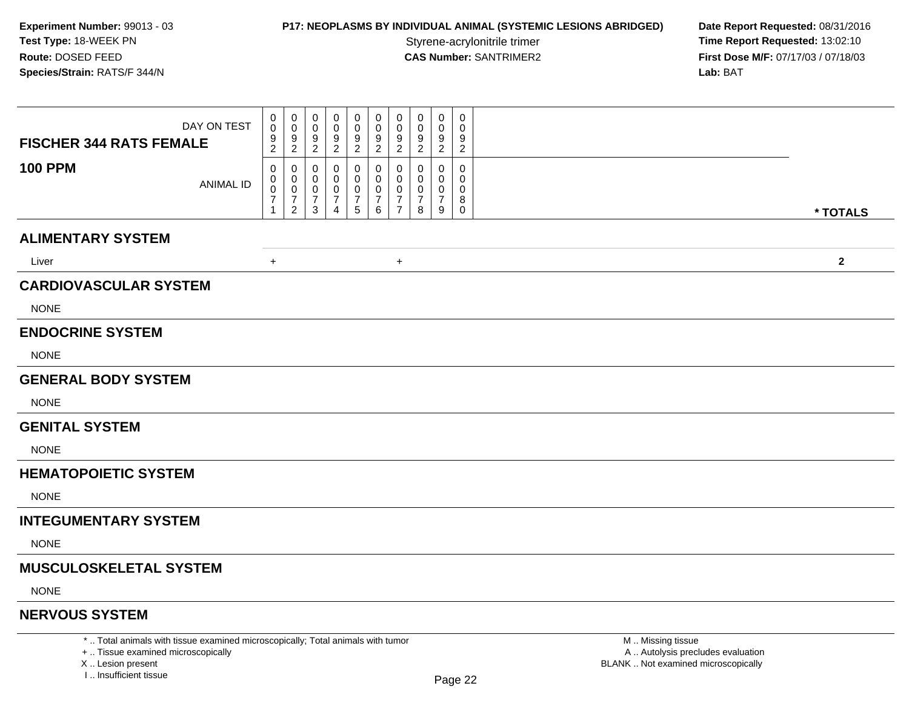# **P17: NEOPLASMS BY INDIVIDUAL ANIMAL (SYSTEMIC LESIONS ABRIDGED) Date Report Requested: 08/31/2016<br>Styrene-acrylonitrile trimer <b>Time Report Requested: 13:02:10**

Styrene-acrylonitrile trimer<br> **CAS Number:** SANTRIMER2 **Time Report Requested:** 13:02:10<br> **Time Report Requested:** 13:02:10 **First Dose M/F:** 07/17/03 / 07/18/03<br>Lab: BAT **Lab:** BAT

| DAY ON TEST<br><b>FISCHER 344 RATS FEMALE</b>                                   | 0<br>0<br>9<br>$\overline{2}$      | $\mathbf 0$<br>0<br>$\mathbf 0$<br>0<br>9<br>9<br>$\overline{2}$<br>2 | 0<br>0<br>9<br>$\overline{2}$ | 0<br>0<br>9<br>$\overline{2}$                    | 0<br>0<br>9<br>$\overline{2}$                   | 0<br>0<br>9<br>$\overline{2}$             | 0<br>9<br>$\overline{2}$ | $\mathbf 0$<br>0<br>9<br>$\overline{c}$ | 0<br>0<br>9<br>$\overline{c}$   |                  |
|---------------------------------------------------------------------------------|------------------------------------|-----------------------------------------------------------------------|-------------------------------|--------------------------------------------------|-------------------------------------------------|-------------------------------------------|--------------------------|-----------------------------------------|---------------------------------|------------------|
| <b>100 PPM</b><br><b>ANIMAL ID</b>                                              | 0<br>0<br>0<br>$\overline{7}$<br>1 | 0<br>0<br>$\Omega$<br>0<br>0<br>7<br>7<br>$\overline{c}$<br>3         | 0<br>7<br>4                   | 0<br>0<br>0<br>$\overline{7}$<br>$5\overline{)}$ | 0<br>0<br>0<br>$\overline{7}$<br>$6\phantom{.}$ | 0<br>$\Omega$<br>0<br>7<br>$\overline{7}$ | 0<br>7<br>8              | 0<br>0<br>7<br>9                        | 0<br>0<br>0<br>8<br>$\mathbf 0$ | * TOTALS         |
| <b>ALIMENTARY SYSTEM</b>                                                        |                                    |                                                                       |                               |                                                  |                                                 |                                           |                          |                                         |                                 |                  |
| Liver                                                                           | $+$                                |                                                                       |                               |                                                  |                                                 | $\ddot{}$                                 |                          |                                         |                                 | $\mathbf{2}$     |
| <b>CARDIOVASCULAR SYSTEM</b>                                                    |                                    |                                                                       |                               |                                                  |                                                 |                                           |                          |                                         |                                 |                  |
| <b>NONE</b>                                                                     |                                    |                                                                       |                               |                                                  |                                                 |                                           |                          |                                         |                                 |                  |
| <b>ENDOCRINE SYSTEM</b>                                                         |                                    |                                                                       |                               |                                                  |                                                 |                                           |                          |                                         |                                 |                  |
| <b>NONE</b>                                                                     |                                    |                                                                       |                               |                                                  |                                                 |                                           |                          |                                         |                                 |                  |
| <b>GENERAL BODY SYSTEM</b>                                                      |                                    |                                                                       |                               |                                                  |                                                 |                                           |                          |                                         |                                 |                  |
| <b>NONE</b>                                                                     |                                    |                                                                       |                               |                                                  |                                                 |                                           |                          |                                         |                                 |                  |
| <b>GENITAL SYSTEM</b>                                                           |                                    |                                                                       |                               |                                                  |                                                 |                                           |                          |                                         |                                 |                  |
| <b>NONE</b>                                                                     |                                    |                                                                       |                               |                                                  |                                                 |                                           |                          |                                         |                                 |                  |
| <b>HEMATOPOIETIC SYSTEM</b>                                                     |                                    |                                                                       |                               |                                                  |                                                 |                                           |                          |                                         |                                 |                  |
| <b>NONE</b>                                                                     |                                    |                                                                       |                               |                                                  |                                                 |                                           |                          |                                         |                                 |                  |
| <b>INTEGUMENTARY SYSTEM</b>                                                     |                                    |                                                                       |                               |                                                  |                                                 |                                           |                          |                                         |                                 |                  |
| <b>NONE</b>                                                                     |                                    |                                                                       |                               |                                                  |                                                 |                                           |                          |                                         |                                 |                  |
| <b>MUSCULOSKELETAL SYSTEM</b>                                                   |                                    |                                                                       |                               |                                                  |                                                 |                                           |                          |                                         |                                 |                  |
| <b>NONE</b>                                                                     |                                    |                                                                       |                               |                                                  |                                                 |                                           |                          |                                         |                                 |                  |
| <b>NERVOUS SYSTEM</b>                                                           |                                    |                                                                       |                               |                                                  |                                                 |                                           |                          |                                         |                                 |                  |
| *  Total animals with tissue examined microscopically; Total animals with tumor |                                    |                                                                       |                               |                                                  |                                                 |                                           |                          |                                         |                                 | M Missing tissue |

+ .. Tissue examined microscopically

X .. Lesion present

I .. Insufficient tissue

 M .. Missing tissue A .. Autolysis precludes evaluationLesion present BLANK .. Not examined microscopically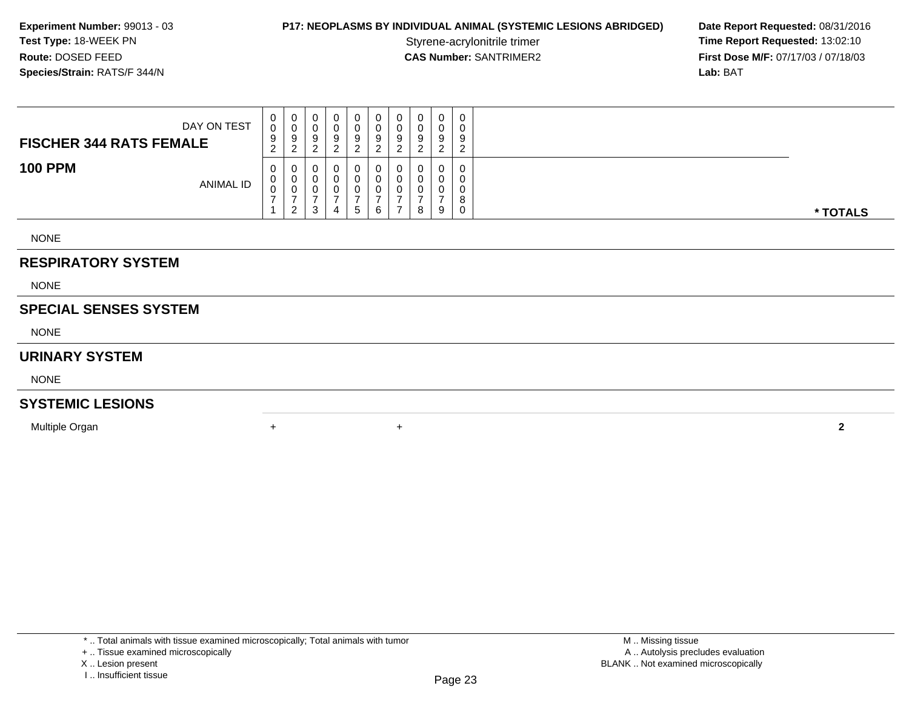## **P17: NEOPLASMS BY INDIVIDUAL ANIMAL (SYSTEMIC LESIONS ABRIDGED) Date Report Requested: 08/31/2016<br>Styrene-acrylonitrile trimer <b>Time Report Requested: 13:02:10**

Styrene-acrylonitrile trimer<br>
CAS Number: SANTRIMER2<br> **CAS Number:** SANTRIMER2<br> **Time Report Requested:** 13:02:10 **First Dose M/F:** 07/17/03 / 07/18/03<br>**Lab:** BAT **Lab:** BAT

| DAY ON TEST<br><b>FISCHER 344 RATS FEMALE</b> | 0<br>0<br>9<br>$\sim$<br>$\epsilon$ | 0<br>U<br>-9<br>റ                        |  | 0<br>9 | 0<br>9<br><u>_</u> | U<br>U<br>9 |   | $\Omega$<br><u>.</u> | 0<br>0<br>9<br>ົ<br><u>_</u> |          |
|-----------------------------------------------|-------------------------------------|------------------------------------------|--|--------|--------------------|-------------|---|----------------------|------------------------------|----------|
| <b>100 PPM</b><br><b>ANIMAL ID</b>            | 0<br>U<br>◡                         | 0<br>$\overline{\mathbf{0}}$<br>U<br>. വ |  | O<br>5 | 0<br>6             | U<br>υ<br>υ | 8 | $\Omega$<br>9        | 0<br>0<br>0<br>8<br>0        | * TOTALS |

NONE

### **RESPIRATORY SYSTEM**

NONE

### **SPECIAL SENSES SYSTEM**

NONE

#### **URINARY SYSTEM**

NONE

### **SYSTEMIC LESIONS**

Multiple Organn  $+$ 

\* .. Total animals with tissue examined microscopically; Total animals with tumor

<sup>+</sup> **<sup>2</sup>**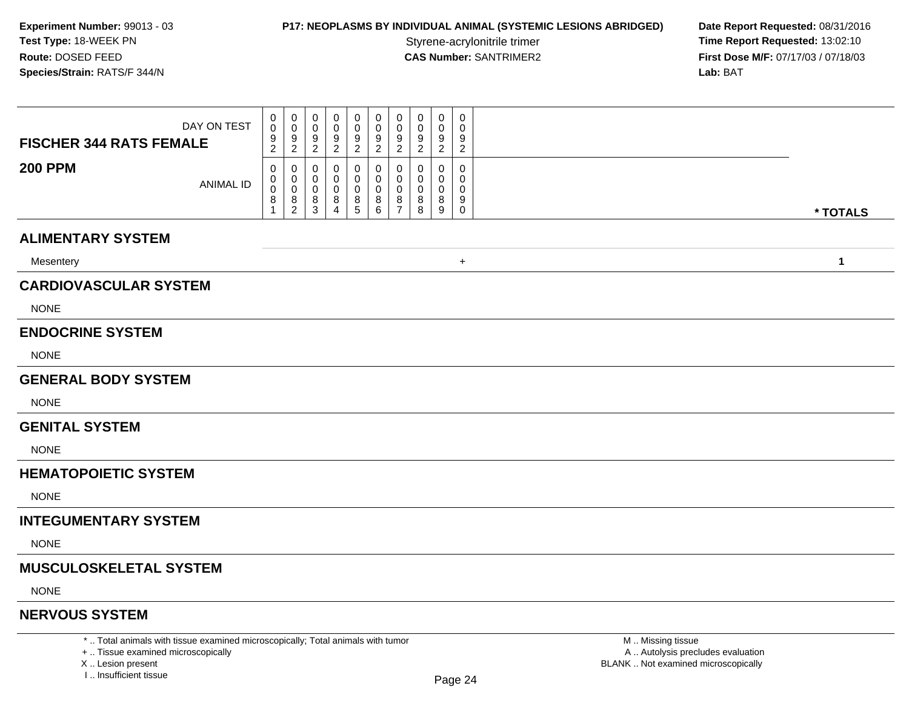# **P17: NEOPLASMS BY INDIVIDUAL ANIMAL (SYSTEMIC LESIONS ABRIDGED) Date Report Requested: 08/31/2016<br>Styrene-acrylonitrile trimer <b>Time Report Requested: 13:02:10**

Styrene-acrylonitrile trimer<br>
CAS Number: SANTRIMER2<br> **CAS Number:** SANTRIMER2<br> **Time Report Requested:** 13:02:10 **First Dose M/F:** 07/17/03 / 07/18/03<br>Lab: BAT **Lab:** BAT

|                                |                  | 0                           | 0      | 0                   | 0                   | 0                                     | 0                   | 0                   | 0        | 0                     | 0                   |              |
|--------------------------------|------------------|-----------------------------|--------|---------------------|---------------------|---------------------------------------|---------------------|---------------------|----------|-----------------------|---------------------|--------------|
|                                | DAY ON TEST      | 0                           | 0      | 0                   | 0                   | 0                                     | 0                   | 0                   | 0        | 0                     | 0                   |              |
| <b>FISCHER 344 RATS FEMALE</b> |                  | 9<br>2                      | 9<br>2 | 9<br>$\overline{2}$ | 9<br>$\overline{2}$ | $9\,$<br>$\overline{2}$               | 9<br>$\overline{2}$ | 9<br>$\overline{2}$ | 9<br>2   | 9<br>$\overline{2}$   | 9<br>$\overline{2}$ |              |
| <b>200 PPM</b>                 |                  | 0                           | 0      | 0                   | 0                   | 0                                     | 0                   | 0<br>0              | 0<br>0   | 0<br>$\mathbf{0}$     | 0<br>$\Omega$       |              |
|                                | <b>ANIMAL ID</b> | 0<br>$\mathbf 0$<br>$\bf 8$ | 0<br>0 | 0<br>0              | 0                   | 0<br>0                                | 0<br>0              | $\mathbf{0}$        | $\Omega$ | 0                     | $\Omega$            |              |
|                                |                  |                             | $^8_2$ | 8<br>$\mathbf{3}$   | 8<br>$\overline{4}$ | $\begin{array}{c} 8 \\ 5 \end{array}$ | $^8_6$              | 8<br>$\overline{7}$ | 8<br>8   | 8<br>$\boldsymbol{9}$ | 9<br>$\mathbf 0$    | * TOTALS     |
| <b>ALIMENTARY SYSTEM</b>       |                  |                             |        |                     |                     |                                       |                     |                     |          |                       |                     |              |
| Mesentery                      |                  |                             |        |                     |                     |                                       |                     |                     |          |                       | $\ddot{}$           | $\mathbf{1}$ |
| <b>CARDIOVASCULAR SYSTEM</b>   |                  |                             |        |                     |                     |                                       |                     |                     |          |                       |                     |              |
| <b>NONE</b>                    |                  |                             |        |                     |                     |                                       |                     |                     |          |                       |                     |              |
| <b>ENDOCRINE SYSTEM</b>        |                  |                             |        |                     |                     |                                       |                     |                     |          |                       |                     |              |
| <b>NONE</b>                    |                  |                             |        |                     |                     |                                       |                     |                     |          |                       |                     |              |
| <b>GENERAL BODY SYSTEM</b>     |                  |                             |        |                     |                     |                                       |                     |                     |          |                       |                     |              |
| <b>NONE</b>                    |                  |                             |        |                     |                     |                                       |                     |                     |          |                       |                     |              |
| <b>GENITAL SYSTEM</b>          |                  |                             |        |                     |                     |                                       |                     |                     |          |                       |                     |              |
| <b>NONE</b>                    |                  |                             |        |                     |                     |                                       |                     |                     |          |                       |                     |              |
| <b>HEMATOPOIETIC SYSTEM</b>    |                  |                             |        |                     |                     |                                       |                     |                     |          |                       |                     |              |
| <b>NONE</b>                    |                  |                             |        |                     |                     |                                       |                     |                     |          |                       |                     |              |
| <b>INTEGUMENTARY SYSTEM</b>    |                  |                             |        |                     |                     |                                       |                     |                     |          |                       |                     |              |
| <b>NONE</b>                    |                  |                             |        |                     |                     |                                       |                     |                     |          |                       |                     |              |
| <b>MUSCULOSKELETAL SYSTEM</b>  |                  |                             |        |                     |                     |                                       |                     |                     |          |                       |                     |              |
| <b>NONE</b>                    |                  |                             |        |                     |                     |                                       |                     |                     |          |                       |                     |              |
| <b>NERVOUS SYSTEM</b>          |                  |                             |        |                     |                     |                                       |                     |                     |          |                       |                     |              |
|                                |                  |                             |        |                     |                     |                                       |                     |                     |          |                       |                     |              |

\* .. Total animals with tissue examined microscopically; Total animals with tumor

+ .. Tissue examined microscopicallyX .. Lesion present

 M .. Missing tissuey the contract of the contract of the contract of the contract of the contract of  $\mathsf A$  . Autolysis precludes evaluation Lesion present BLANK .. Not examined microscopically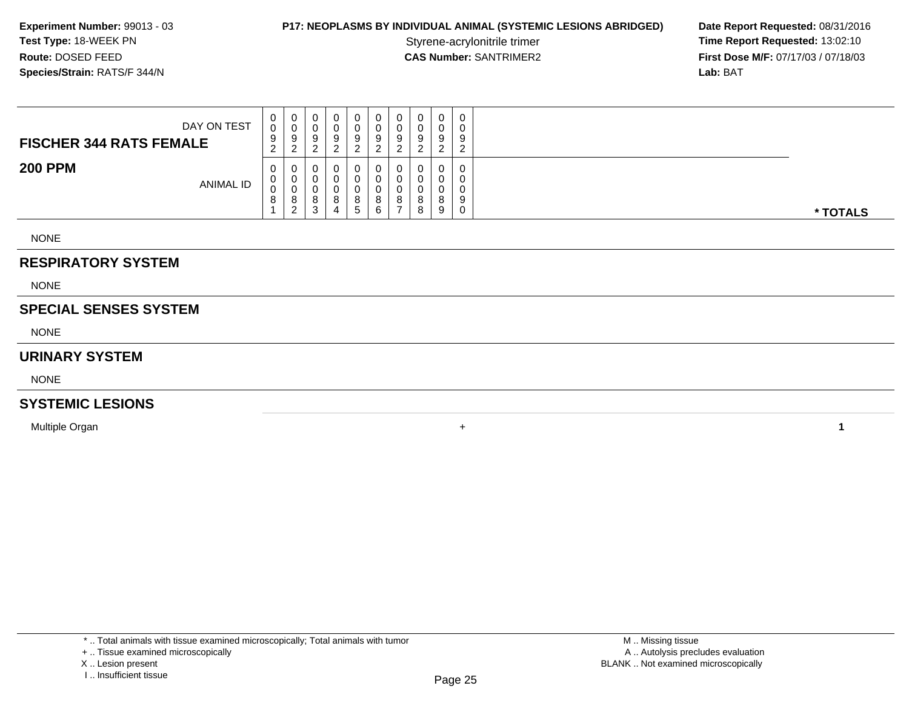## **P17: NEOPLASMS BY INDIVIDUAL ANIMAL (SYSTEMIC LESIONS ABRIDGED) Date Report Requested: 08/31/2016<br>Styrene-acrylonitrile trimer <b>Time Report Requested: 13:02:10**

Styrene-acrylonitrile trimer<br>
CAS Number: SANTRIMER2<br> **CAS Number:** SANTRIMER2<br> **Time Report Requested:** 13:02:10 **First Dose M/F:** 07/17/03 / 07/18/03<br>**Lab:** BAT **Lab:** BAT

NONE

### **RESPIRATORY SYSTEM**

NONE

## **SPECIAL SENSES SYSTEM**

NONE

#### **URINARY SYSTEM**

NONE

### **SYSTEMIC LESIONS**

Multiple Organn  $+$ 

\* .. Total animals with tissue examined microscopically; Total animals with tumor

**<sup>1</sup>**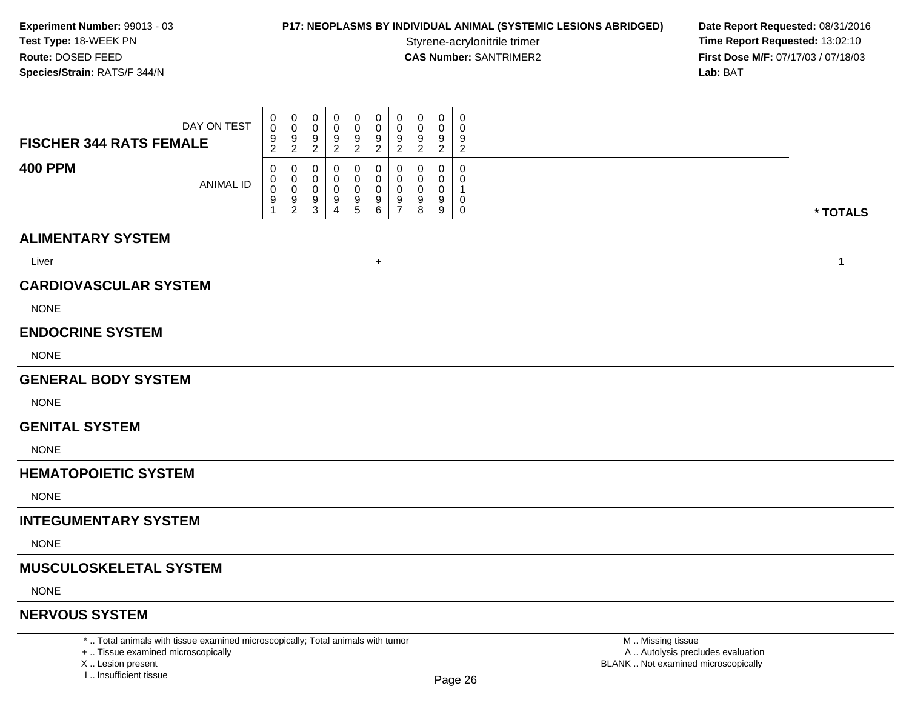# **P17: NEOPLASMS BY INDIVIDUAL ANIMAL (SYSTEMIC LESIONS ABRIDGED) Date Report Requested: 08/31/2016<br>Styrene-acrylonitrile trimer <b>Time Report Requested: 13:02:10**

Styrene-acrylonitrile trimer<br> **CAS Number:** SANTRIMER2 **Time Report Requested:** 13:02:10<br> **Time Report Requested:** 13:02:10 **First Dose M/F:** 07/17/03 / 07/18/03<br>Lab: BAT **Lab:** BAT

| DAY ON TEST<br><b>FISCHER 344 RATS FEMALE</b><br><b>400 PPM</b><br><b>ANIMAL ID</b> | 0<br>0<br>0<br>0<br>0<br>0<br>0<br>0<br>$\Omega$<br>0<br>0<br>0<br>0<br>9<br>9<br>9<br>9<br>9<br>9<br>9<br>$\overline{c}$<br>$\overline{2}$<br>$\overline{2}$<br>$\overline{c}$<br>$\overline{2}$<br>$\overline{2}$<br>$\overline{2}$<br>0<br>0<br>0<br>$\mathbf{0}$<br>0<br>$\Omega$<br>0<br>0<br>$\Omega$<br>$\Omega$<br>0<br>$\Omega$<br>$\Omega$<br>$\mathbf 0$<br>0<br>0<br>0<br>0<br>0<br>0<br>$\begin{array}{c} 9 \\ 5 \end{array}$<br>9<br>9<br>9<br>9<br>9<br>9<br>$\overline{2}$<br>$\overline{3}$<br>$6\phantom{1}$<br>$\overline{7}$<br>$\mathbf{1}$<br>$\overline{4}$ | 0<br>0<br>0<br>0<br>0<br>9<br>9<br>9<br>$\overline{c}$<br>$\overline{c}$<br>$\overline{2}$<br>$\Omega$<br>0<br>0<br>0<br>0<br>0<br>9<br>9<br>0<br>8<br>9<br>0 |              |
|-------------------------------------------------------------------------------------|------------------------------------------------------------------------------------------------------------------------------------------------------------------------------------------------------------------------------------------------------------------------------------------------------------------------------------------------------------------------------------------------------------------------------------------------------------------------------------------------------------------------------------------------------------------------------------|---------------------------------------------------------------------------------------------------------------------------------------------------------------|--------------|
|                                                                                     |                                                                                                                                                                                                                                                                                                                                                                                                                                                                                                                                                                                    |                                                                                                                                                               | * TOTALS     |
| <b>ALIMENTARY SYSTEM</b>                                                            |                                                                                                                                                                                                                                                                                                                                                                                                                                                                                                                                                                                    |                                                                                                                                                               |              |
| Liver                                                                               | $+$                                                                                                                                                                                                                                                                                                                                                                                                                                                                                                                                                                                |                                                                                                                                                               | $\mathbf{1}$ |
| <b>CARDIOVASCULAR SYSTEM</b>                                                        |                                                                                                                                                                                                                                                                                                                                                                                                                                                                                                                                                                                    |                                                                                                                                                               |              |
| <b>NONE</b>                                                                         |                                                                                                                                                                                                                                                                                                                                                                                                                                                                                                                                                                                    |                                                                                                                                                               |              |
| <b>ENDOCRINE SYSTEM</b>                                                             |                                                                                                                                                                                                                                                                                                                                                                                                                                                                                                                                                                                    |                                                                                                                                                               |              |
| <b>NONE</b>                                                                         |                                                                                                                                                                                                                                                                                                                                                                                                                                                                                                                                                                                    |                                                                                                                                                               |              |
| <b>GENERAL BODY SYSTEM</b>                                                          |                                                                                                                                                                                                                                                                                                                                                                                                                                                                                                                                                                                    |                                                                                                                                                               |              |
| <b>NONE</b>                                                                         |                                                                                                                                                                                                                                                                                                                                                                                                                                                                                                                                                                                    |                                                                                                                                                               |              |
| <b>GENITAL SYSTEM</b>                                                               |                                                                                                                                                                                                                                                                                                                                                                                                                                                                                                                                                                                    |                                                                                                                                                               |              |
| <b>NONE</b>                                                                         |                                                                                                                                                                                                                                                                                                                                                                                                                                                                                                                                                                                    |                                                                                                                                                               |              |
| <b>HEMATOPOIETIC SYSTEM</b>                                                         |                                                                                                                                                                                                                                                                                                                                                                                                                                                                                                                                                                                    |                                                                                                                                                               |              |
| <b>NONE</b>                                                                         |                                                                                                                                                                                                                                                                                                                                                                                                                                                                                                                                                                                    |                                                                                                                                                               |              |
| <b>INTEGUMENTARY SYSTEM</b>                                                         |                                                                                                                                                                                                                                                                                                                                                                                                                                                                                                                                                                                    |                                                                                                                                                               |              |
| <b>NONE</b>                                                                         |                                                                                                                                                                                                                                                                                                                                                                                                                                                                                                                                                                                    |                                                                                                                                                               |              |
| <b>MUSCULOSKELETAL SYSTEM</b>                                                       |                                                                                                                                                                                                                                                                                                                                                                                                                                                                                                                                                                                    |                                                                                                                                                               |              |
| <b>NONE</b>                                                                         |                                                                                                                                                                                                                                                                                                                                                                                                                                                                                                                                                                                    |                                                                                                                                                               |              |
| <b>NERVOUS SYSTEM</b>                                                               |                                                                                                                                                                                                                                                                                                                                                                                                                                                                                                                                                                                    |                                                                                                                                                               |              |
| *  Total animals with tissue examined microscopically; Total animals with tumor     |                                                                                                                                                                                                                                                                                                                                                                                                                                                                                                                                                                                    | M. Missing tissue                                                                                                                                             |              |

+ .. Tissue examined microscopically

X .. Lesion present

I .. Insufficient tissue

 M .. Missing tissuey the contract of the contract of the contract of the contract of the contract of  $\mathsf A$  . Autolysis precludes evaluation Lesion present BLANK .. Not examined microscopically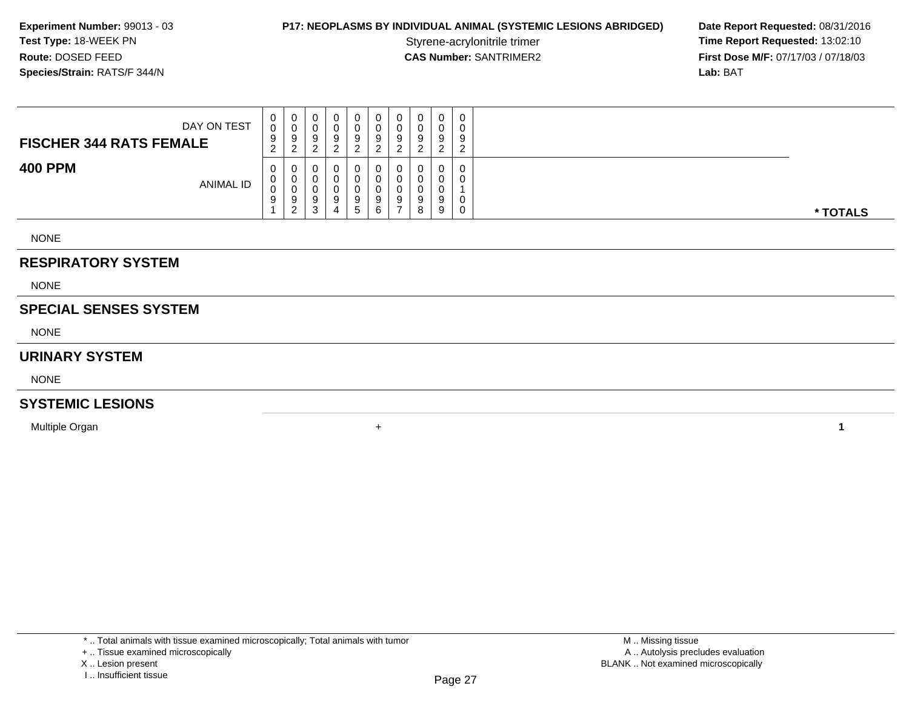## **P17: NEOPLASMS BY INDIVIDUAL ANIMAL (SYSTEMIC LESIONS ABRIDGED) Date Report Requested: 08/31/2016<br>Styrene-acrylonitrile trimer <b>Time Report Requested: 13:02:10**

Styrene-acrylonitrile trimer<br>
CAS Number: SANTRIMER2<br> **CAS Number:** SANTRIMER2<br> **Time Report Requested:** 13:02:10<br> **First Dose M/F:** 07/17/03 / 07/18/03 **First Dose M/F:** 07/17/03 / 07/18/03<br>**Lab:** BAT **Lab:** BAT

| DAY ON TEST<br><b>FISCHER 344 RATS FEMALE</b> | 0<br>0<br>9<br><sup>o</sup><br>$\epsilon$ | 0<br>ັບ<br>Y<br><u>_</u>            | $\mathbf 0$<br>υ<br>9           | 0<br>0<br>9           | 0<br>9      | 0<br>-9<br>ົ<br><u>.</u> | 0<br>0<br>9           | $\overline{0}$<br>a | 0<br>a<br>ົ |          |
|-----------------------------------------------|-------------------------------------------|-------------------------------------|---------------------------------|-----------------------|-------------|--------------------------|-----------------------|---------------------|-------------|----------|
| <b>400 PPM</b><br><b>ANIMAL ID</b>            | 0<br>0<br>0<br>9                          | U<br>U<br>v<br>9<br>- 2<br><u>_</u> | U<br>0<br>υ<br>9<br>$\sim$<br>ບ | 0<br>0<br>0<br>9<br>5 | O<br>9<br>6 | 0<br>9                   | 0<br>0<br>0<br>9<br>8 | 0<br>9              | 0<br>0<br>0 | * TOTALS |

NONE

### **RESPIRATORY SYSTEM**

NONE

## **SPECIAL SENSES SYSTEM**

NONE

#### **URINARY SYSTEM**

NONE

### **SYSTEMIC LESIONS**

Multiple Organn  $+$ 

\* .. Total animals with tissue examined microscopically; Total animals with tumor

X .. Lesion present

I .. Insufficient tissue

**<sup>1</sup>**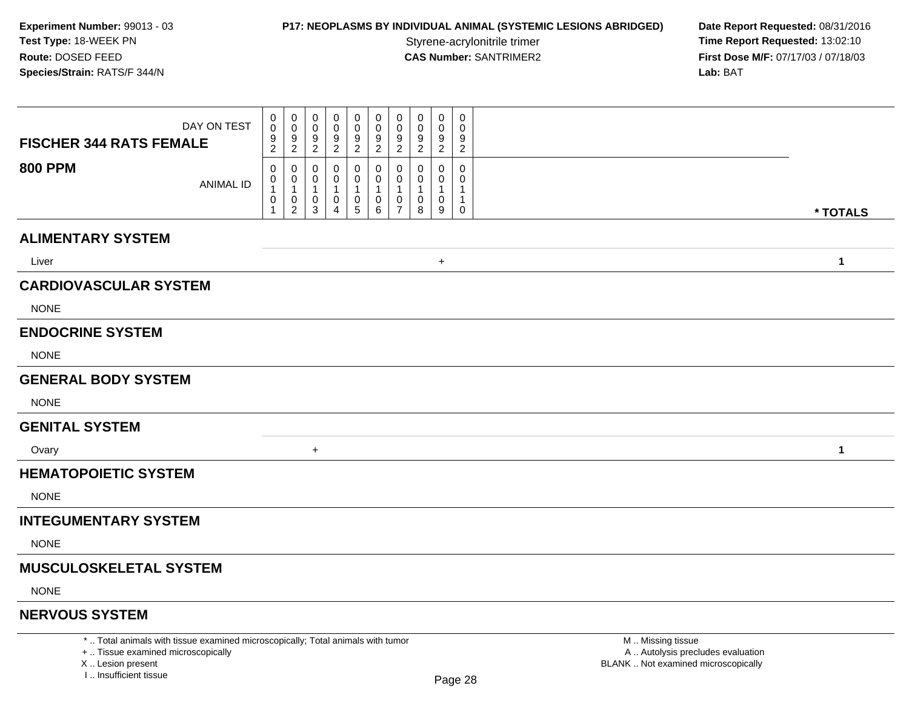# **P17: NEOPLASMS BY INDIVIDUAL ANIMAL (SYSTEMIC LESIONS ABRIDGED) Date Report Requested: 08/31/2016<br>Styrene-acrylonitrile trimer <b>Time Report Requested: 13:02:10**

Styrene-acrylonitrile trimer<br>
CAS Number: SANTRIMER2<br> **CAS Number:** SANTRIMER2<br> **Time Report Requested:** 13:02:10 **First Dose M/F:** 07/17/03 / 07/18/03<br>Lab: BAT **Lab:** BAT

| DAY ON TEST<br><b>FISCHER 344 RATS FEMALE</b>                                   | $\mathbf 0$<br>$\overline{0}$<br>0<br>$\Omega$<br>0<br>0<br>0<br>$\mathbf 0$<br>$\mathbf 0$<br>0<br>0<br>$\mathbf 0$<br>$\Omega$<br>0<br>9<br>9<br>9<br>9<br>9<br>9<br>9<br>$\overline{c}$<br>$\overline{c}$<br>$\overline{c}$<br>$\overline{2}$<br>2<br>2<br>2                                                                                     | $\mathbf 0$<br>$\Omega$<br>0<br>0<br>$\Omega$<br>0<br>9<br>9<br>9<br>2<br>2<br>2 |                   |
|---------------------------------------------------------------------------------|-----------------------------------------------------------------------------------------------------------------------------------------------------------------------------------------------------------------------------------------------------------------------------------------------------------------------------------------------------|----------------------------------------------------------------------------------|-------------------|
| <b>800 PPM</b><br><b>ANIMAL ID</b>                                              | 0<br>0<br>0<br>$\mathbf{0}$<br>$\mathbf 0$<br>0<br>0<br>0<br>$\mathbf 0$<br>0<br>0<br>0<br>0<br>$\mathbf{1}$<br>$\mathbf 1$<br>-1<br>-1<br>-1<br>1<br>$\pmb{0}$<br>$\mathbf 0$<br>$\begin{array}{c} 0 \\ 5 \end{array}$<br>0<br>0<br>0<br>0<br>$\overline{c}$<br>$6\phantom{a}$<br>$\overline{7}$<br>$\mathbf{1}$<br>$\mathbf{3}$<br>$\overline{4}$ | 0<br>$\Omega$<br>0<br>0<br>1<br>0<br>0<br>1<br>8<br>9<br>$\mathbf 0$             | * TOTALS          |
| <b>ALIMENTARY SYSTEM</b>                                                        |                                                                                                                                                                                                                                                                                                                                                     |                                                                                  |                   |
| Liver                                                                           |                                                                                                                                                                                                                                                                                                                                                     | $\ddot{}$                                                                        | $\mathbf{1}$      |
| <b>CARDIOVASCULAR SYSTEM</b>                                                    |                                                                                                                                                                                                                                                                                                                                                     |                                                                                  |                   |
| <b>NONE</b>                                                                     |                                                                                                                                                                                                                                                                                                                                                     |                                                                                  |                   |
| <b>ENDOCRINE SYSTEM</b>                                                         |                                                                                                                                                                                                                                                                                                                                                     |                                                                                  |                   |
| <b>NONE</b>                                                                     |                                                                                                                                                                                                                                                                                                                                                     |                                                                                  |                   |
| <b>GENERAL BODY SYSTEM</b>                                                      |                                                                                                                                                                                                                                                                                                                                                     |                                                                                  |                   |
| <b>NONE</b>                                                                     |                                                                                                                                                                                                                                                                                                                                                     |                                                                                  |                   |
| <b>GENITAL SYSTEM</b>                                                           |                                                                                                                                                                                                                                                                                                                                                     |                                                                                  |                   |
| Ovary                                                                           | $\ddot{}$                                                                                                                                                                                                                                                                                                                                           |                                                                                  | $\mathbf{1}$      |
| <b>HEMATOPOIETIC SYSTEM</b>                                                     |                                                                                                                                                                                                                                                                                                                                                     |                                                                                  |                   |
| <b>NONE</b>                                                                     |                                                                                                                                                                                                                                                                                                                                                     |                                                                                  |                   |
| <b>INTEGUMENTARY SYSTEM</b>                                                     |                                                                                                                                                                                                                                                                                                                                                     |                                                                                  |                   |
| <b>NONE</b>                                                                     |                                                                                                                                                                                                                                                                                                                                                     |                                                                                  |                   |
| <b>MUSCULOSKELETAL SYSTEM</b>                                                   |                                                                                                                                                                                                                                                                                                                                                     |                                                                                  |                   |
| <b>NONE</b>                                                                     |                                                                                                                                                                                                                                                                                                                                                     |                                                                                  |                   |
| <b>NERVOUS SYSTEM</b>                                                           |                                                                                                                                                                                                                                                                                                                                                     |                                                                                  |                   |
| *  Total animals with tissue examined microscopically; Total animals with tumor |                                                                                                                                                                                                                                                                                                                                                     |                                                                                  | M. Missing tissue |

+ .. Tissue examined microscopically

X .. Lesion present

I .. Insufficient tissue

 M .. Missing tissuey the contract of the contract of the contract of the contract of the contract of  $\mathsf A$  . Autolysis precludes evaluation Lesion present BLANK .. Not examined microscopically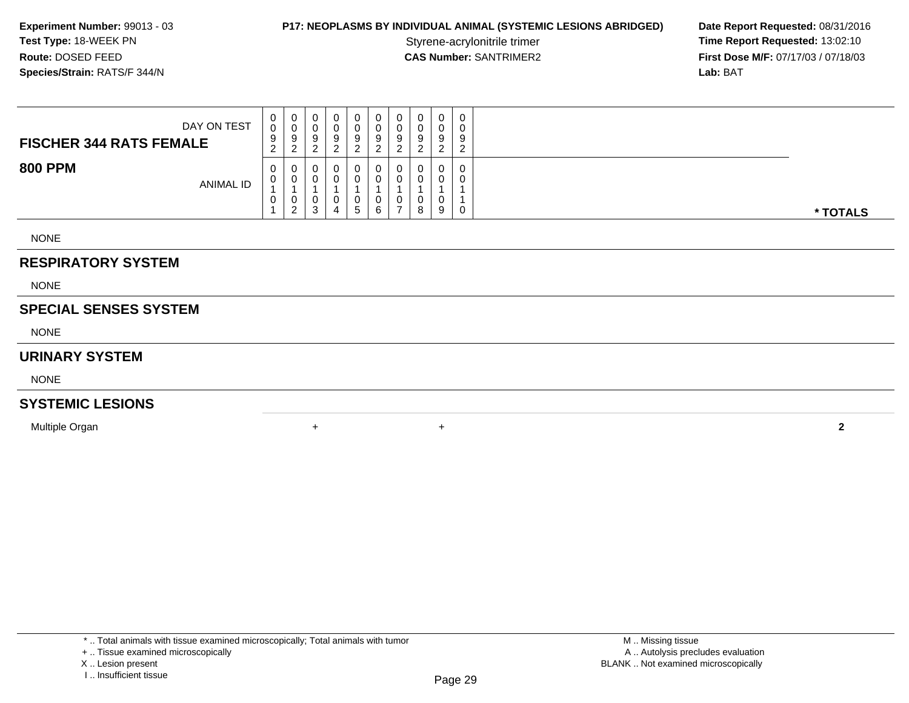# **P17: NEOPLASMS BY INDIVIDUAL ANIMAL (SYSTEMIC LESIONS ABRIDGED) Date Report Requested: 08/31/2016<br>Styrene-acrylonitrile trimer <b>Time Report Requested: 13:02:10**

Styrene-acrylonitrile trimer<br>
CAS Number: SANTRIMER2<br> **CAS Number:** SANTRIMER2<br> **Time Report Requested:** 13:02:10<br> **First Dose M/F:** 07/17/03 / 07/18/03 **First Dose M/F:** 07/17/03 / 07/18/03<br>**Lab:** BAT **Lab:** BAT

| DAY ON TEST<br><b>FISCHER 344 RATS FEMALE</b> | $\mathbf{0}$<br>0<br>9<br>$\sim$<br>$\epsilon$ | U<br>9<br>ົ<br>∠ | 0<br>υ<br>9<br>$\sim$<br><u>_</u> | 9<br>◠<br><u>.</u> | 0<br>0<br>9<br>ົ                   | 0<br>0<br>9<br>ົ<br>▵ | 9<br>ົ                   | ີ<br>9<br><sup>o</sup><br>∼ | U<br>9<br>റ<br><u>.</u> | 0<br>0<br>9<br>ົ<br><u>_</u> |          |
|-----------------------------------------------|------------------------------------------------|------------------|-----------------------------------|--------------------|------------------------------------|-----------------------|--------------------------|-----------------------------|-------------------------|------------------------------|----------|
| <b>800 PPM</b><br><b>ANIMAL ID</b>            | 0<br>U<br>U                                    | U<br>U<br>2      | 0<br>0<br>0<br>3                  | 0<br>U<br>4        | 0<br>$\Omega$<br>0<br>$\mathbf{p}$ | 0<br>0<br>0<br>6      | $\overline{\phantom{a}}$ | v<br>8                      | 0<br>0<br>9             | 0<br>0<br>0                  | * TOTALS |
| <b>NONE</b>                                   |                                                |                  |                                   |                    |                                    |                       |                          |                             |                         |                              |          |

## **RESPIRATORY SYSTEM**

NONE

## **SPECIAL SENSES SYSTEM**

NONE

### **URINARY SYSTEM**

NONE

#### **SYSTEMIC LESIONS**

Multiple Organn  $+$ 

\* .. Total animals with tissue examined microscopically; Total animals with tumor

<sup>+</sup> **<sup>2</sup>**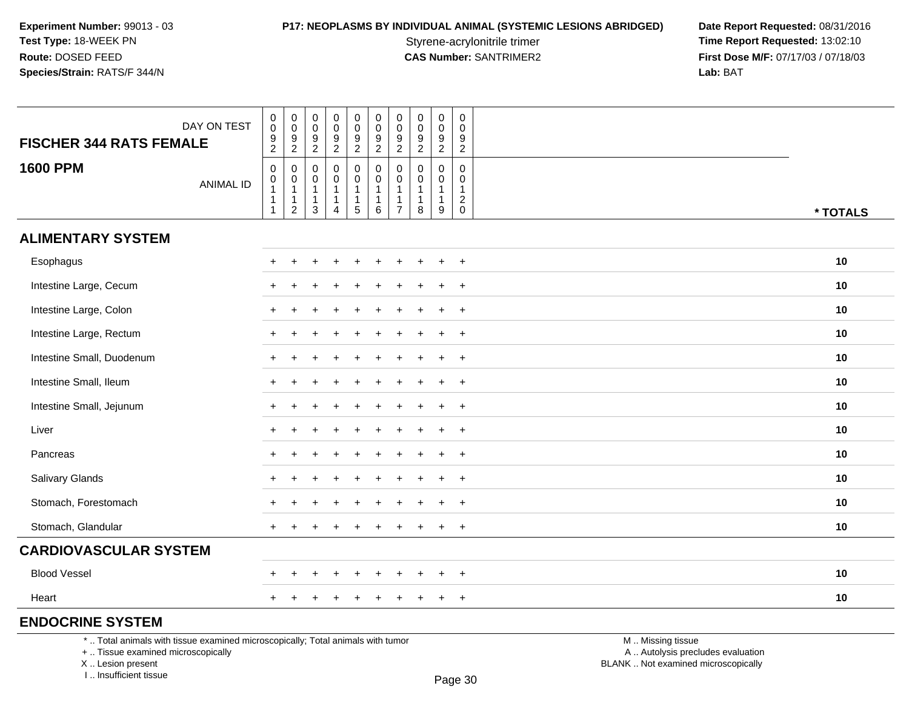**P17: NEOPLASMS BY INDIVIDUAL ANIMAL (SYSTEMIC LESIONS ABRIDGED) Date Report Requested: 08/31/2016<br>Styrene-acrylonitrile trimer <b>Time Report Requested: 13:02:10** Styrene-acrylonitrile trimer<br> **CAS Number:** SANTRIMER2 **Time Report Requested:** 13:02:10<br> **Time Report Requested:** 13:02:10 **First Dose M/F:** 07/17/03 / 07/18/03<br>Lab: BAT **Lab:** BAT

| <b>FISCHER 344 RATS FEMALE</b>                                                  | DAY ON TEST      | $\pmb{0}$<br>$\pmb{0}$<br>9<br>$\overline{c}$                                               | $\pmb{0}$<br>$\boldsymbol{0}$<br>9<br>$\overline{c}$     | $\pmb{0}$<br>$\mathsf 0$<br>9<br>$\overline{c}$          | $\pmb{0}$<br>$\pmb{0}$<br>$\frac{9}{2}$    | $\pmb{0}$<br>$\mathbf 0$<br>$\frac{9}{2}$                                 | $\pmb{0}$<br>$\mathbf 0$<br>9<br>$\sqrt{2}$               | 0<br>$\mathbf 0$<br>9<br>$\overline{a}$      | $\pmb{0}$<br>$\pmb{0}$<br>$\overline{9}$<br>$\boldsymbol{2}$              | $\pmb{0}$<br>$\mathbf 0$<br>9<br>$\overline{2}$       | $\mathsf{O}\xspace$<br>$\mathbf 0$<br>9<br>$\overline{a}$ |                   |          |
|---------------------------------------------------------------------------------|------------------|---------------------------------------------------------------------------------------------|----------------------------------------------------------|----------------------------------------------------------|--------------------------------------------|---------------------------------------------------------------------------|-----------------------------------------------------------|----------------------------------------------|---------------------------------------------------------------------------|-------------------------------------------------------|-----------------------------------------------------------|-------------------|----------|
| <b>1600 PPM</b>                                                                 | <b>ANIMAL ID</b> | $\mathbf 0$<br>$\begin{smallmatrix}0\\1\end{smallmatrix}$<br>$\overline{1}$<br>$\mathbf{1}$ | 0<br>0<br>$\mathbf{1}$<br>$\mathbf{1}$<br>$\overline{2}$ | 0<br>0<br>$\overline{1}$<br>$\mathbf{1}$<br>$\mathbf{3}$ | 0<br>$\pmb{0}$<br>1<br>1<br>$\overline{4}$ | 0<br>$\mathbf 0$<br>$\mathbf{1}$<br>$\begin{array}{c} 1 \\ 5 \end{array}$ | $\mathbf 0$<br>0<br>$\mathbf{1}$<br>$\mathbf{1}$<br>$\,6$ | 0<br>$\mathbf 0$<br>1<br>1<br>$\overline{7}$ | 0<br>$\mathbf 0$<br>$\mathbf{1}$<br>$\begin{array}{c} 1 \\ 8 \end{array}$ | 0<br>$\mathbf 0$<br>$\mathbf{1}$<br>$\mathbf{1}$<br>9 | 0<br>$\mathbf 0$<br>$\mathbf{1}$<br>$\frac{2}{0}$         |                   | * TOTALS |
| <b>ALIMENTARY SYSTEM</b>                                                        |                  |                                                                                             |                                                          |                                                          |                                            |                                                                           |                                                           |                                              |                                                                           |                                                       |                                                           |                   |          |
| Esophagus                                                                       |                  |                                                                                             |                                                          |                                                          |                                            |                                                                           |                                                           |                                              |                                                                           | $\div$                                                | $\overline{+}$                                            |                   | 10       |
| Intestine Large, Cecum                                                          |                  |                                                                                             |                                                          |                                                          |                                            |                                                                           |                                                           |                                              |                                                                           | $\ddot{}$                                             | $\ddot{}$                                                 |                   | 10       |
| Intestine Large, Colon                                                          |                  |                                                                                             |                                                          |                                                          |                                            |                                                                           |                                                           |                                              |                                                                           |                                                       | $+$                                                       |                   | 10       |
| Intestine Large, Rectum                                                         |                  |                                                                                             |                                                          |                                                          |                                            |                                                                           |                                                           |                                              |                                                                           |                                                       | $\overline{+}$                                            |                   | 10       |
| Intestine Small, Duodenum                                                       |                  |                                                                                             |                                                          |                                                          |                                            |                                                                           |                                                           |                                              |                                                                           | $\ddot{}$                                             | $+$                                                       |                   | 10       |
| Intestine Small, Ileum                                                          |                  |                                                                                             |                                                          |                                                          |                                            |                                                                           |                                                           |                                              |                                                                           |                                                       | $+$                                                       |                   | 10       |
| Intestine Small, Jejunum                                                        |                  |                                                                                             |                                                          |                                                          |                                            |                                                                           |                                                           |                                              |                                                                           |                                                       | $\overline{+}$                                            |                   | 10       |
| Liver                                                                           |                  | $\pm$                                                                                       |                                                          |                                                          |                                            |                                                                           |                                                           |                                              |                                                                           | $\ddot{}$                                             | $\ddot{}$                                                 |                   | 10       |
| Pancreas                                                                        |                  |                                                                                             |                                                          |                                                          |                                            |                                                                           |                                                           |                                              |                                                                           |                                                       | $+$                                                       |                   | 10       |
| Salivary Glands                                                                 |                  |                                                                                             |                                                          |                                                          |                                            |                                                                           |                                                           |                                              |                                                                           |                                                       | $\overline{+}$                                            |                   | 10       |
| Stomach, Forestomach                                                            |                  |                                                                                             |                                                          |                                                          |                                            |                                                                           |                                                           |                                              |                                                                           | $\ddot{}$                                             | $+$                                                       |                   | 10       |
| Stomach, Glandular                                                              |                  |                                                                                             |                                                          |                                                          |                                            |                                                                           |                                                           |                                              |                                                                           | $\ddot{}$                                             | $+$                                                       |                   | 10       |
| <b>CARDIOVASCULAR SYSTEM</b>                                                    |                  |                                                                                             |                                                          |                                                          |                                            |                                                                           |                                                           |                                              |                                                                           |                                                       |                                                           |                   |          |
| <b>Blood Vessel</b>                                                             |                  |                                                                                             |                                                          |                                                          |                                            |                                                                           |                                                           |                                              |                                                                           | $\ddot{}$                                             | $\ddot{}$                                                 |                   | 10       |
| Heart                                                                           |                  |                                                                                             |                                                          |                                                          |                                            |                                                                           |                                                           |                                              |                                                                           | $\div$                                                | $\overline{+}$                                            |                   | 10       |
| <b>ENDOCRINE SYSTEM</b>                                                         |                  |                                                                                             |                                                          |                                                          |                                            |                                                                           |                                                           |                                              |                                                                           |                                                       |                                                           |                   |          |
| *  Total animals with tissue examined microscopically; Total animals with tumor |                  |                                                                                             |                                                          |                                                          |                                            |                                                                           |                                                           |                                              |                                                                           |                                                       |                                                           | M  Missing tissue |          |

+ .. Tissue examined microscopically

X .. Lesion present

I .. Insufficient tissue

y the contract of the contract of the contract of the contract of the contract of  $\mathsf A$  . Autolysis precludes evaluation Lesion present BLANK .. Not examined microscopically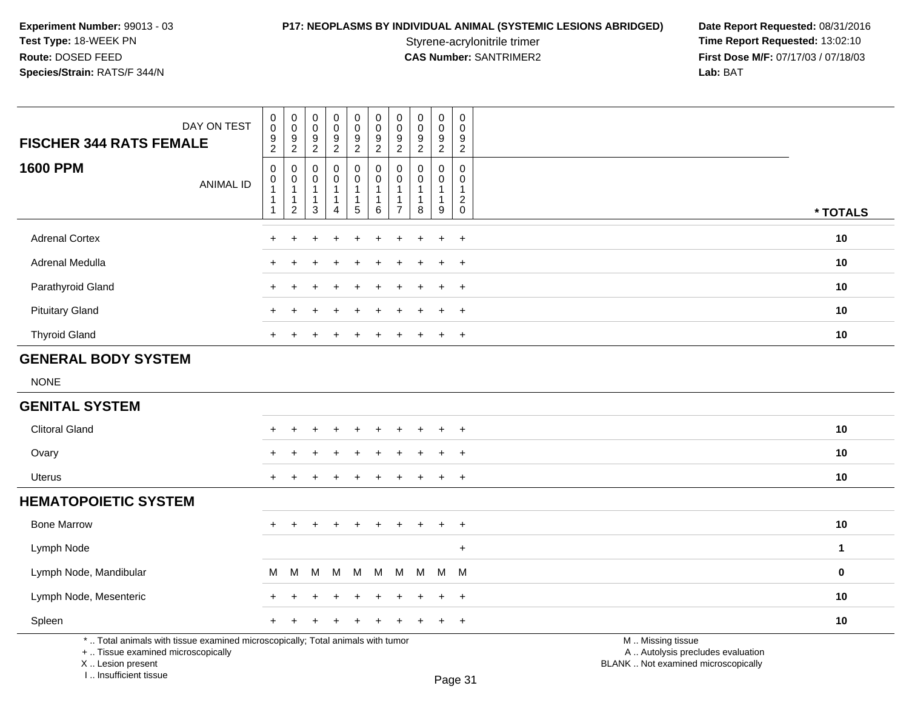Styrene-acrylonitrile trimer<br> **CAS Number:** SANTRIMER2 **Time Report Requested:** 13:02:10<br> **Time Report Requested:** 13:02:10 **First Dose M/F:** 07/17/03 / 07/18/03<br>Lab: BAT **Lab:** BAT

| DAY ON TEST<br><b>FISCHER 344 RATS FEMALE</b>                                                                         | $_{\rm 0}^{\rm 0}$<br>$\overline{9}$<br>$\overline{2}$                       | $\begin{array}{c} 0 \\ 0 \\ 9 \\ 2 \end{array}$                 | $\mathbf 0$<br>$\pmb{0}$<br>$\boldsymbol{9}$<br>$\overline{c}$ | $_{\rm 0}^{\rm 0}$<br>$\overline{9}$<br>$\overline{2}$            | 0<br>$\mathsf{O}\xspace$<br>$\boldsymbol{9}$<br>$\overline{2}$ | 0<br>$\pmb{0}$<br>9<br>$\overline{a}$            | $\pmb{0}$<br>$\pmb{0}$<br>$\boldsymbol{9}$<br>$\boldsymbol{2}$     | $\pmb{0}$<br>$\pmb{0}$<br>$\boldsymbol{9}$<br>$\overline{c}$ | $\pmb{0}$<br>$\pmb{0}$<br>$\boldsymbol{9}$<br>$\overline{2}$ | $\pmb{0}$<br>$\mathbf 0$<br>$\boldsymbol{9}$<br>$\overline{2}$          |                                                        |              |
|-----------------------------------------------------------------------------------------------------------------------|------------------------------------------------------------------------------|-----------------------------------------------------------------|----------------------------------------------------------------|-------------------------------------------------------------------|----------------------------------------------------------------|--------------------------------------------------|--------------------------------------------------------------------|--------------------------------------------------------------|--------------------------------------------------------------|-------------------------------------------------------------------------|--------------------------------------------------------|--------------|
| <b>1600 PPM</b><br><b>ANIMAL ID</b>                                                                                   | $\pmb{0}$<br>$\mathbf 0$<br>$\overline{1}$<br>$\overline{1}$<br>$\mathbf{1}$ | 0<br>$\pmb{0}$<br>$\mathbf{1}$<br>$\mathbf 1$<br>$\overline{2}$ | 0<br>0<br>1<br>$\mathbf{1}$<br>3                               | 0<br>$\mathbf 0$<br>$\mathbf{1}$<br>$\mathbf 1$<br>$\overline{4}$ | 0<br>$\mathbf 0$<br>$\mathbf{1}$<br>1<br>$\sqrt{5}$            | 0<br>$\mathbf 0$<br>1<br>$\mathbf{1}$<br>$\,6\,$ | 0<br>$\mathbf 0$<br>$\mathbf{1}$<br>$\mathbf{1}$<br>$\overline{7}$ | $\Omega$<br>0<br>$\mathbf{1}$<br>$\mathbf{1}$<br>8           | $\mathbf 0$<br>$\mathbf 0$<br>$\mathbf{1}$<br>1<br>$9\,$     | $\mathbf 0$<br>$\mathbf 0$<br>$\mathbf{1}$<br>$\sqrt{2}$<br>$\mathsf 0$ |                                                        | * TOTALS     |
| <b>Adrenal Cortex</b>                                                                                                 |                                                                              |                                                                 |                                                                |                                                                   |                                                                |                                                  |                                                                    |                                                              | $\div$                                                       | $\ddot{}$                                                               |                                                        | 10           |
| Adrenal Medulla                                                                                                       |                                                                              |                                                                 |                                                                |                                                                   |                                                                |                                                  |                                                                    |                                                              | $\div$                                                       | $\ddot{}$                                                               |                                                        | 10           |
| Parathyroid Gland                                                                                                     | $+$                                                                          | ÷                                                               |                                                                |                                                                   |                                                                |                                                  |                                                                    |                                                              | $\ddot{}$                                                    | $+$                                                                     |                                                        | 10           |
| <b>Pituitary Gland</b>                                                                                                |                                                                              | $\ddot{}$                                                       |                                                                |                                                                   |                                                                |                                                  |                                                                    |                                                              | $\ddot{}$                                                    | $+$                                                                     |                                                        | 10           |
| <b>Thyroid Gland</b>                                                                                                  |                                                                              |                                                                 |                                                                |                                                                   |                                                                |                                                  |                                                                    |                                                              | $\ddot{}$                                                    | $+$                                                                     |                                                        | 10           |
| <b>GENERAL BODY SYSTEM</b>                                                                                            |                                                                              |                                                                 |                                                                |                                                                   |                                                                |                                                  |                                                                    |                                                              |                                                              |                                                                         |                                                        |              |
| <b>NONE</b>                                                                                                           |                                                                              |                                                                 |                                                                |                                                                   |                                                                |                                                  |                                                                    |                                                              |                                                              |                                                                         |                                                        |              |
| <b>GENITAL SYSTEM</b>                                                                                                 |                                                                              |                                                                 |                                                                |                                                                   |                                                                |                                                  |                                                                    |                                                              |                                                              |                                                                         |                                                        |              |
| <b>Clitoral Gland</b>                                                                                                 |                                                                              | $\ddot{}$                                                       |                                                                |                                                                   | $\div$                                                         |                                                  |                                                                    |                                                              | $\ddot{}$                                                    | $+$                                                                     |                                                        | 10           |
| Ovary                                                                                                                 |                                                                              |                                                                 |                                                                |                                                                   |                                                                |                                                  |                                                                    |                                                              | $\ddot{}$                                                    | $\ddot{}$                                                               |                                                        | 10           |
| <b>Uterus</b>                                                                                                         | $\pm$                                                                        |                                                                 |                                                                |                                                                   |                                                                |                                                  |                                                                    |                                                              | $\ddot{}$                                                    | $+$                                                                     |                                                        | 10           |
| <b>HEMATOPOIETIC SYSTEM</b>                                                                                           |                                                                              |                                                                 |                                                                |                                                                   |                                                                |                                                  |                                                                    |                                                              |                                                              |                                                                         |                                                        |              |
| <b>Bone Marrow</b>                                                                                                    | $+$                                                                          | $\ddot{}$                                                       | +                                                              | $\ddot{}$                                                         | $+$                                                            | $\ddot{}$                                        | $\ddot{}$                                                          | $\ddot{}$                                                    | $+$                                                          | $+$                                                                     |                                                        | 10           |
| Lymph Node                                                                                                            |                                                                              |                                                                 |                                                                |                                                                   |                                                                |                                                  |                                                                    |                                                              |                                                              | $\ddot{}$                                                               |                                                        | $\mathbf{1}$ |
| Lymph Node, Mandibular                                                                                                | М                                                                            | М                                                               | M                                                              | M                                                                 | M                                                              | М                                                | M                                                                  | М                                                            |                                                              | M M                                                                     |                                                        | $\mathbf 0$  |
| Lymph Node, Mesenteric                                                                                                |                                                                              |                                                                 |                                                                |                                                                   |                                                                |                                                  |                                                                    |                                                              | $+$                                                          | $+$                                                                     |                                                        | 10           |
| Spleen                                                                                                                |                                                                              |                                                                 |                                                                |                                                                   |                                                                |                                                  |                                                                    |                                                              | $\ddot{}$                                                    | $+$                                                                     |                                                        | 10           |
| *  Total animals with tissue examined microscopically; Total animals with tumor<br>+  Tissue examined microscopically |                                                                              |                                                                 |                                                                |                                                                   |                                                                |                                                  |                                                                    |                                                              |                                                              |                                                                         | M  Missing tissue<br>A  Autolysis precludes evaluation |              |

X .. Lesion present

I .. Insufficient tissue

Lesion present BLANK .. Not examined microscopically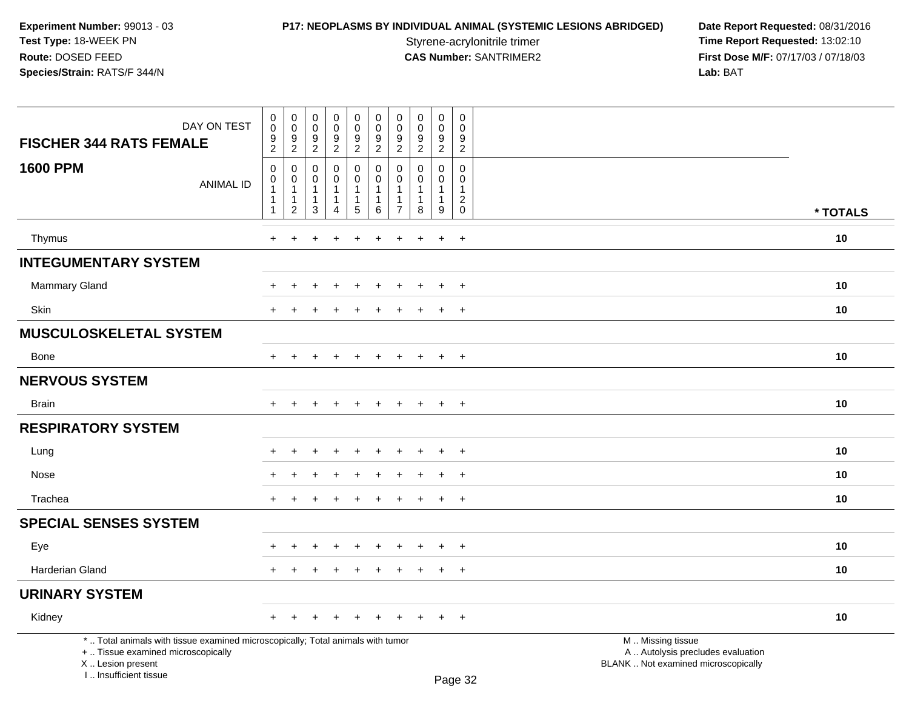**P17: NEOPLASMS BY INDIVIDUAL ANIMAL (SYSTEMIC LESIONS ABRIDGED) Date Report Requested: 08/31/2016<br>Styrene-acrylonitrile trimer <b>Time Report Requested: 13:02:10** Styrene-acrylonitrile trimer<br>
CAS Number: SANTRIMER2<br>
CAS Number: SANTRIMER2<br>
Tirst Dose M/F: 07/17/03 / 07/18/03 **First Dose M/F:** 07/17/03 / 07/18/03<br>Lab: BAT **Lab:** BAT

| DAY ON TEST<br><b>FISCHER 344 RATS FEMALE</b>                                                                                                                       | $\boldsymbol{0}$<br>$\ddot{\mathbf{0}}$<br>$\boldsymbol{9}$<br>$\overline{2}$      | $\pmb{0}$<br>$\mathsf{O}$<br>$9\,$<br>2                                      | 0<br>$\mathbf 0$<br>9<br>2                                      | $\mathbf 0$<br>$\mathsf{O}\xspace$<br>$\overline{9}$<br>$\overline{2}$ | $\pmb{0}$<br>$\boldsymbol{0}$<br>$\frac{9}{2}$                  | $\pmb{0}$<br>$\mathbf 0$<br>$\boldsymbol{9}$<br>$\overline{2}$      | 0<br>$\mathbf 0$<br>9<br>$\overline{c}$                                 | 0<br>$\mathbf 0$<br>9<br>$\overline{2}$        | $\pmb{0}$<br>$\mathsf{O}\xspace$<br>$\boldsymbol{9}$<br>$\overline{2}$ | $\mathbf 0$<br>$\mathbf 0$<br>9<br>$\overline{2}$                                   |                                                                                               |          |
|---------------------------------------------------------------------------------------------------------------------------------------------------------------------|------------------------------------------------------------------------------------|------------------------------------------------------------------------------|-----------------------------------------------------------------|------------------------------------------------------------------------|-----------------------------------------------------------------|---------------------------------------------------------------------|-------------------------------------------------------------------------|------------------------------------------------|------------------------------------------------------------------------|-------------------------------------------------------------------------------------|-----------------------------------------------------------------------------------------------|----------|
| <b>1600 PPM</b><br><b>ANIMAL ID</b>                                                                                                                                 | $\boldsymbol{0}$<br>$\mathbf 0$<br>$\overline{1}$<br>$\overline{\mathbf{1}}$<br>-1 | $\mathbf 0$<br>$\mathbf 0$<br>$\mathbf{1}$<br>$\mathbf{1}$<br>$\overline{c}$ | $\mathbf 0$<br>$\mathbf{0}$<br>$\mathbf 1$<br>$\mathbf{1}$<br>3 | 0<br>$\mathbf 0$<br>$\mathbf{1}$<br>$\mathbf{1}$<br>4                  | 0<br>$\pmb{0}$<br>$\mathbf 1$<br>$\mathbf{1}$<br>$\overline{5}$ | $\mathbf 0$<br>$\mathbf 0$<br>$\overline{1}$<br>$\overline{1}$<br>6 | $\Omega$<br>$\Omega$<br>$\mathbf 1$<br>$\overline{1}$<br>$\overline{7}$ | $\Omega$<br>$\Omega$<br>1<br>$\mathbf{1}$<br>8 | $\mathbf 0$<br>$\mathbf 0$<br>$\mathbf{1}$<br>$\mathbf{1}$<br>9        | $\mathbf 0$<br>$\mathbf 0$<br>$\mathbf{1}$<br>$\overline{2}$<br>$\mathsf{O}\xspace$ |                                                                                               | * TOTALS |
| Thymus                                                                                                                                                              | $+$                                                                                | ٠                                                                            |                                                                 |                                                                        | $\ddot{}$                                                       | ÷                                                                   | $\pm$                                                                   |                                                | $\ddot{}$                                                              | $+$                                                                                 |                                                                                               | 10       |
| <b>INTEGUMENTARY SYSTEM</b>                                                                                                                                         |                                                                                    |                                                                              |                                                                 |                                                                        |                                                                 |                                                                     |                                                                         |                                                |                                                                        |                                                                                     |                                                                                               |          |
|                                                                                                                                                                     |                                                                                    |                                                                              |                                                                 |                                                                        |                                                                 |                                                                     |                                                                         |                                                |                                                                        |                                                                                     |                                                                                               |          |
| Mammary Gland                                                                                                                                                       |                                                                                    |                                                                              |                                                                 |                                                                        |                                                                 |                                                                     |                                                                         |                                                | $\ddot{}$                                                              | $\ddot{}$                                                                           |                                                                                               | 10       |
| <b>Skin</b>                                                                                                                                                         | $+$                                                                                | $\ddot{}$                                                                    | $\ddot{}$                                                       | $\pm$                                                                  | $\ddot{}$                                                       | $\pm$                                                               | $\pm$                                                                   | $\pm$                                          | $+$                                                                    | $+$                                                                                 |                                                                                               | 10       |
| <b>MUSCULOSKELETAL SYSTEM</b>                                                                                                                                       |                                                                                    |                                                                              |                                                                 |                                                                        |                                                                 |                                                                     |                                                                         |                                                |                                                                        |                                                                                     |                                                                                               |          |
| Bone                                                                                                                                                                | $+$                                                                                | $+$                                                                          | $+$                                                             | $+$                                                                    | $+$                                                             | $+$                                                                 | $+$                                                                     | $+$                                            | $+$                                                                    | $+$                                                                                 |                                                                                               | 10       |
| <b>NERVOUS SYSTEM</b>                                                                                                                                               |                                                                                    |                                                                              |                                                                 |                                                                        |                                                                 |                                                                     |                                                                         |                                                |                                                                        |                                                                                     |                                                                                               |          |
| <b>Brain</b>                                                                                                                                                        | $+$                                                                                | $\ddot{}$                                                                    | $\ddot{}$                                                       | $+$                                                                    | $+$                                                             | $+$                                                                 | $+$                                                                     | $+$                                            | $\ddot{}$                                                              | $+$                                                                                 |                                                                                               | 10       |
| <b>RESPIRATORY SYSTEM</b>                                                                                                                                           |                                                                                    |                                                                              |                                                                 |                                                                        |                                                                 |                                                                     |                                                                         |                                                |                                                                        |                                                                                     |                                                                                               |          |
| Lung                                                                                                                                                                |                                                                                    |                                                                              |                                                                 |                                                                        | $\div$                                                          |                                                                     |                                                                         |                                                | $\ddot{}$                                                              | $+$                                                                                 |                                                                                               | 10       |
| Nose                                                                                                                                                                |                                                                                    |                                                                              |                                                                 |                                                                        |                                                                 |                                                                     |                                                                         |                                                |                                                                        | $\ddot{}$                                                                           |                                                                                               | 10       |
| Trachea                                                                                                                                                             | $+$                                                                                |                                                                              |                                                                 |                                                                        |                                                                 |                                                                     |                                                                         |                                                | $\pm$                                                                  | $+$                                                                                 |                                                                                               | 10       |
| <b>SPECIAL SENSES SYSTEM</b>                                                                                                                                        |                                                                                    |                                                                              |                                                                 |                                                                        |                                                                 |                                                                     |                                                                         |                                                |                                                                        |                                                                                     |                                                                                               |          |
| Eye                                                                                                                                                                 |                                                                                    |                                                                              |                                                                 |                                                                        |                                                                 |                                                                     |                                                                         |                                                |                                                                        | $\ddot{}$                                                                           |                                                                                               | 10       |
| <b>Harderian Gland</b>                                                                                                                                              | $+$                                                                                | $\ddot{}$                                                                    |                                                                 | $\div$                                                                 | $\pm$                                                           | $\pm$                                                               | $\pm$                                                                   | $\pm$                                          | $+$                                                                    | $+$                                                                                 |                                                                                               | 10       |
| <b>URINARY SYSTEM</b>                                                                                                                                               |                                                                                    |                                                                              |                                                                 |                                                                        |                                                                 |                                                                     |                                                                         |                                                |                                                                        |                                                                                     |                                                                                               |          |
| Kidney                                                                                                                                                              | $+$                                                                                | $\pm$                                                                        | $\ddot{}$                                                       | $\div$                                                                 | $\pm$                                                           | $\pm$                                                               | $\pm$                                                                   |                                                | $+$                                                                    | $+$                                                                                 |                                                                                               | 10       |
| *  Total animals with tissue examined microscopically; Total animals with tumor<br>+  Tissue examined microscopically<br>X  Lesion present<br>I Insufficient tissue |                                                                                    |                                                                              |                                                                 |                                                                        |                                                                 |                                                                     |                                                                         |                                                |                                                                        | Dane 32                                                                             | M  Missing tissue<br>A  Autolysis precludes evaluation<br>BLANK  Not examined microscopically |          |